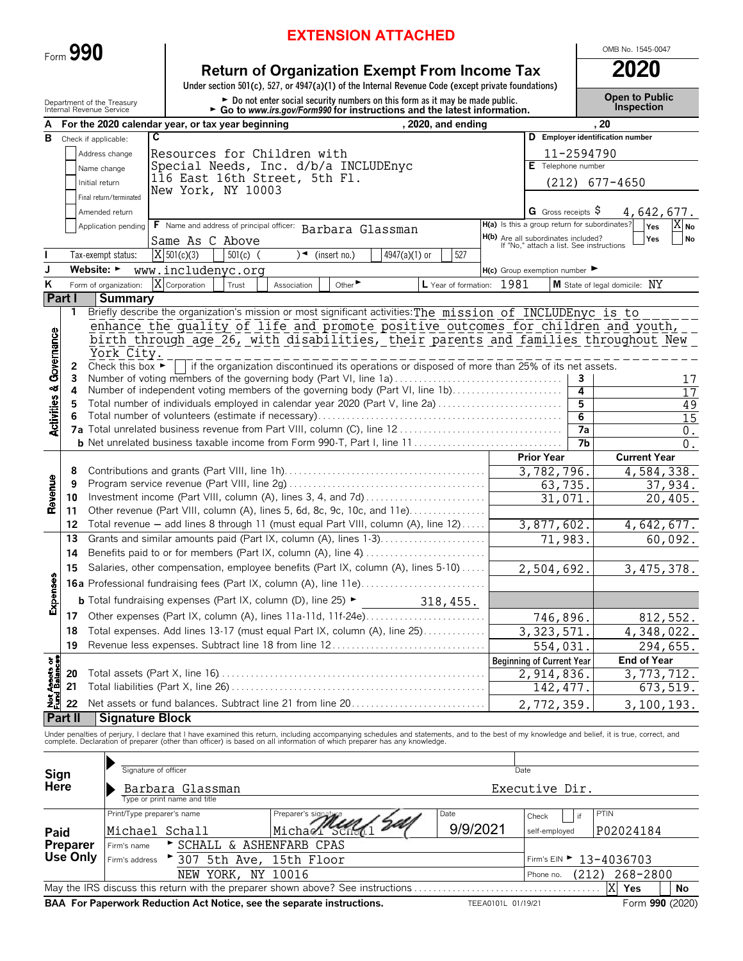| Ο<br>$Form$ $\bar{v}$ |           |
|-----------------------|-----------|
|                       | <b>90</b> |

# **EXTENSION ATTACHED**

|                                    | Form 990                                               |                                                                                          |                      |                                                                                                                                                                                               |                           |  |                                                                                 |                                     | OMB No. 1545-0047                 |  |  |
|------------------------------------|--------------------------------------------------------|------------------------------------------------------------------------------------------|----------------------|-----------------------------------------------------------------------------------------------------------------------------------------------------------------------------------------------|---------------------------|--|---------------------------------------------------------------------------------|-------------------------------------|-----------------------------------|--|--|
|                                    |                                                        |                                                                                          |                      | <b>Return of Organization Exempt From Income Tax</b>                                                                                                                                          |                           |  |                                                                                 | 2020                                |                                   |  |  |
|                                    |                                                        |                                                                                          |                      | Under section 501(c), 527, or 4947(a)(1) of the Internal Revenue Code (except private foundations)                                                                                            |                           |  |                                                                                 |                                     |                                   |  |  |
|                                    | Department of the Treasury<br>Internal Revenue Service |                                                                                          |                      | $\triangleright$ Do not enter social security numbers on this form as it may be made public.<br>► Go to www.irs.gov/Form990 for instructions and the latest information.                      |                           |  |                                                                                 | <b>Open to Public</b><br>Inspection |                                   |  |  |
| А                                  | For the 2020 calendar year, or tax year beginning      |                                                                                          |                      |                                                                                                                                                                                               | . 2020. and ending        |  |                                                                                 | .20                                 |                                   |  |  |
| В                                  | Check if applicable:                                   | C                                                                                        |                      |                                                                                                                                                                                               |                           |  |                                                                                 |                                     | D Employer identification number  |  |  |
|                                    | Address change                                         | Resources for Children with                                                              |                      |                                                                                                                                                                                               |                           |  |                                                                                 | 11-2594790                          |                                   |  |  |
|                                    | Name change                                            |                                                                                          |                      | Special Needs, Inc. d/b/a INCLUDEnyc                                                                                                                                                          |                           |  | E Telephone number                                                              |                                     |                                   |  |  |
|                                    | Initial return                                         | 116 East 16th Street, 5th Fl.                                                            |                      |                                                                                                                                                                                               |                           |  |                                                                                 | $(212)$ 677-4650                    |                                   |  |  |
|                                    | New York, NY 10003<br>Final return/terminated          |                                                                                          |                      |                                                                                                                                                                                               |                           |  |                                                                                 |                                     |                                   |  |  |
|                                    | Amended return                                         |                                                                                          |                      |                                                                                                                                                                                               |                           |  | G Gross receipts $\$$                                                           |                                     | 4,642,677.                        |  |  |
|                                    | Application pending                                    | <b>F</b> Name and address of principal officer:                                          |                      | Barbara Glassman                                                                                                                                                                              |                           |  | H(a) Is this a group return for subordinates?                                   |                                     | Yes<br>$X_{N0}$                   |  |  |
|                                    |                                                        | Same As C Above                                                                          |                      |                                                                                                                                                                                               |                           |  | H(b) Are all subordinates included?<br>If "No," attach a list. See instructions |                                     | Yes<br><b>No</b>                  |  |  |
|                                    | Tax-exempt status:                                     | $X$ 501(c)(3)                                                                            | $501(c)$ (           | (insert no.)                                                                                                                                                                                  | 527<br>$4947(a)(1)$ or    |  |                                                                                 |                                     |                                   |  |  |
|                                    | Website: ►                                             | www.includenyc.org                                                                       |                      |                                                                                                                                                                                               |                           |  | $H(c)$ Group exemption number                                                   |                                     |                                   |  |  |
| ĸ                                  | Form of organization:                                  | $\overline{X}$ Corporation                                                               | Trust<br>Association | Other $\blacktriangleright$                                                                                                                                                                   | L Year of formation: 1981 |  |                                                                                 |                                     | M State of legal domicile: NY     |  |  |
|                                    | Part I<br><b>Summary</b>                               |                                                                                          |                      |                                                                                                                                                                                               |                           |  |                                                                                 |                                     |                                   |  |  |
|                                    | 1                                                      |                                                                                          |                      | Briefly describe the organization's mission or most significant activities: The mission of INCLUDEnyc is to                                                                                   |                           |  |                                                                                 |                                     |                                   |  |  |
|                                    |                                                        |                                                                                          |                      | enhance the quality of life and promote positive outcomes for children and youth,<br>birth through age 26, with disabilities, their parents and families throughout New                       |                           |  |                                                                                 |                                     |                                   |  |  |
|                                    | York City.                                             |                                                                                          |                      |                                                                                                                                                                                               |                           |  |                                                                                 |                                     |                                   |  |  |
| <b>Activities &amp; Governance</b> | Check this box $\blacktriangleright$<br>2              |                                                                                          |                      | if the organization discontinued its operations or disposed of more than 25% of its net assets.                                                                                               |                           |  |                                                                                 |                                     |                                   |  |  |
|                                    | 3                                                      |                                                                                          |                      | Number of voting members of the governing body (Part VI, line 1a)                                                                                                                             |                           |  |                                                                                 | 3                                   | 17                                |  |  |
|                                    | 4                                                      |                                                                                          |                      | Number of independent voting members of the governing body (Part VI, line 1b)                                                                                                                 |                           |  |                                                                                 | 4                                   | 17                                |  |  |
|                                    | 5                                                      |                                                                                          |                      | Total number of individuals employed in calendar year 2020 (Part V, line 2a)                                                                                                                  |                           |  |                                                                                 | 5                                   | 49                                |  |  |
|                                    | 6                                                      |                                                                                          |                      |                                                                                                                                                                                               |                           |  |                                                                                 | 6                                   | 15                                |  |  |
|                                    |                                                        |                                                                                          |                      |                                                                                                                                                                                               |                           |  |                                                                                 | $\overline{7a}$                     | $0$ .                             |  |  |
|                                    |                                                        |                                                                                          |                      |                                                                                                                                                                                               |                           |  |                                                                                 | $\overline{7b}$                     | 0.                                |  |  |
|                                    | 8                                                      |                                                                                          |                      |                                                                                                                                                                                               |                           |  | <b>Prior Year</b><br>3,782,796.                                                 |                                     | <b>Current Year</b><br>4,584,338. |  |  |
|                                    | 9                                                      |                                                                                          |                      |                                                                                                                                                                                               |                           |  | 63, 735.                                                                        |                                     | 37,934.                           |  |  |
| Revenue                            | 10                                                     |                                                                                          |                      | Investment income (Part VIII, column (A), lines 3, 4, and 7d)                                                                                                                                 |                           |  | 31,071.                                                                         |                                     | 20,405.                           |  |  |
|                                    | 11                                                     |                                                                                          |                      | Other revenue (Part VIII, column (A), lines 5, 6d, 8c, 9c, 10c, and 11e)                                                                                                                      |                           |  |                                                                                 |                                     |                                   |  |  |
|                                    | 12                                                     |                                                                                          |                      | Total revenue - add lines 8 through 11 (must equal Part VIII, column (A), line 12)                                                                                                            |                           |  | 3,877,602.                                                                      |                                     | 4,642,677.                        |  |  |
|                                    | 13                                                     |                                                                                          |                      |                                                                                                                                                                                               |                           |  | 71,983.                                                                         |                                     | 60,092.                           |  |  |
|                                    | 14                                                     |                                                                                          |                      | Benefits paid to or for members (Part IX, column (A), line 4)                                                                                                                                 |                           |  |                                                                                 |                                     |                                   |  |  |
|                                    | 15                                                     |                                                                                          |                      | Salaries, other compensation, employee benefits (Part IX, column (A), lines 5-10)                                                                                                             |                           |  | 2,504,692.                                                                      |                                     | 3, 475, 378.                      |  |  |
| <b>Ses</b>                         |                                                        |                                                                                          |                      |                                                                                                                                                                                               |                           |  |                                                                                 |                                     |                                   |  |  |
| Exper                              |                                                        | <b>b</b> Total fundraising expenses (Part IX, column (D), line 25) $\blacktriangleright$ |                      |                                                                                                                                                                                               | 318,455.                  |  |                                                                                 |                                     |                                   |  |  |
|                                    | 17                                                     |                                                                                          |                      | Other expenses (Part IX, column (A), lines 11a-11d, 11f-24e)                                                                                                                                  |                           |  | 746,896.                                                                        |                                     | 812,552.                          |  |  |
|                                    | 18                                                     |                                                                                          |                      | Total expenses. Add lines 13-17 (must equal Part IX, column (A), line 25)                                                                                                                     |                           |  | $\overline{3}$ , 323, 571.                                                      |                                     | 4,348,022.                        |  |  |
|                                    | 19                                                     |                                                                                          |                      | Revenue less expenses. Subtract line 18 from line 12                                                                                                                                          |                           |  | 554,031.                                                                        |                                     | 294,655.                          |  |  |
|                                    |                                                        |                                                                                          |                      |                                                                                                                                                                                               |                           |  | <b>Beginning of Current Year</b>                                                |                                     | <b>End of Year</b>                |  |  |
|                                    | 20                                                     |                                                                                          |                      |                                                                                                                                                                                               |                           |  | 2,914,836.                                                                      |                                     | 3,773,712.                        |  |  |
|                                    | 21                                                     |                                                                                          |                      |                                                                                                                                                                                               |                           |  | 142, 477.                                                                       |                                     | 673,519.                          |  |  |
| Net Assets or<br>Fund Balances     | 22                                                     |                                                                                          |                      |                                                                                                                                                                                               |                           |  | 2,772,359.                                                                      |                                     | 3, 100, 193.                      |  |  |
|                                    | Part II<br><b>Signature Block</b>                      |                                                                                          |                      |                                                                                                                                                                                               |                           |  |                                                                                 |                                     |                                   |  |  |
|                                    |                                                        |                                                                                          |                      | Under penalties of periury. I declare that I have examined this return, including accompanying schedules and statements, and to the best of my knowledge and belief, it is true, correct, and |                           |  |                                                                                 |                                     |                                   |  |  |

Under penalties of perjury, I declare that I have examined this return, including accompanying schedules and statements, and to the best of my knowledge and belief, it is true, correct, and<br>complete. Declaration of prepare

| Sign        | Signature of officer       |                              |                                                                        |                    | Date                    |                 |    |
|-------------|----------------------------|------------------------------|------------------------------------------------------------------------|--------------------|-------------------------|-----------------|----|
| <b>Here</b> |                            | Barbara Glassman             |                                                                        |                    | Executive Dir.          |                 |    |
|             |                            | Type or print name and title |                                                                        |                    |                         |                 |    |
|             | Print/Type preparer's name |                              | Preparer's signature                                                   | Date               | Check<br>if             | PTIN            |    |
| Paid        | Michael Schall             |                              | Michael School                                                         | 9/9/2021           | self-employed           | P02024184       |    |
| Preparer    | Firm's name                | SCHALL & ASHENFARB CPAS      |                                                                        |                    |                         |                 |    |
| Use Only    | Firm's address             | $^{\triangleright}$ 307      | 5th Ave, 15th Floor                                                    |                    | Firm's EIN > 13-4036703 |                 |    |
|             |                            | NEW YORK, NY 10016           |                                                                        |                    | (212)<br>Phone no.      | 268-2800        |    |
|             |                            |                              |                                                                        |                    |                         | ΙXΙ<br>Yes      | No |
|             |                            |                              | BAA For Paperwork Reduction Act Notice, see the separate instructions. | TEEA0101L 01/19/21 |                         | Form 990 (2020) |    |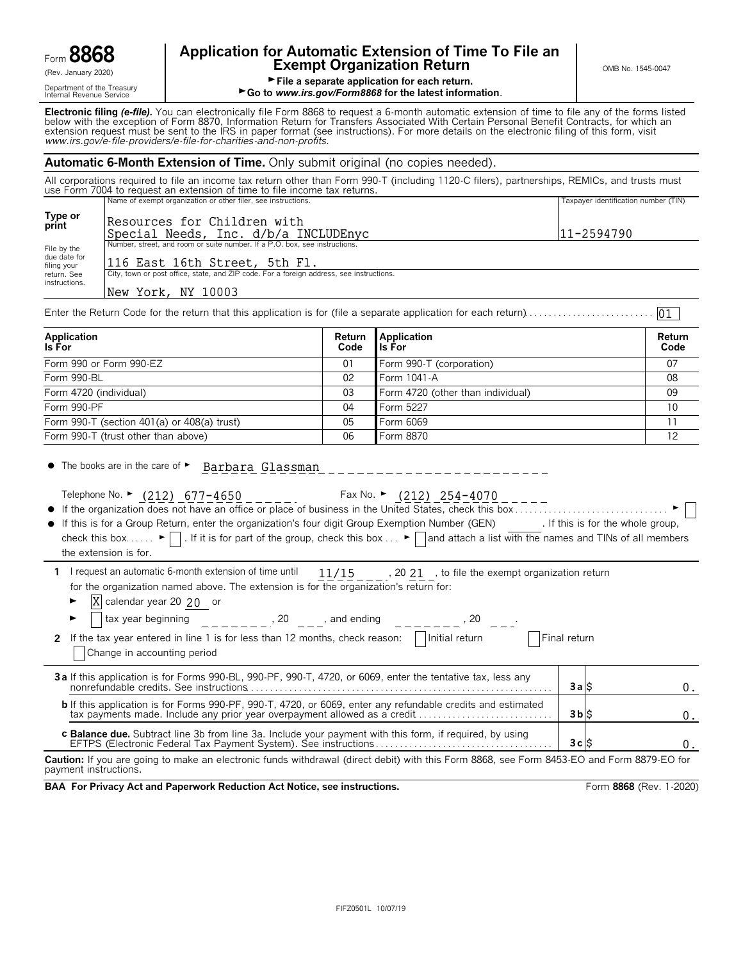|                       | QOC.        |  |
|-----------------------|-------------|--|
| Form $\mathbf \Omega$ | O<br>О<br>m |  |

Department of the Treasury<br>Internal Revenue Service

# **Application for Automatic Extension of Time To File an Form B8668 Exempt Organization Return** CRESC COMB No. 1545-0047

01

File a separate application for each return.

► Go to *www.irs.gov/Form8868* for the latest information.

**Electronic filing** *(e-file).* You can electronically file Form 8868 to request a 6-month automatic extension of time to file any of the forms listed below with the exception of Form 8870, Information Return for Transfers Associated With Certain Personal Benefit Contracts, for which an extension request must be sent to the IRS in paper format (see instructions). For more details on the electronic filing of this form, visit *www.irs.gov/e*-*file*-*providers/e-file-for-charities-and-non-profits*.

#### **Automatic 6-Month Extension of Time.** Only submit original (no copies needed).

All corporations required to file an income tax return other than Form 990-T (including 1120-C filers), partnerships, REMICs, and trusts must use Form 7004 to request an extension of time to file income tax returns. Name of exempt organization or other filer, see instructions. The contraction of the contraction of the filer, see instructions. **Type or print** Resources for Children with

| print                        | INCOURCCO IOI CHIIUICH WICH<br>Special Needs, Inc. d/b/a INCLUDEnyc                      | 11-2594790 |
|------------------------------|------------------------------------------------------------------------------------------|------------|
| File by the                  | Number, street, and room or suite number. If a P.O. box, see instructions.               |            |
| due date for<br>filing your  | 116 East 16th Street, 5th Fl.                                                            |            |
| return. See<br>instructions. | City, town or post office, state, and ZIP code. For a foreign address, see instructions. |            |
|                              | New York, NY 10003                                                                       |            |

Enter the Return Code for the return that this application is for (file a separate application for each return). . . . . . . . . . . . . . . . . . . . . . . . . . .

| Application<br>Is For                               | Return<br>Code | Application<br><b>Ils For</b>     | Return<br>Code  |
|-----------------------------------------------------|----------------|-----------------------------------|-----------------|
| Form 990 or Form 990-EZ                             | 01             | Form 990-T (corporation)          | 07              |
| Form 990-BL                                         | 02             | Form 1041-A                       | 08              |
| Form 4720 (individual)                              | 03             | Form 4720 (other than individual) | 09              |
| Form 990-PF                                         | 04             | Form 5227                         | 10 <sup>1</sup> |
| Form $990 - T$ (section $401(a)$ or $408(a)$ trust) | 05             | Form 6069                         |                 |
| Form 990-T (trust other than above)                 | 06             | Form 8870                         | 12              |

 $\bullet$  The books are in the care of  $\triangleright$  Barbara Glassman

| balbala siabbilah<br>.                 |  |
|----------------------------------------|--|
| -------------------------------------- |  |
|                                        |  |
|                                        |  |

Telephone No.  $\triangleright$  (212) 677-4650 Fax No.  $\triangleright$  $(212)$  677-4650 \_ \_ \_ \_ Fax No.  $(212)$  254-4070

| • If this is for a Group Return, enter the organization's four digit Group Exemption Number (GEN)                                                                                              | . If this is for the whole group, |
|------------------------------------------------------------------------------------------------------------------------------------------------------------------------------------------------|-----------------------------------|
| check this box $\blacktriangleright \blacksquare$ . If it is for part of the group, check this box $\blacktriangleright \blacksquare$ and attach a list with the names and TINs of all members |                                   |
| the extension is for.                                                                                                                                                                          |                                   |

1 I request an automatic 6-month extension of time until  $11/15$ , 20 21, to file the exempt organization return for the organization named above. The extension is for the organization's return for:  $11/15$ 

 $\blacktriangleright$   $\mathbf{X}$  calendar year 20 20 or

| tax year beginning                                                                                                                                                                              | 20 | and ending |                |                |  |
|-------------------------------------------------------------------------------------------------------------------------------------------------------------------------------------------------|----|------------|----------------|----------------|--|
| 2 If the tax year entered in line 1 is for less than 12 months, check reason:<br>Change in accounting period                                                                                    |    |            | Initial return | Final return   |  |
| 3a If this application is for Forms 990-BL, 990-PF, 990-T, 4720, or 6069, enter the tentative tax, less any                                                                                     |    |            |                | 3alS           |  |
| <b>b</b> If this application is for Forms 990-PF, 990-T, 4720, or 6069, enter any refundable credits and estimated<br>tax payments made. Include any prior year overpayment allowed as a credit |    |            |                | $3b$ $\dot{S}$ |  |
| c Balance due. Subtract line 3b from line 3a. Include your payment with this form, if required, by using                                                                                        |    |            |                | 3cS            |  |
| aution: If you are going to make an electronic funds withdrawal (direct debit) with this Form 8868, see Form 8453-FO and Form 8879-FO for                                                       |    |            |                |                |  |

**Caution:** If you are going to make an electronic funds withdrawal (direct debit) with this Form 8868, see Form 8453-EO and Form 8879-EO for payment instructions.

BAA For Privacy Act and Paperwork Reduction Act Notice, see instructions. Form 8868 (Rev. 1-2020)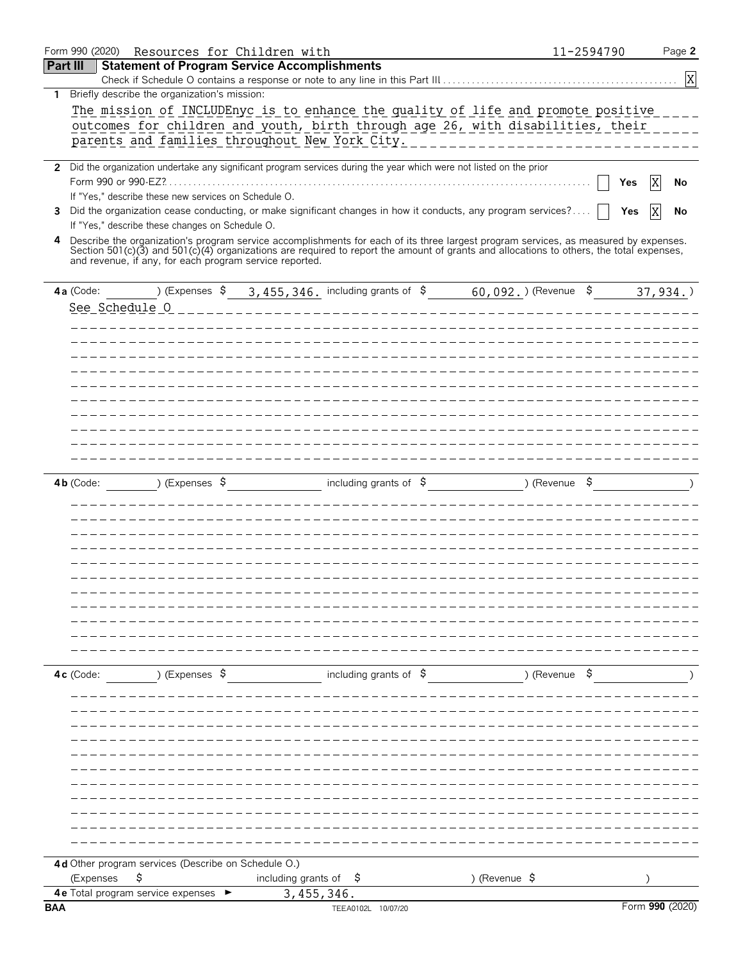|            | Form 990 (2020) Resources for Children with                                                                                                                                                         | 11-2594790   | Page 2          |
|------------|-----------------------------------------------------------------------------------------------------------------------------------------------------------------------------------------------------|--------------|-----------------|
|            | Part III<br><b>Statement of Program Service Accomplishments</b>                                                                                                                                     |              | X               |
| 1          | Briefly describe the organization's mission:                                                                                                                                                        |              |                 |
|            |                                                                                                                                                                                                     |              |                 |
|            | The mission of INCLUDEnyc is to enhance the quality of life and promote positive                                                                                                                    |              |                 |
|            | outcomes for children and youth, birth through age 26, with disabilities, their<br>parents and families throughout New York City.                                                                   |              |                 |
|            |                                                                                                                                                                                                     |              |                 |
|            | 2 Did the organization undertake any significant program services during the year which were not listed on the prior                                                                                |              |                 |
|            | Form 990 or 990-EZ?                                                                                                                                                                                 |              | Yes<br>No       |
|            | If "Yes," describe these new services on Schedule O.                                                                                                                                                |              |                 |
|            | 3 Did the organization cease conducting, or make significant changes in how it conducts, any program services?                                                                                      |              | Yes<br>No       |
|            | If "Yes," describe these changes on Schedule O.                                                                                                                                                     |              |                 |
|            | 4 Describe the organization's program service accomplishments for each of its three largest program services, as measured by expenses.                                                              |              |                 |
|            | Section 501(c)(3) and 501(c)(4) organizations are required to report the amount of grants and allocations to others, the total expenses,<br>and revenue, if any, for each program service reported. |              |                 |
|            |                                                                                                                                                                                                     |              |                 |
|            | ) (Expenses $\frac{1}{5}$ 3, 455, 346, including grants of $\frac{1}{5}$ 60, 092, ) (Revenue $\frac{1}{5}$<br>$4a$ (Code:                                                                           |              | 37,934.         |
|            | See_Schedule_0                                                                                                                                                                                      |              |                 |
|            |                                                                                                                                                                                                     |              |                 |
|            |                                                                                                                                                                                                     |              |                 |
|            |                                                                                                                                                                                                     |              |                 |
|            |                                                                                                                                                                                                     |              |                 |
|            |                                                                                                                                                                                                     |              |                 |
|            |                                                                                                                                                                                                     |              |                 |
|            |                                                                                                                                                                                                     |              |                 |
|            |                                                                                                                                                                                                     |              |                 |
|            |                                                                                                                                                                                                     |              |                 |
|            |                                                                                                                                                                                                     |              |                 |
|            |                                                                                                                                                                                                     |              |                 |
|            | $(1, 5)$ (Expenses $\frac{1}{5}$ including grants of $\frac{1}{5}$ ) (Revenue $\frac{1}{5}$<br>$4b$ (Code:                                                                                          |              |                 |
|            |                                                                                                                                                                                                     |              |                 |
|            |                                                                                                                                                                                                     |              |                 |
|            |                                                                                                                                                                                                     |              |                 |
|            |                                                                                                                                                                                                     |              |                 |
|            |                                                                                                                                                                                                     |              |                 |
|            |                                                                                                                                                                                                     |              |                 |
|            |                                                                                                                                                                                                     |              |                 |
|            |                                                                                                                                                                                                     |              |                 |
|            |                                                                                                                                                                                                     |              |                 |
|            |                                                                                                                                                                                                     |              |                 |
|            |                                                                                                                                                                                                     |              |                 |
|            |                                                                                                                                                                                                     |              |                 |
|            | ) (Expenses \$<br>including grants of $\sharp$<br>4c (Code:                                                                                                                                         | )(Revenue \$ |                 |
|            |                                                                                                                                                                                                     |              |                 |
|            |                                                                                                                                                                                                     |              |                 |
|            |                                                                                                                                                                                                     |              |                 |
|            |                                                                                                                                                                                                     |              |                 |
|            |                                                                                                                                                                                                     |              |                 |
|            |                                                                                                                                                                                                     |              |                 |
|            |                                                                                                                                                                                                     |              |                 |
|            |                                                                                                                                                                                                     |              |                 |
|            |                                                                                                                                                                                                     |              |                 |
|            |                                                                                                                                                                                                     |              |                 |
|            |                                                                                                                                                                                                     |              |                 |
|            |                                                                                                                                                                                                     |              |                 |
|            | 4d Other program services (Describe on Schedule O.)                                                                                                                                                 |              |                 |
|            | \$<br>) (Revenue \$<br>(Expenses<br>including grants of<br>-\$                                                                                                                                      |              |                 |
|            | <b>4e</b> Total program service expenses<br>3,455,346.                                                                                                                                              |              |                 |
| <b>BAA</b> | TEEA0102L 10/07/20                                                                                                                                                                                  |              | Form 990 (2020) |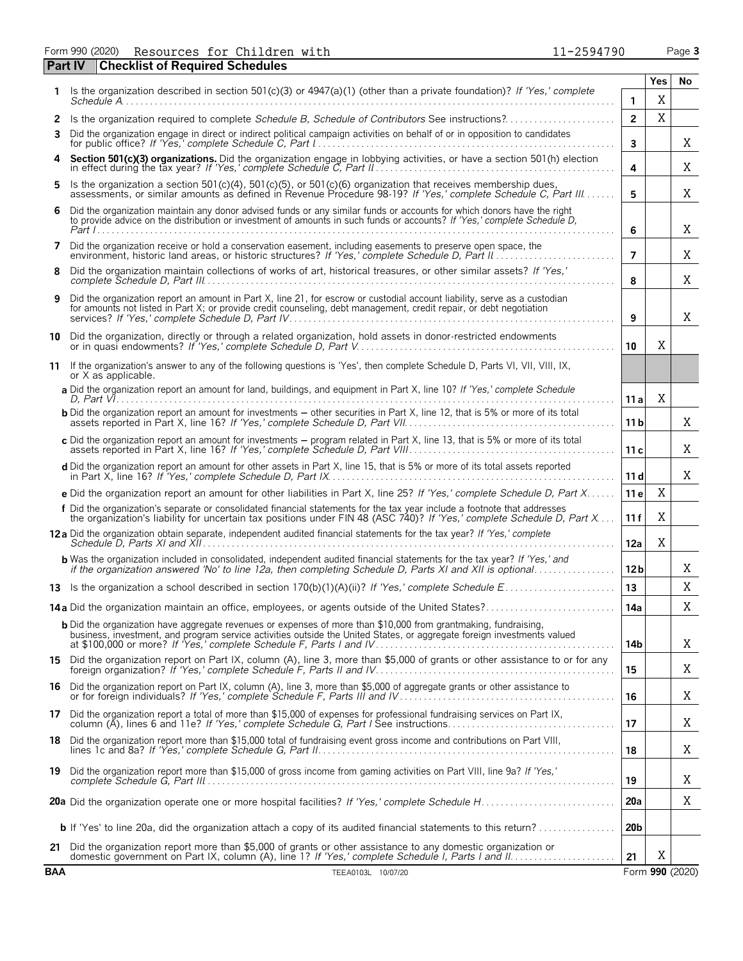Form 990 (2020) Page **3** Resources for Children with 11-2594790

**Part IV Checklist of Required Schedules**

|     |                                                                                                                                                                                                                                                     |                        | <b>Yes</b> | No              |
|-----|-----------------------------------------------------------------------------------------------------------------------------------------------------------------------------------------------------------------------------------------------------|------------------------|------------|-----------------|
|     | 1 Is the organization described in section 501(c)(3) or $4947(a)(1)$ (other than a private foundation)? If 'Yes,' complete                                                                                                                          | 1                      | Χ          |                 |
|     |                                                                                                                                                                                                                                                     | $\overline{2}$         | X          |                 |
| 3   | Did the organization engage in direct or indirect political campaign activities on behalf of or in opposition to candidates                                                                                                                         | 3                      |            | Χ               |
|     | 4 Section 501(c)(3) organizations. Did the organization engage in lobbying activities, or have a section 501(h) election                                                                                                                            | 4                      |            | Χ               |
|     | 5 Is the organization a section $501(c)(4)$ , $501(c)(5)$ , or $501(c)(6)$ organization that receives membership dues,<br>assessments, or similar amounts as defined in Revenue Procedure 98-19? If 'Yes,' complete Schedule C, Part III            | 5                      |            | Χ               |
| 6   | Did the organization maintain any donor advised funds or any similar funds or accounts for which donors have the right<br>to provide advice on the distribution or investment of amounts in such funds or accounts? If 'Yes,' complete Schedule D,  | 6                      |            | Χ               |
| 7   | Did the organization receive or hold a conservation easement, including easements to preserve open space, the<br>environment, historic land areas, or historic structures? If 'Yes,' complete Schedule D, Part II                                   | $\overline{7}$         |            | Χ               |
| 8   | Did the organization maintain collections of works of art, historical treasures, or other similar assets? If 'Yes,'                                                                                                                                 | 8                      |            | Χ               |
| 9   | Did the organization report an amount in Part X, line 21, for escrow or custodial account liability, serve as a custodian<br>for amounts not listed in Part X; or provide credit counseling, debt management, credit repair, or debt negotiation    | 9                      |            | X               |
| 10. | Did the organization, directly or through a related organization, hold assets in donor-restricted endowments                                                                                                                                        | 10                     | X          |                 |
|     | 11 If the organization's answer to any of the following questions is 'Yes', then complete Schedule D. Parts VI, VII, VIII, IX.<br>or X as applicable.                                                                                               |                        |            |                 |
|     | a Did the organization report an amount for land, buildings, and equipment in Part X, line 10? If 'Yes,' complete Schedule                                                                                                                          |                        | Χ          |                 |
|     | <b>b</b> Did the organization report an amount for investments – other securities in Part X, line 12, that is 5% or more of its total                                                                                                               | 11a<br>11 <sub>b</sub> |            | Χ               |
|     | c Did the organization report an amount for investments - program related in Part X, line 13, that is 5% or more of its total                                                                                                                       | 11c                    |            | X               |
|     | d Did the organization report an amount for other assets in Part X, line 15, that is 5% or more of its total assets reported                                                                                                                        | 11 d                   |            | X               |
|     | e Did the organization report an amount for other liabilities in Part X, line 25? If 'Yes,' complete Schedule D, Part X                                                                                                                             | 11e                    | Χ          |                 |
|     | f Did the organization's separate or consolidated financial statements for the tax year include a footnote that addresses<br>the organization's liability for uncertain tax positions under FIN 48 (ASC 740)? If 'Yes,' complete Schedule D, Part X | 11 f                   | X          |                 |
|     | 12a Did the organization obtain separate, independent audited financial statements for the tax year? If 'Yes,' complete                                                                                                                             | 12a                    | X          |                 |
|     | <b>b</b> Was the organization included in consolidated, independent audited financial statements for the tax year? If 'Yes,' and<br>if the organization answered 'No' to line 12a, then completing Schedule D, Parts XI and XII is optional         | 12 <sub>b</sub>        |            | Χ               |
|     |                                                                                                                                                                                                                                                     | 13                     |            | X               |
|     | 14a Did the organization maintain an office, employees, or agents outside of the United States?                                                                                                                                                     | 14a                    |            | Χ               |
|     | <b>b</b> Did the organization have aggregate revenues or expenses of more than \$10,000 from grantmaking, fundraising,<br>business, investment, and program service activities outside the United States, or aggregate foreign investments valued   | 14b                    |            | X               |
|     | 15 Did the organization report on Part IX, column (A), line 3, more than \$5,000 of grants or other assistance to or for any                                                                                                                        | 15                     |            | X               |
|     | 16 Did the organization report on Part IX, column (A), line 3, more than \$5,000 of aggregate grants or other assistance to<br>or for foreign individuals? If 'Yes,' complete Schedule F, Parts III and IV                                          | 16                     |            | Χ               |
|     | 17 Did the organization report a total of more than \$15,000 of expenses for professional fundraising services on Part IX,<br>column (A), lines 6 and 11e? If 'Yes,' complete Schedule G, Part I See instructions                                   | 17                     |            | Χ               |
|     | 18 Did the organization report more than \$15,000 total of fundraising event gross income and contributions on Part VIII,                                                                                                                           | 18                     |            | X               |
|     | 19 Did the organization report more than \$15,000 of gross income from gaming activities on Part VIII, line 9a? If 'Yes,'                                                                                                                           | 19                     |            | X               |
|     |                                                                                                                                                                                                                                                     | 20a                    |            | Χ               |
|     |                                                                                                                                                                                                                                                     | 20 <sub>b</sub>        |            |                 |
|     | 21 Did the organization report more than \$5,000 of grants or other assistance to any domestic organization or                                                                                                                                      | 21                     | Χ          |                 |
| BAA | TEEA0103L 10/07/20                                                                                                                                                                                                                                  |                        |            | Form 990 (2020) |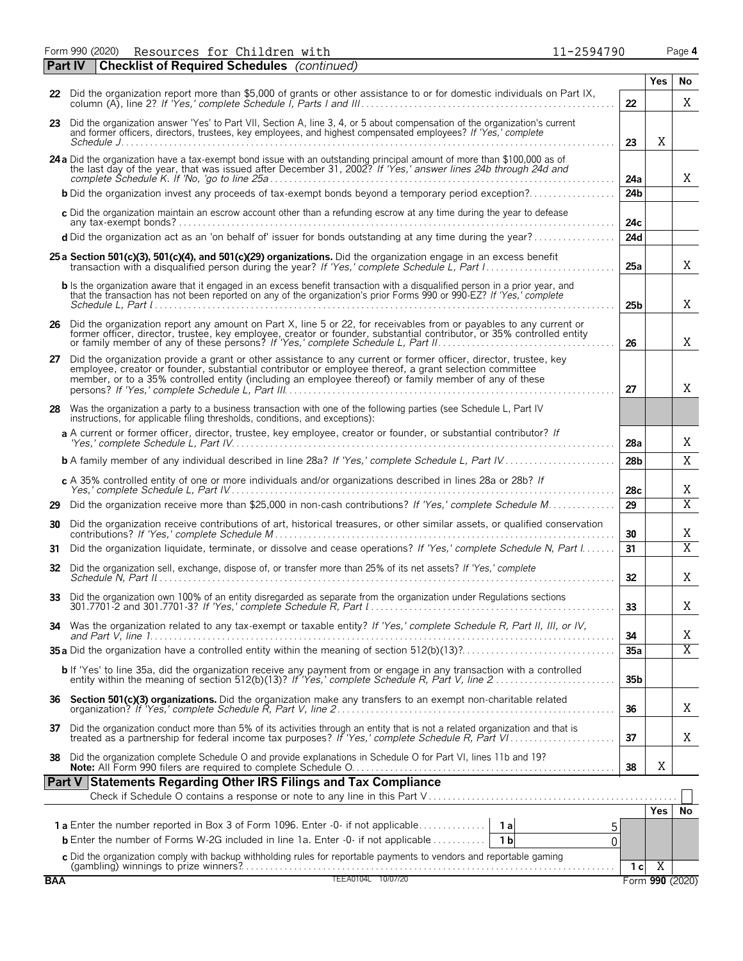Form 990 (2020) Page **4** Resources for Children with 11-2594790

|            | <b>Checklist of Required Schedules</b> (continued)<br><b>Part IV</b>                                                                                                                                                                                                                                                                  |                 |                                   |                         |
|------------|---------------------------------------------------------------------------------------------------------------------------------------------------------------------------------------------------------------------------------------------------------------------------------------------------------------------------------------|-----------------|-----------------------------------|-------------------------|
|            |                                                                                                                                                                                                                                                                                                                                       |                 | Yes                               | No                      |
|            | 22 Did the organization report more than \$5,000 of grants or other assistance to or for domestic individuals on Part IX,                                                                                                                                                                                                             | 22              |                                   | X                       |
|            | 23 Did the organization answer 'Yes' to Part VII, Section A, line 3, 4, or 5 about compensation of the organization's current<br>and former officers, directors, trustees, key employees, and highest compensated employees? If 'Yes,' complete                                                                                       | 23              | Χ                                 |                         |
|            | 24 a Did the organization have a tax-exempt bond issue with an outstanding principal amount of more than \$100,000 as of the last day of the year, that was issued after December 31, 2002? If 'Yes,' answer lines 24b through                                                                                                        | 24a             |                                   | X                       |
|            | <b>b</b> Did the organization invest any proceeds of tax-exempt bonds beyond a temporary period exception?                                                                                                                                                                                                                            | 24 <sub>b</sub> |                                   |                         |
|            | c Did the organization maintain an escrow account other than a refunding escrow at any time during the year to defease                                                                                                                                                                                                                | 24c             |                                   |                         |
|            | d Did the organization act as an 'on behalf of' issuer for bonds outstanding at any time during the year?                                                                                                                                                                                                                             | 24d             |                                   |                         |
|            | 25 a Section 501(c)(3), 501(c)(4), and 501(c)(29) organizations. Did the organization engage in an excess benefit                                                                                                                                                                                                                     | 25a             |                                   | X                       |
|            | <b>b</b> Is the organization aware that it engaged in an excess benefit transaction with a disqualified person in a prior year, and<br>that the transaction has not been reported on any of the organization's prior Forms 990 or 990-EZ? If 'Yes,' complete                                                                          | 25 <sub>b</sub> |                                   | X                       |
| 26         | Did the organization report any amount on Part X, line 5 or 22, for receivables from or payables to any current or<br>former officer, director, trustee, key employee, creator or founder, substantial contributor, or 35% controlled entity                                                                                          | 26              |                                   | Χ                       |
| 27         | Did the organization provide a grant or other assistance to any current or former officer, director, trustee, key<br>employee, creator or founder, substantial contributor or employee thereof, a grant selection committee<br>member, or to a 35% controlled entity (including an employee thereof) or family member of any of these | 27              |                                   | X                       |
|            | 28 Was the organization a party to a business transaction with one of the following parties (see Schedule L, Part IV<br>instructions, for applicable filing thresholds, conditions, and exceptions):                                                                                                                                  |                 |                                   |                         |
|            | a A current or former officer, director, trustee, key employee, creator or founder, or substantial contributor? If                                                                                                                                                                                                                    | 28a             |                                   | Χ                       |
|            |                                                                                                                                                                                                                                                                                                                                       | 28 <sub>b</sub> |                                   | X                       |
|            | c A 35% controlled entity of one or more individuals and/or organizations described in lines 28a or 28b? If                                                                                                                                                                                                                           | 28c             |                                   | Χ                       |
| 29         | Did the organization receive more than \$25,000 in non-cash contributions? If 'Yes,' complete Schedule M                                                                                                                                                                                                                              | 29              |                                   | $\overline{\text{X}}$   |
| 30         | Did the organization receive contributions of art, historical treasures, or other similar assets, or qualified conservation                                                                                                                                                                                                           | 30              |                                   | Χ                       |
| 31         | Did the organization liquidate, terminate, or dissolve and cease operations? If 'Yes,' complete Schedule N, Part I                                                                                                                                                                                                                    | 31              |                                   | $\overline{\text{X}}$   |
| 32         | Did the organization sell, exchange, dispose of, or transfer more than 25% of its net assets? If 'Yes,' complete                                                                                                                                                                                                                      | 32              |                                   | X                       |
| 33         | Did the organization own 100% of an entity disregarded as separate from the organization under Regulations sections                                                                                                                                                                                                                   | 33              |                                   | Χ                       |
| 34         | Was the organization related to any tax-exempt or taxable entity? If 'Yes,' complete Schedule R, Part II, III, or IV,                                                                                                                                                                                                                 | 34              |                                   | Χ                       |
|            |                                                                                                                                                                                                                                                                                                                                       | 35a             |                                   | $\overline{\mathrm{X}}$ |
|            | b If 'Yes' to line 35a, did the organization receive any payment from or engage in any transaction with a controlled<br>entity within the meaning of section 512(b)(13)? If 'Yes,' complete Schedule R, Part V, line 2                                                                                                                | 35 <sub>b</sub> |                                   |                         |
| 36         |                                                                                                                                                                                                                                                                                                                                       | 36              |                                   | Χ                       |
| 37         | Did the organization conduct more than 5% of its activities through an entity that is not a related organization and that is treated as a partnership for federal income tax purposes? If 'Yes,' complete Schedule R, Part VI.                                                                                                        | 37              |                                   | Χ                       |
| 38         | Did the organization complete Schedule O and provide explanations in Schedule O for Part VI, lines 11b and 19?                                                                                                                                                                                                                        | 38              | X                                 |                         |
|            | Part V Statements Regarding Other IRS Filings and Tax Compliance                                                                                                                                                                                                                                                                      |                 |                                   |                         |
|            |                                                                                                                                                                                                                                                                                                                                       |                 |                                   |                         |
|            | 5                                                                                                                                                                                                                                                                                                                                     |                 | Yes No                            |                         |
|            | $\mathbf 0$                                                                                                                                                                                                                                                                                                                           |                 |                                   |                         |
|            |                                                                                                                                                                                                                                                                                                                                       |                 |                                   |                         |
| <b>BAA</b> | C Did the organization comply with backup withholding rules for reportable payments to vendors and reportable gaming<br>(gambling) winnings to prize winners?<br>TEEA0104L 10/07/20                                                                                                                                                   | 1 <sub>c</sub>  | $\overline{X}$<br>Form 990 (2020) |                         |
|            |                                                                                                                                                                                                                                                                                                                                       |                 |                                   |                         |

|  | 594790 |  |
|--|--------|--|
|  |        |  |
|  |        |  |

|    | <b>d</b> Did the organization act as an 'on behalf of' issuer for bonds outstanding at any time during the year?                                                                                                                                                                                                                                                                                                                                                                                                                                                                                                                                  | 24d             |
|----|---------------------------------------------------------------------------------------------------------------------------------------------------------------------------------------------------------------------------------------------------------------------------------------------------------------------------------------------------------------------------------------------------------------------------------------------------------------------------------------------------------------------------------------------------------------------------------------------------------------------------------------------------|-----------------|
|    | 25 a Section 501(c)(3), 501(c)(4), and 501(c)(29) organizations. Did the organization engage in an excess benefit<br>transaction with a disqualified person during the year? If 'Yes,' complete Schedule L, Part I                                                                                                                                                                                                                                                                                                                                                                                                                                | 25a             |
|    | <b>b</b> Is the organization aware that it engaged in an excess benefit transaction with a disqualified person in a prior year, and that the transaction has not been reported on any of the organization's prior Forms 990 or 990-<br>Schedule L. Part $l_1, \ldots, l_k, \ldots, l_k, \ldots, l_k, \ldots, l_k, \ldots, l_k, \ldots, l_k, \ldots, l_k, \ldots, l_k, \ldots, l_k, \ldots, l_k, \ldots, l_k, \ldots, l_k, \ldots, l_k, \ldots, l_k, \ldots, l_k, \ldots, l_k, \ldots, l_k, \ldots, l_k, \ldots, l_k, \ldots, l_k, \ldots, l_k, \ldots, l_k, \ldots, l_k, \ldots, l_k, \ldots, l_k, \ldots, l_k, \ldots, l_k, \ldots, l_k, \ldots$ | 25 <sub>b</sub> |
| 26 | Did the organization report any amount on Part X, line 5 or 22, for receivables from or payables to any current or former officer, director, trustee, key employee, creator or founder, substantial contributor, or 35% contro                                                                                                                                                                                                                                                                                                                                                                                                                    | 26              |
| 27 | Did the organization provide a grant or other assistance to any current or former officer, director, trustee, key<br>employee, creator or founder, substantial contributor or employee thereof, a grant selection committee<br>member, or to a 35% controlled entity (including an employee thereof) or family member of any of these                                                                                                                                                                                                                                                                                                             | 27              |
| 28 | Was the organization a party to a business transaction with one of the following parties (see Schedule L, Part IV<br>instructions, for applicable filing thresholds, conditions, and exceptions):                                                                                                                                                                                                                                                                                                                                                                                                                                                 |                 |
|    | a A current or former officer, director, trustee, key employee, creator or founder, or substantial contributor? If                                                                                                                                                                                                                                                                                                                                                                                                                                                                                                                                | 28a             |
|    |                                                                                                                                                                                                                                                                                                                                                                                                                                                                                                                                                                                                                                                   | 28 <sub>b</sub> |
|    | c A 35% controlled entity of one or more individuals and/or organizations described in lines 28a or 28b? If                                                                                                                                                                                                                                                                                                                                                                                                                                                                                                                                       | 28 <sub>c</sub> |
| 29 | Did the organization receive more than \$25,000 in non-cash contributions? If 'Yes,' complete Schedule M                                                                                                                                                                                                                                                                                                                                                                                                                                                                                                                                          | 29              |
| 30 | Did the organization receive contributions of art, historical treasures, or other similar assets, or qualified conservation                                                                                                                                                                                                                                                                                                                                                                                                                                                                                                                       | 30              |
| 31 | Did the organization liquidate, terminate, or dissolve and cease operations? If 'Yes,' complete Schedule N, Part I                                                                                                                                                                                                                                                                                                                                                                                                                                                                                                                                | 31              |
| 32 | Did the organization sell, exchange, dispose of, or transfer more than 25% of its net assets? If 'Yes,' complete                                                                                                                                                                                                                                                                                                                                                                                                                                                                                                                                  | 32 <sub>2</sub> |
| 33 |                                                                                                                                                                                                                                                                                                                                                                                                                                                                                                                                                                                                                                                   | 33              |
| 34 | Was the organization related to any tax-exempt or taxable entity? If 'Yes,' complete Schedule R, Part II, III, or IV,                                                                                                                                                                                                                                                                                                                                                                                                                                                                                                                             | 34              |
|    |                                                                                                                                                                                                                                                                                                                                                                                                                                                                                                                                                                                                                                                   | 35a             |
|    | b If 'Yes' to line 35a, did the organization receive any payment from or engage in any transaction with a controlled<br>entity within the meaning of section 512(b)(13)? If 'Yes,' complete Schedule R, Part V, line 2                                                                                                                                                                                                                                                                                                                                                                                                                            | 35 <sub>b</sub> |
| 36 | Section 501(c)(3) organizations. Did the organization make any transfers to an exempt non-charitable related                                                                                                                                                                                                                                                                                                                                                                                                                                                                                                                                      | 36              |
| 37 | Did the organization conduct more than 5% of its activities through an entity that is not a related organization and that is treated as a partnership for federal income tax purposes? If 'Yes,' complete Schedule R, Part VI.                                                                                                                                                                                                                                                                                                                                                                                                                    | 37              |
|    | Did the organization complete Schedule O and provide explanations in Schedule O for Part VI, lines 11b and 19?                                                                                                                                                                                                                                                                                                                                                                                                                                                                                                                                    | 38              |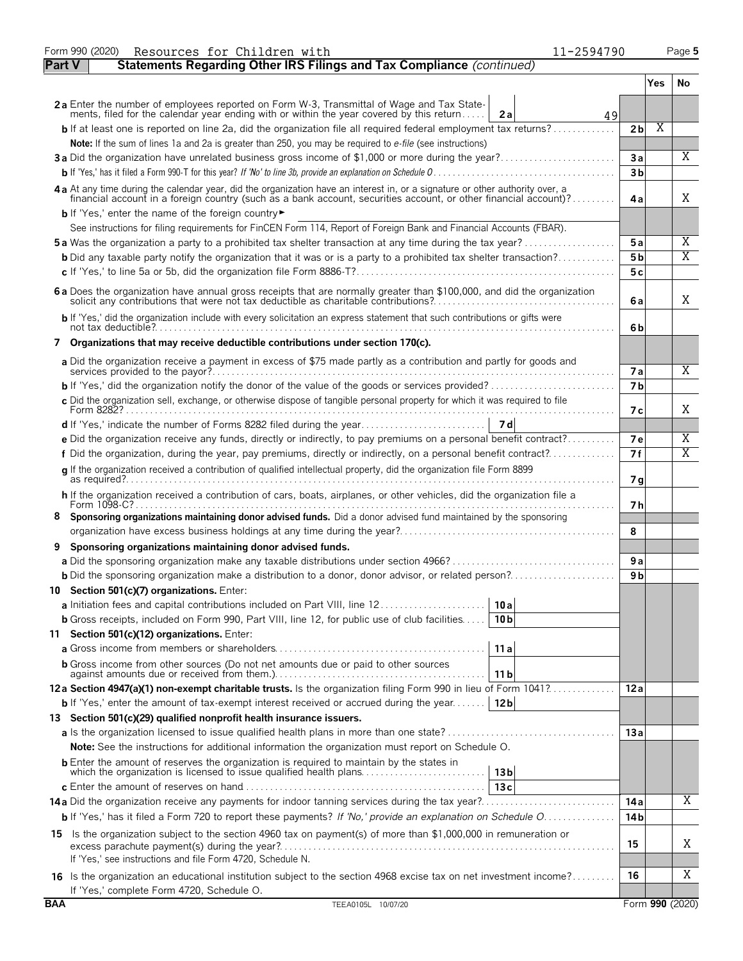|            | Form 990 (2020)<br>Resources for Children with<br>11-2594790                                                                                                                                                                   |                |     | Page 5          |
|------------|--------------------------------------------------------------------------------------------------------------------------------------------------------------------------------------------------------------------------------|----------------|-----|-----------------|
| Part V     | Statements Regarding Other IRS Filings and Tax Compliance (continued)                                                                                                                                                          |                |     |                 |
|            |                                                                                                                                                                                                                                |                | Yes | No.             |
|            | 2a Enter the number of employees reported on Form W-3, Transmittal of Wage and Tax State-<br>ments, filed for the calendar year ending with or within the year covered by this return<br>2a<br>49                              |                |     |                 |
|            | <b>b</b> If at least one is reported on line 2a, did the organization file all required federal employment tax returns?                                                                                                        | 2 <sub>b</sub> | Χ   |                 |
|            | Note: If the sum of lines 1a and 2a is greater than 250, you may be required to e-file (see instructions)                                                                                                                      |                |     |                 |
|            | 3a Did the organization have unrelated business gross income of \$1,000 or more during the year?                                                                                                                               | 3a             |     | X               |
|            |                                                                                                                                                                                                                                | 3 <sub>b</sub> |     |                 |
|            | 4 a At any time during the calendar year, did the organization have an interest in, or a signature or other authority over, a financial account in a foreign country (such as a bank account, securities account, or other fin | 4a             |     | X               |
|            | <b>b</b> If 'Yes,' enter the name of the foreign country                                                                                                                                                                       |                |     |                 |
|            | See instructions for filing requirements for FinCEN Form 114, Report of Foreign Bank and Financial Accounts (FBAR).                                                                                                            |                |     |                 |
|            | <b>5a</b> Was the organization a party to a prohibited tax shelter transaction at any time during the tax year?                                                                                                                | 5a             |     | Χ               |
|            | <b>b</b> Did any taxable party notify the organization that it was or is a party to a prohibited tax shelter transaction?                                                                                                      | 5 b            |     | X               |
|            |                                                                                                                                                                                                                                | 5c             |     |                 |
|            | 6 a Does the organization have annual gross receipts that are normally greater than \$100,000, and did the organization solicit any contributions that were not tax deductible as charitable contributions?                    | 6a             |     | X               |
|            | b If 'Yes,' did the organization include with every solicitation an express statement that such contributions or gifts were                                                                                                    | 6b             |     |                 |
|            | 7 Organizations that may receive deductible contributions under section 170(c).                                                                                                                                                |                |     |                 |
|            | a Did the organization receive a payment in excess of \$75 made partly as a contribution and partly for goods and                                                                                                              | <b>7a</b>      |     | X               |
|            |                                                                                                                                                                                                                                | 7 <sub>b</sub> |     |                 |
|            | c Did the organization sell, exchange, or otherwise dispose of tangible personal property for which it was required to file                                                                                                    | 7 с            |     | X               |
|            |                                                                                                                                                                                                                                |                |     |                 |
|            | e Did the organization receive any funds, directly or indirectly, to pay premiums on a personal benefit contract?                                                                                                              | 7e             |     | Χ               |
|            | f Did the organization, during the year, pay premiums, directly or indirectly, on a personal benefit contract?                                                                                                                 | 7f             |     | Χ               |
|            | g If the organization received a contribution of qualified intellectual property, did the organization file Form 8899                                                                                                          | 7g             |     |                 |
|            | h If the organization received a contribution of cars, boats, airplanes, or other vehicles, did the organization file a                                                                                                        | 7 h            |     |                 |
|            | Sponsoring organizations maintaining donor advised funds. Did a donor advised fund maintained by the sponsoring                                                                                                                | 8              |     |                 |
| 9          | Sponsoring organizations maintaining donor advised funds.                                                                                                                                                                      |                |     |                 |
|            |                                                                                                                                                                                                                                | 9a             |     |                 |
|            | <b>b</b> Did the sponsoring organization make a distribution to a donor, donor advisor, or related person?                                                                                                                     | 9 b            |     |                 |
|            | 10 Section 501(c)(7) organizations. Enter:                                                                                                                                                                                     |                |     |                 |
|            | 10 a                                                                                                                                                                                                                           |                |     |                 |
|            | <b>b</b> Gross receipts, included on Form 990, Part VIII, line 12, for public use of club facilities<br>10 <sub>b</sub>                                                                                                        |                |     |                 |
|            | 11 Section 501(c)(12) organizations. Enter:                                                                                                                                                                                    |                |     |                 |
|            | 11a                                                                                                                                                                                                                            |                |     |                 |
|            | <b>b</b> Gross income from other sources (Do not net amounts due or paid to other sources<br>11 b                                                                                                                              |                |     |                 |
|            | 12a Section 4947(a)(1) non-exempt charitable trusts. Is the organization filing Form 990 in lieu of Form 1041?                                                                                                                 | 12a            |     |                 |
|            | <b>b</b> If 'Yes,' enter the amount of tax-exempt interest received or accrued during the year <b>12b</b>                                                                                                                      |                |     |                 |
|            | 13 Section 501(c)(29) qualified nonprofit health insurance issuers.                                                                                                                                                            |                |     |                 |
|            |                                                                                                                                                                                                                                | 13a            |     |                 |
|            | <b>Note:</b> See the instructions for additional information the organization must report on Schedule O.                                                                                                                       |                |     |                 |
|            | <b>b</b> Enter the amount of reserves the organization is required to maintain by the states in<br>which the organization is licensed to issue qualified health plans<br>13 <sub>b</sub>                                       |                |     |                 |
|            | 13c                                                                                                                                                                                                                            |                |     | Χ               |
|            | b If 'Yes,' has it filed a Form 720 to report these payments? If 'No,' provide an explanation on Schedule O                                                                                                                    | 14 a           |     |                 |
|            |                                                                                                                                                                                                                                | 14 b           |     |                 |
|            | 15 Is the organization subject to the section 4960 tax on payment(s) of more than \$1,000,000 in remuneration or<br>If 'Yes,' see instructions and file Form 4720, Schedule N.                                                 | 15             |     | Χ               |
|            | 16 Is the organization an educational institution subject to the section 4968 excise tax on net investment income?                                                                                                             | 16             |     | Χ               |
|            | If 'Yes,' complete Form 4720, Schedule O.                                                                                                                                                                                      |                |     |                 |
| <b>BAA</b> | TEEA0105L 10/07/20                                                                                                                                                                                                             |                |     | Form 990 (2020) |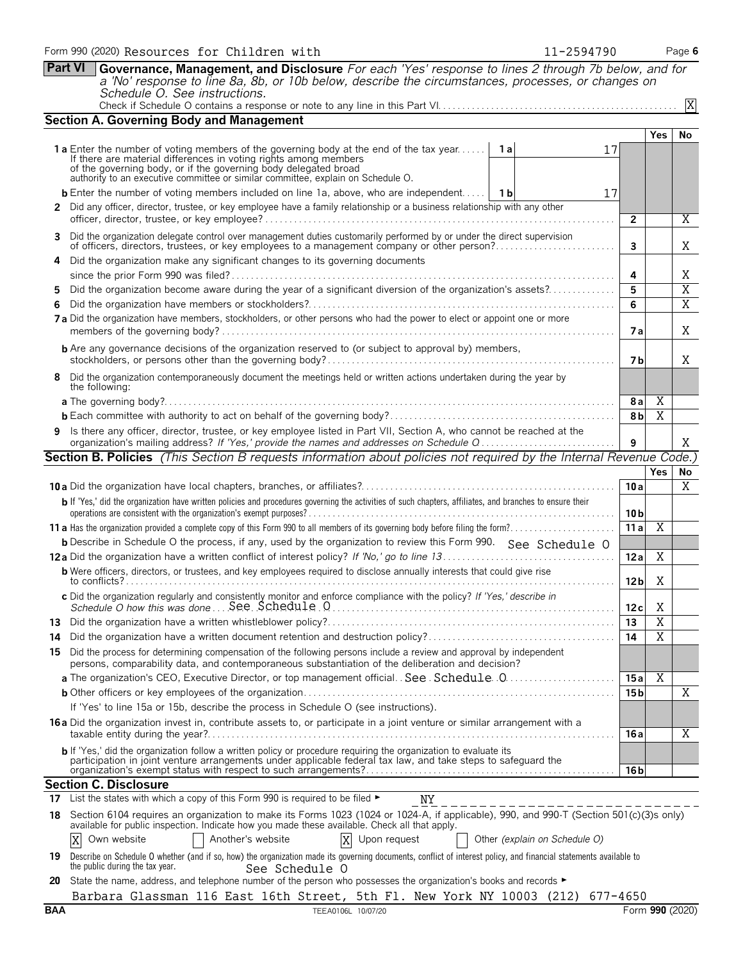|     | Form 990 (2020) Resources for Children with<br>11-2594790                                                                                                                                                                                                                                                                             |                 |                       | Page 6                           |
|-----|---------------------------------------------------------------------------------------------------------------------------------------------------------------------------------------------------------------------------------------------------------------------------------------------------------------------------------------|-----------------|-----------------------|----------------------------------|
|     | <b>Part VI</b><br>Governance, Management, and Disclosure For each 'Yes' response to lines 2 through 7b below, and for<br>a 'No' response to line 8a, 8b, or 10b below, describe the circumstances, processes, or changes on<br>Schedule O. See instructions.                                                                          |                 |                       |                                  |
|     |                                                                                                                                                                                                                                                                                                                                       |                 |                       | $\overline{X}$                   |
|     | <b>Section A. Governing Body and Management</b>                                                                                                                                                                                                                                                                                       |                 |                       |                                  |
|     |                                                                                                                                                                                                                                                                                                                                       |                 | <b>Yes</b>            | No                               |
|     | <b>1a</b> Enter the number of voting members of the governing body at the end of the tax year <b>1a</b><br>17<br>If there are material differences in voting rights among members<br>of the governing body, or if the governing body delegated broad authority to an executive committee or similar committee, explain on Schedule O. |                 |                       |                                  |
|     | <b>b</b> Enter the number of voting members included on line 1a, above, who are independent   1b<br>17                                                                                                                                                                                                                                |                 |                       |                                  |
|     | 2 Did any officer, director, trustee, or key employee have a family relationship or a business relationship with any other                                                                                                                                                                                                            | $\overline{2}$  |                       | $\overline{X}$                   |
| 3   | Did the organization delegate control over management duties customarily performed by or under the direct supervision<br>of officers, directors, trustees, or key employees to a management company or other person?                                                                                                                  | 3               |                       | Χ                                |
|     | Did the organization make any significant changes to its governing documents                                                                                                                                                                                                                                                          |                 |                       |                                  |
|     |                                                                                                                                                                                                                                                                                                                                       | 4               |                       | Χ                                |
|     | Did the organization become aware during the year of a significant diversion of the organization's assets?                                                                                                                                                                                                                            | 5<br>6          |                       | $\overline{X}$<br>$\overline{X}$ |
|     | 7a Did the organization have members, stockholders, or other persons who had the power to elect or appoint one or more                                                                                                                                                                                                                | <b>7a</b>       |                       | Χ                                |
|     | <b>b</b> Are any governance decisions of the organization reserved to (or subject to approval by) members,                                                                                                                                                                                                                            |                 |                       |                                  |
|     | 8 Did the organization contemporaneously document the meetings held or written actions undertaken during the year by                                                                                                                                                                                                                  | 7 <sub>b</sub>  |                       | Χ                                |
|     | the following:                                                                                                                                                                                                                                                                                                                        | 8a              | Χ                     |                                  |
|     |                                                                                                                                                                                                                                                                                                                                       | 8b              | X                     |                                  |
|     | 9 Is there any officer, director, trustee, or key employee listed in Part VII, Section A, who cannot be reached at the                                                                                                                                                                                                                |                 |                       |                                  |
|     | organization's mailing address? If 'Yes,' provide the names and addresses on Schedule Q                                                                                                                                                                                                                                               | 9               |                       | X                                |
|     | <b>Section B. Policies</b> (This Section B requests information about policies not required by the Internal Revenue Code.)                                                                                                                                                                                                            |                 |                       |                                  |
|     |                                                                                                                                                                                                                                                                                                                                       |                 |                       |                                  |
|     |                                                                                                                                                                                                                                                                                                                                       |                 | <b>Yes</b>            | No                               |
|     |                                                                                                                                                                                                                                                                                                                                       | 10a             |                       | X                                |
|     | b If 'Yes,' did the organization have written policies and procedures governing the activities of such chapters, affiliates, and branches to ensure their                                                                                                                                                                             | 10 <sub>b</sub> |                       |                                  |
|     |                                                                                                                                                                                                                                                                                                                                       | 11a             | $\overline{X}$        |                                  |
|     | <b>b</b> Describe in Schedule O the process, if any, used by the organization to review this Form 990. See Schedule O                                                                                                                                                                                                                 |                 |                       |                                  |
|     |                                                                                                                                                                                                                                                                                                                                       | 12a             | Χ                     |                                  |
|     | <b>b</b> Were officers, directors, or trustees, and key employees required to disclose annually interests that could give rise                                                                                                                                                                                                        | 12 <sub>b</sub> | X                     |                                  |
|     | c Did the organization regularly and consistently monitor and enforce compliance with the policy? If 'Yes,' describe in<br>Schedule O how this was done See. Schedule 0.                                                                                                                                                              | 12c             | X                     |                                  |
| 13. |                                                                                                                                                                                                                                                                                                                                       | 13              | $\overline{X}$        |                                  |
| 14  |                                                                                                                                                                                                                                                                                                                                       | 14              | $\overline{\text{X}}$ |                                  |
|     | 15 Did the process for determining compensation of the following persons include a review and approval by independent                                                                                                                                                                                                                 |                 |                       |                                  |
|     | persons, comparability data, and contemporaneous substantiation of the deliberation and decision?<br>a The organization's CEO, Executive Director, or top management official. See . Schedule. 0                                                                                                                                      | 15a             | X                     |                                  |
|     |                                                                                                                                                                                                                                                                                                                                       | 15 <sub>b</sub> |                       | Χ                                |
|     | If 'Yes' to line 15a or 15b, describe the process in Schedule O (see instructions).                                                                                                                                                                                                                                                   |                 |                       |                                  |
|     | <b>16a</b> Did the organization invest in, contribute assets to, or participate in a joint venture or similar arrangement with a                                                                                                                                                                                                      | 16 a            |                       | Χ                                |
|     |                                                                                                                                                                                                                                                                                                                                       |                 |                       |                                  |
|     | b If 'Yes,' did the organization follow a written policy or procedure requiring the organization to evaluate its<br>participation in joint venture arrangements under applicable federal tax law, and take steps to safeguard the                                                                                                     | 16 b            |                       |                                  |
|     | <b>Section C. Disclosure</b>                                                                                                                                                                                                                                                                                                          |                 |                       |                                  |
| 17  | List the states with which a copy of this Form 990 is required to be filed ►<br>ΝY                                                                                                                                                                                                                                                    |                 |                       |                                  |
| 18. | Section 6104 requires an organization to make its Forms 1023 (1024 or 1024-A, if applicable), 990, and 990-T (Section 501(c)(3)s only)<br>available for public inspection. Indicate how you made these available. Check all that apply.                                                                                               |                 |                       |                                  |
| 19  | X Upon request<br>Another's website<br>Own website<br>Other (explain on Schedule O)<br>X<br>Describe on Schedule O whether (and if so, how) the organization made its governing documents, conflict of interest policy, and financial statements available to                                                                         |                 |                       |                                  |

**20** State the name, address, and telephone number of the person who possesses the organization's books and records ►

**BAA** TEEA0106L 10/07/20 Form **990** (2020) Barbara Glassman 116 East 16th Street, 5th Fl. New York NY 10003 (212) 677-4650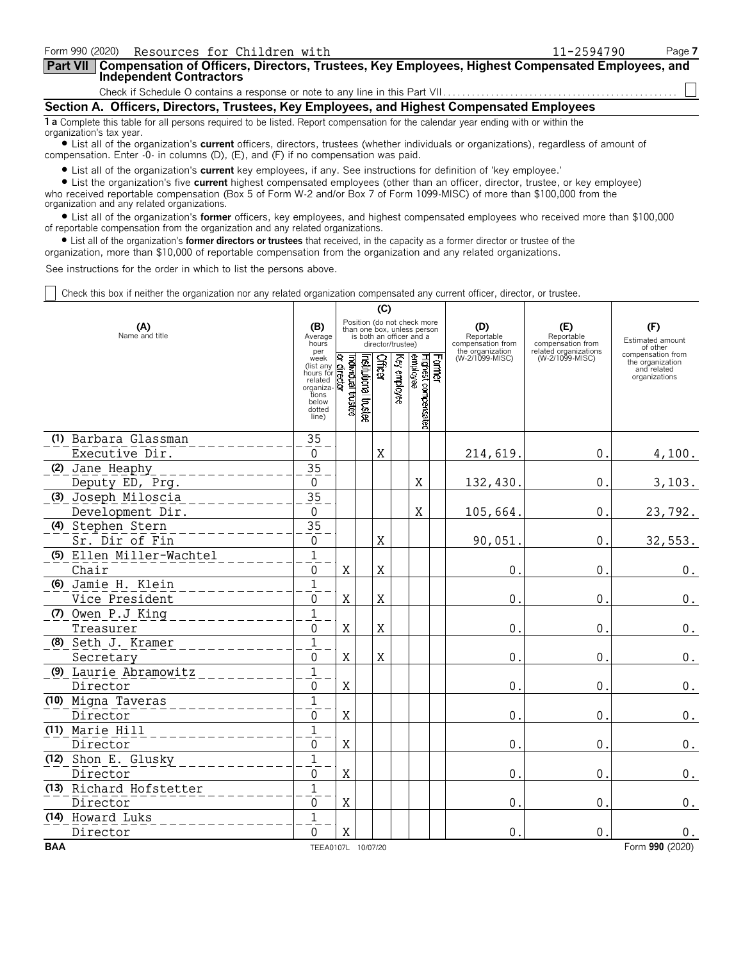| Form 990 (2020) Resources for Children with                                                                                                                           | 11-2594790 | Page 7 |
|-----------------------------------------------------------------------------------------------------------------------------------------------------------------------|------------|--------|
| Part VII   Compensation of Officers, Directors, Trustees, Key Employees, Highest Compensated Employees, and<br><b>Independent Contractors</b>                         |            |        |
|                                                                                                                                                                       |            |        |
| Section A. Officers, Directors, Trustees, Key Employees, and Highest Compensated Employees                                                                            |            |        |
| <b>1 a</b> Complete this table for all persons required to be listed. Report compensation for the calendar year ending with or within the<br>organization's tax year. |            |        |

? List all of the organization's **current** officers, directors, trustees (whether individuals or organizations), regardless of amount of compensation. Enter -0- in columns (D), (E), and (F) if no compensation was paid.

? List all of the organization's **current** key employees, if any. See instructions for definition of 'key employee.'

? List the organization's five **current** highest compensated employees (other than an officer, director, trustee, or key employee) who received reportable compensation (Box 5 of Form W-2 and/or Box 7 of Form 1099-MISC) of more than \$100,000 from the organization and any related organizations.

? List all of the organization's **former** officers, key employees, and highest compensated employees who received more than \$100,000 of reportable compensation from the organization and any related organizations.

? List all of the organization's **former directors or trustees** that received, in the capacity as a former director or trustee of the

organization, more than \$10,000 of reportable compensation from the organization and any related organizations.

See instructions for the order in which to list the persons above.

Check this box if neither the organization nor any related organization compensated any current officer, director, or trustee.

|            |                                         |                                                                                             |                                |                      | (C)     |                   |                                                                                        |                                                            |                                                                 |                                                                       |
|------------|-----------------------------------------|---------------------------------------------------------------------------------------------|--------------------------------|----------------------|---------|-------------------|----------------------------------------------------------------------------------------|------------------------------------------------------------|-----------------------------------------------------------------|-----------------------------------------------------------------------|
|            | (A)<br>Name and title                   | (B)<br>Average<br>hours<br>per                                                              |                                |                      |         | director/trustee) | Position (do not check more<br>than one box, unless person<br>is both an officer and a | (D)<br>Reportable<br>compensation from<br>the organization | (E)<br>Reportable<br>compensation from<br>related organizations | (F)<br>Estimated amount<br>of other                                   |
|            |                                         | week<br>(list any<br>hours for<br>related<br>organiza-<br>tions<br>below<br>dotted<br>line) | Individual trustee<br>director | nstitutional trustee | Officer | Key employee      | Former<br>Highest compensated<br>employee                                              | (W-2/1099-MISC)                                            | (W-2/1099-MISC)                                                 | compensation from<br>the organization<br>and related<br>organizations |
|            | (1) Barbara Glassman                    | 35                                                                                          |                                |                      |         |                   |                                                                                        |                                                            |                                                                 |                                                                       |
|            | Executive Dir.                          | $\Omega$                                                                                    |                                |                      | X       |                   |                                                                                        | 214,619.                                                   | 0.                                                              | 4,100.                                                                |
|            | (2) Jane Heaphy                         | $\overline{35}$                                                                             |                                |                      |         |                   |                                                                                        |                                                            |                                                                 |                                                                       |
|            | Deputy ED, Prg.                         | $\overline{0}$                                                                              |                                |                      |         |                   | X                                                                                      | 132,430.                                                   | $\mathbf 0$ .                                                   | 3,103.                                                                |
|            | (3) Joseph Miloscia<br>Development Dir. | $\overline{35}$<br>$\Omega$                                                                 |                                |                      |         |                   | X                                                                                      | 105,664.                                                   | $\mathbf{0}$ .                                                  | 23,792.                                                               |
|            | (4) Stephen Stern                       | $\overline{35}$                                                                             |                                |                      |         |                   |                                                                                        |                                                            |                                                                 |                                                                       |
|            | Sr. Dir of Fin                          | 0                                                                                           |                                |                      | X       |                   |                                                                                        | 90,051                                                     | $\mathbf{0}$                                                    | 32,553.                                                               |
|            | (5) Ellen Miller-Wachtel                | $\mathbf{1}$                                                                                |                                |                      |         |                   |                                                                                        |                                                            |                                                                 |                                                                       |
|            | Chair                                   | $\Omega$                                                                                    | X                              |                      | X       |                   |                                                                                        | 0                                                          | 0                                                               | $\boldsymbol{0}$ .                                                    |
|            | (6) Jamie H. Klein                      | $\mathbf{1}$                                                                                |                                |                      |         |                   |                                                                                        |                                                            |                                                                 |                                                                       |
|            | Vice President                          | $\Omega$                                                                                    | $\mathbf X$                    |                      | X       |                   |                                                                                        | $\mathbf 0$                                                | $\mathbf{0}$                                                    | 0.                                                                    |
|            | (7) Owen P.J King                       | $\mathbf{1}$                                                                                |                                |                      |         |                   |                                                                                        |                                                            |                                                                 |                                                                       |
|            | Treasurer                               | $\Omega$                                                                                    | $\mathbf X$                    |                      | X       |                   |                                                                                        | $\mathbf 0$                                                | $\mathbf{0}$                                                    | $\boldsymbol{0}$ .                                                    |
|            | (8) Seth J. Kramer                      | $\overline{1}$                                                                              |                                |                      |         |                   |                                                                                        |                                                            |                                                                 |                                                                       |
|            | Secretary                               | $\Omega$                                                                                    | X                              |                      | X       |                   |                                                                                        | 0                                                          | $\mathbf{0}$                                                    | 0.                                                                    |
|            | (9) Laurie Abramowitz                   | $\overline{1}$                                                                              |                                |                      |         |                   |                                                                                        |                                                            |                                                                 |                                                                       |
|            | Director                                | $\Omega$                                                                                    | X                              |                      |         |                   |                                                                                        | 0                                                          | $\mathbf{0}$                                                    | 0.                                                                    |
|            | (10) Migna Taveras                      | $\mathbf{1}$                                                                                |                                |                      |         |                   |                                                                                        |                                                            |                                                                 |                                                                       |
|            | Director                                | $\Omega$                                                                                    | X                              |                      |         |                   |                                                                                        | $\mathbf 0$                                                | $\mathbf{0}$                                                    | $\boldsymbol{0}$ .                                                    |
|            | (11) Marie Hill                         | $\mathbf{1}$                                                                                |                                |                      |         |                   |                                                                                        |                                                            |                                                                 |                                                                       |
|            | Director                                | $\mathbf 0$                                                                                 | $\mathbf X$                    |                      |         |                   |                                                                                        | $\boldsymbol{0}$                                           | $\mathbf{0}$                                                    | $\boldsymbol{0}$ .                                                    |
|            | (12) Shon E. Glusky                     | $\mathbf{1}$                                                                                |                                |                      |         |                   |                                                                                        |                                                            |                                                                 |                                                                       |
|            | Director                                | 0                                                                                           | X                              |                      |         |                   |                                                                                        | $\mathbf 0$                                                | $\mathbf 0$                                                     | 0.                                                                    |
|            | (13) Richard Hofstetter                 | $\overline{1}$                                                                              |                                |                      |         |                   |                                                                                        |                                                            |                                                                 |                                                                       |
|            | Director                                | $\mathbf{0}$                                                                                | X                              |                      |         |                   |                                                                                        | $\mathbf 0$                                                | $\mathbf 0$                                                     | 0.                                                                    |
|            | (14) Howard Luks                        | $\overline{1}$                                                                              |                                |                      |         |                   |                                                                                        |                                                            |                                                                 |                                                                       |
|            | Director                                | $\Omega$                                                                                    | X                              |                      |         |                   |                                                                                        | $\overline{0}$                                             | $\overline{0}$                                                  | $\boldsymbol{0}$ .                                                    |
| <b>BAA</b> |                                         | TEEA0107L 10/07/20                                                                          |                                |                      |         |                   |                                                                                        |                                                            |                                                                 | Form 990 (2020)                                                       |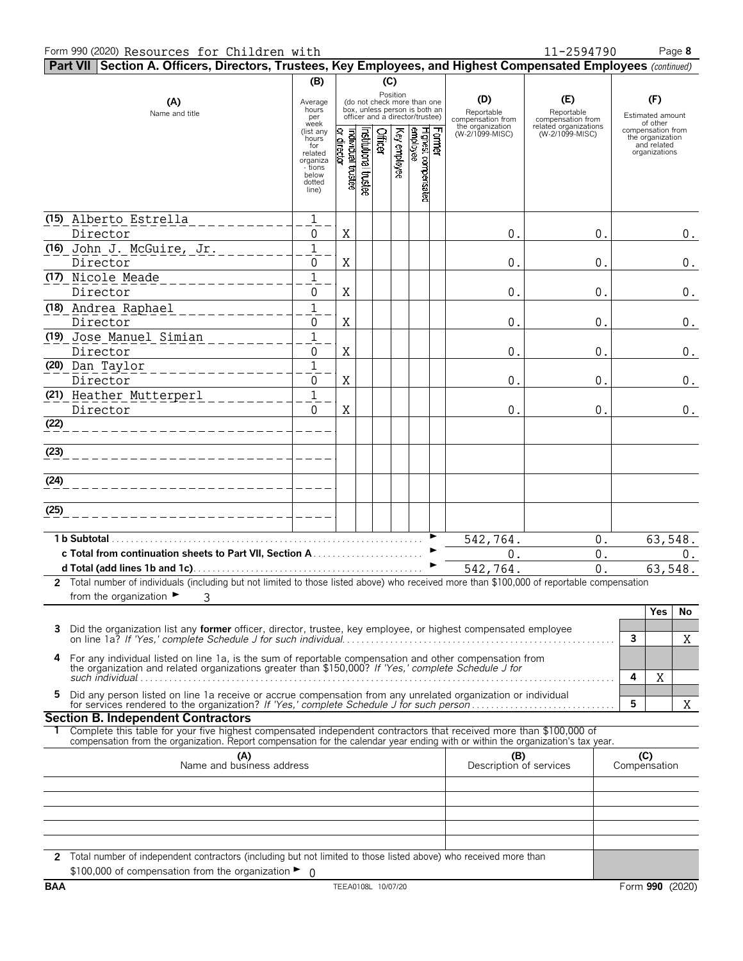|                                   | Part VII   Section A. Officers, Directors, Trustees, Key Employees, and Highest Compensated Employees (continued)                                                                                               |                                                 |                    |                                                              |                |              |                                                                                                             |  |                                                            |                                                                 |                                                                       |                    |
|-----------------------------------|-----------------------------------------------------------------------------------------------------------------------------------------------------------------------------------------------------------------|-------------------------------------------------|--------------------|--------------------------------------------------------------|----------------|--------------|-------------------------------------------------------------------------------------------------------------|--|------------------------------------------------------------|-----------------------------------------------------------------|-----------------------------------------------------------------------|--------------------|
|                                   |                                                                                                                                                                                                                 | (B)                                             |                    |                                                              | (C)            |              |                                                                                                             |  |                                                            |                                                                 |                                                                       |                    |
|                                   | (A)<br>Name and title                                                                                                                                                                                           | Average<br>hours<br>per<br>week                 |                    |                                                              |                |              | Position<br>(do not check more than one<br>box, unless person is both an<br>officer and a director/trustee) |  | (D)<br>Reportable<br>compensation from<br>the organization | (E)<br>Reportable<br>compensation from<br>related organizations | (F)<br>Estimated amount<br>of other                                   |                    |
|                                   |                                                                                                                                                                                                                 | (list any<br>hours<br>for<br>related            | director           |                                                              | <b>Officer</b> | Key employee |                                                                                                             |  | (W-2/1099-MISC)                                            | (W-2/1099-MISC)                                                 | compensation from<br>the organization<br>and related<br>organizations |                    |
|                                   |                                                                                                                                                                                                                 | organiza<br>- tions<br>below<br>dotted<br>line) |                    | Institutional trustea<br>Individual trustee<br><b>Hustes</b> |                |              | Former<br> Highest compensated<br> employee                                                                 |  |                                                            |                                                                 |                                                                       |                    |
| (15) Alberto Estrella<br>Director |                                                                                                                                                                                                                 | $\mathbf{1}$<br>0                               | X                  |                                                              |                |              |                                                                                                             |  | 0.                                                         | 0.                                                              |                                                                       | $0_{.}$            |
|                                   | (16) John J. McGuire, Jr.                                                                                                                                                                                       | $\mathbf{1}$                                    |                    |                                                              |                |              |                                                                                                             |  |                                                            |                                                                 |                                                                       |                    |
| Director<br>(17) Nicole Meade     |                                                                                                                                                                                                                 | 0<br>$\mathbf{1}$                               | X                  |                                                              |                |              |                                                                                                             |  | 0.                                                         | 0.                                                              |                                                                       | 0.                 |
| Director<br>(18) Andrea Raphael   |                                                                                                                                                                                                                 | 0<br>$\mathbf{1}$                               | X                  |                                                              |                |              |                                                                                                             |  | 0.                                                         | 0.                                                              |                                                                       | 0.                 |
| Director                          | (19) Jose Manuel Simian                                                                                                                                                                                         | 0<br>$\mathbf{1}$                               | X                  |                                                              |                |              |                                                                                                             |  | 0.                                                         | 0.                                                              |                                                                       | $\boldsymbol{0}$ . |
| Director                          |                                                                                                                                                                                                                 | 0                                               | X                  |                                                              |                |              |                                                                                                             |  | 0.                                                         | 0.                                                              |                                                                       | 0.                 |
| (20) Dan Taylor<br>Director       |                                                                                                                                                                                                                 | $\mathbf{1}$<br>0                               | X                  |                                                              |                |              |                                                                                                             |  | 0.                                                         | 0.                                                              |                                                                       | 0.                 |
| Director                          | (21) Heather Mutterperl                                                                                                                                                                                         | $\mathbf{1}$<br>$\Omega$                        | X                  |                                                              |                |              |                                                                                                             |  | 0.                                                         | 0.                                                              |                                                                       | 0.                 |
| (22)                              |                                                                                                                                                                                                                 |                                                 |                    |                                                              |                |              |                                                                                                             |  |                                                            |                                                                 |                                                                       |                    |
| (23)                              |                                                                                                                                                                                                                 |                                                 |                    |                                                              |                |              |                                                                                                             |  |                                                            |                                                                 |                                                                       |                    |
| (24)                              |                                                                                                                                                                                                                 |                                                 |                    |                                                              |                |              |                                                                                                             |  |                                                            |                                                                 |                                                                       |                    |
| (25)                              |                                                                                                                                                                                                                 |                                                 |                    |                                                              |                |              |                                                                                                             |  |                                                            |                                                                 |                                                                       |                    |
| 1 b Subtotal.                     |                                                                                                                                                                                                                 |                                                 |                    |                                                              |                |              |                                                                                                             |  | 542,764.                                                   | $0$ .                                                           |                                                                       | 63,548.            |
|                                   |                                                                                                                                                                                                                 |                                                 |                    |                                                              |                |              |                                                                                                             |  | 0.                                                         | $0$ .                                                           |                                                                       | 0.                 |
|                                   | 2 Total number of individuals (including but not limited to those listed above) who received more than \$100,000 of reportable compensation<br>from the organization $\blacktriangleright$<br>3                 |                                                 |                    |                                                              |                |              |                                                                                                             |  | 542,764.                                                   | 0.                                                              |                                                                       | 63,548.            |
|                                   |                                                                                                                                                                                                                 |                                                 |                    |                                                              |                |              |                                                                                                             |  |                                                            |                                                                 | Yes                                                                   | No                 |
|                                   | Did the organization list any <b>former</b> officer, director, trustee, key employee, or highest compensated employee                                                                                           |                                                 |                    |                                                              |                |              |                                                                                                             |  |                                                            |                                                                 | 3                                                                     | Χ                  |
| 4                                 | For any individual listed on line 1a, is the sum of reportable compensation and other compensation from<br>the organization and related organizations greater than \$150,000? If 'Yes,' complete Schedule J for |                                                 |                    |                                                              |                |              |                                                                                                             |  |                                                            |                                                                 |                                                                       |                    |
| 5                                 | Did any person listed on line 1a receive or accrue compensation from any unrelated organization or individual                                                                                                   |                                                 |                    |                                                              |                |              |                                                                                                             |  |                                                            |                                                                 | 4                                                                     | Χ                  |
|                                   | <b>Section B. Independent Contractors</b>                                                                                                                                                                       |                                                 |                    |                                                              |                |              |                                                                                                             |  |                                                            |                                                                 | 5                                                                     | X                  |
|                                   | Complete this table for your five highest compensated independent contractors that received more than \$100,000 of                                                                                              |                                                 |                    |                                                              |                |              |                                                                                                             |  |                                                            |                                                                 |                                                                       |                    |
|                                   | compensation from the organization. Report compensation for the calendar year ending with or within the organization's tax year.<br>(A)<br>Name and business address                                            |                                                 |                    |                                                              |                |              |                                                                                                             |  |                                                            |                                                                 | (C)<br>Compensation                                                   |                    |
|                                   | (B)<br>Description of services                                                                                                                                                                                  |                                                 |                    |                                                              |                |              |                                                                                                             |  |                                                            |                                                                 |                                                                       |                    |
|                                   |                                                                                                                                                                                                                 |                                                 |                    |                                                              |                |              |                                                                                                             |  |                                                            |                                                                 |                                                                       |                    |
|                                   |                                                                                                                                                                                                                 |                                                 |                    |                                                              |                |              |                                                                                                             |  |                                                            |                                                                 |                                                                       |                    |
|                                   | 2 Total number of independent contractors (including but not limited to those listed above) who received more than<br>\$100,000 of compensation from the organization $\blacktriangleright$ 0                   |                                                 |                    |                                                              |                |              |                                                                                                             |  |                                                            |                                                                 |                                                                       |                    |
| <b>BAA</b>                        |                                                                                                                                                                                                                 |                                                 | TEEA0108L 10/07/20 |                                                              |                |              |                                                                                                             |  |                                                            |                                                                 | Form 990 (2020)                                                       |                    |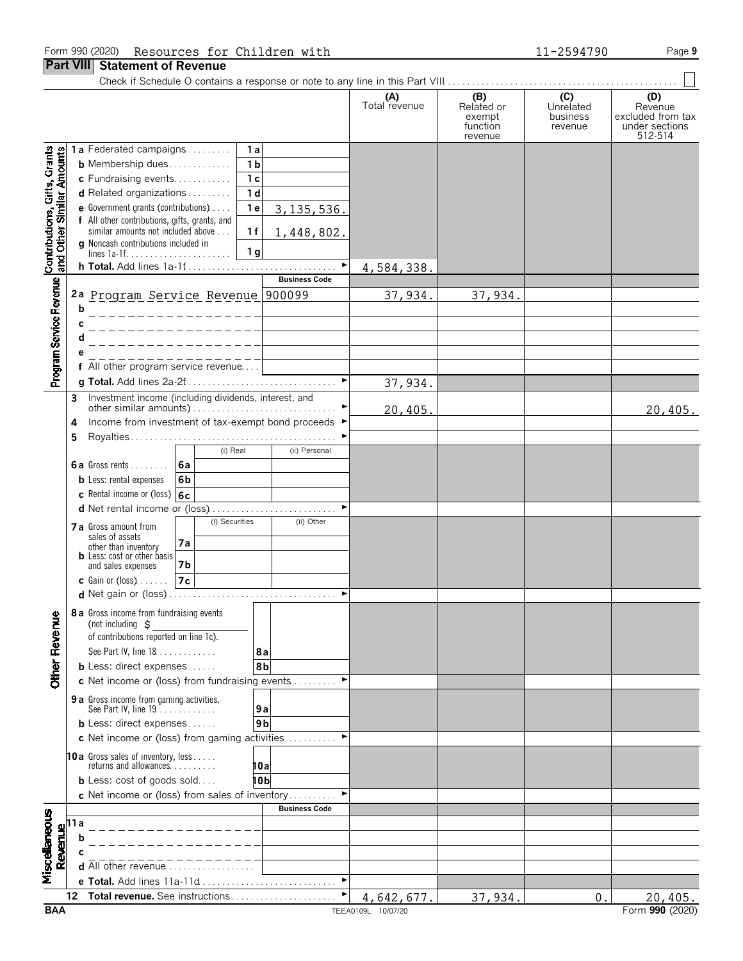#### Form 990 (2020) Page **9** Resources for Children with 11-2594790

#### **Part VIII Statement of Revenue**

Check if Schedule O contains a response or note to any line in this Part VIII. . . . . . . . . . . . . . . . . . . . . . . . . . . . . . . . . . . . . . . . . . . . . . . . .

|                                                           |                                                                          |                                                                                               |                |                |                      |                       | (A)<br>Total revenue | (B)<br>Related or<br>exempt | (C)<br>Unrelated<br>business | (D)<br>Revenue<br>excluded from tax |
|-----------------------------------------------------------|--------------------------------------------------------------------------|-----------------------------------------------------------------------------------------------|----------------|----------------|----------------------|-----------------------|----------------------|-----------------------------|------------------------------|-------------------------------------|
|                                                           |                                                                          |                                                                                               |                |                |                      |                       |                      | function<br>revenue         | revenue                      | under sections<br>512-514           |
|                                                           |                                                                          | 1a Federated campaigns                                                                        |                |                | 1a                   |                       |                      |                             |                              |                                     |
| Contributions, Cifts, Grants<br>and Other Similar Amounts |                                                                          | <b>b</b> Membership dues                                                                      |                |                | 1 <sub>b</sub>       |                       |                      |                             |                              |                                     |
|                                                           |                                                                          | c Fundraising events                                                                          |                |                | 1 <sub>c</sub>       |                       |                      |                             |                              |                                     |
|                                                           |                                                                          | d Related organizations                                                                       |                |                | 1 <sub>d</sub>       |                       |                      |                             |                              |                                     |
|                                                           |                                                                          | e Government grants (contributions)                                                           |                |                | 1e                   | 3, 135, 536.          |                      |                             |                              |                                     |
|                                                           |                                                                          | f All other contributions, gifts, grants, and<br>similar amounts not included above           |                |                | 1f                   | 1,448,802.            |                      |                             |                              |                                     |
|                                                           |                                                                          | g Noncash contributions included in                                                           |                |                |                      |                       |                      |                             |                              |                                     |
|                                                           |                                                                          |                                                                                               |                |                | 1 <sub>g</sub>       | $\blacktriangleright$ |                      |                             |                              |                                     |
|                                                           |                                                                          |                                                                                               |                |                |                      | <b>Business Code</b>  | 4,584,338.           |                             |                              |                                     |
| Program Service Revenue                                   |                                                                          | 2ª Program Service Revenue 900099                                                             |                |                |                      |                       | 37,934.              | 37,934.                     |                              |                                     |
|                                                           | b                                                                        |                                                                                               |                |                |                      |                       |                      |                             |                              |                                     |
|                                                           |                                                                          |                                                                                               |                |                |                      |                       |                      |                             |                              |                                     |
|                                                           |                                                                          |                                                                                               |                |                |                      |                       |                      |                             |                              |                                     |
|                                                           |                                                                          |                                                                                               |                |                |                      |                       |                      |                             |                              |                                     |
|                                                           |                                                                          | f All other program service revenue                                                           |                |                |                      | $\blacktriangleright$ |                      |                             |                              |                                     |
|                                                           |                                                                          |                                                                                               |                |                |                      |                       | 37,934.              |                             |                              |                                     |
|                                                           | 3                                                                        |                                                                                               |                |                |                      |                       | 20,405.              |                             |                              | 20,405.                             |
|                                                           | 4                                                                        | Income from investment of tax-exempt bond proceeds ▶                                          |                |                |                      |                       |                      |                             |                              |                                     |
|                                                           | 5                                                                        |                                                                                               |                |                |                      |                       |                      |                             |                              |                                     |
|                                                           |                                                                          |                                                                                               |                | (i) Real       |                      | (ii) Personal         |                      |                             |                              |                                     |
|                                                           |                                                                          | 6a Gross rents                                                                                | 6a             |                |                      |                       |                      |                             |                              |                                     |
|                                                           |                                                                          | <b>b</b> Less: rental expenses<br>c Rental income or (loss) 6c                                | 6 <sub>b</sub> |                |                      |                       |                      |                             |                              |                                     |
|                                                           |                                                                          |                                                                                               |                |                |                      |                       |                      |                             |                              |                                     |
|                                                           |                                                                          | 7 a Gross amount from                                                                         |                | (i) Securities |                      | (ii) Other            |                      |                             |                              |                                     |
|                                                           |                                                                          | sales of assets                                                                               |                |                |                      |                       |                      |                             |                              |                                     |
|                                                           |                                                                          | other than inventory<br><b>b</b> Less: cost or other basis                                    | 7a             |                |                      |                       |                      |                             |                              |                                     |
|                                                           |                                                                          | and sales expenses                                                                            | 7b             |                |                      |                       |                      |                             |                              |                                     |
|                                                           |                                                                          | $c$ Gain or (loss) $\ldots$ .                                                                 | 7c             |                |                      |                       |                      |                             |                              |                                     |
|                                                           |                                                                          |                                                                                               |                |                |                      |                       |                      |                             |                              |                                     |
| å                                                         |                                                                          | 8 a Gross income from fundraising events<br>(not including $\sharp$                           |                |                |                      |                       |                      |                             |                              |                                     |
|                                                           |                                                                          | of contributions reported on line 1c).                                                        |                |                |                      |                       |                      |                             |                              |                                     |
| Other Reve                                                |                                                                          | See Part IV, line 18<br><b>b</b> Less: direct expenses                                        |                |                | 8a<br>8 <sub>b</sub> |                       |                      |                             |                              |                                     |
|                                                           |                                                                          | c Net income or (loss) from fundraising events                                                |                |                |                      |                       |                      |                             |                              |                                     |
|                                                           |                                                                          | 9 a Gross income from gaming activities.                                                      |                |                |                      |                       |                      |                             |                              |                                     |
|                                                           |                                                                          | See Part IV, line 19.                                                                         |                |                | 9a                   |                       |                      |                             |                              |                                     |
|                                                           |                                                                          | <b>b</b> Less: direct expenses                                                                |                |                | 9 <sub>b</sub>       |                       |                      |                             |                              |                                     |
|                                                           |                                                                          | c Net income or (loss) from gaming activities                                                 |                |                |                      |                       |                      |                             |                              |                                     |
|                                                           |                                                                          | <b>10a</b> Gross sales of inventory, less<br>returns and allowances                           |                |                |                      |                       |                      |                             |                              |                                     |
|                                                           |                                                                          | 10a<br><b>b</b> Less: cost of goods sold<br>10Ы                                               |                |                |                      |                       |                      |                             |                              |                                     |
|                                                           |                                                                          | c Net income or (loss) from sales of inventory                                                |                |                |                      |                       |                      |                             |                              |                                     |
|                                                           |                                                                          |                                                                                               |                |                |                      | <b>Business Code</b>  |                      |                             |                              |                                     |
| Miscellaneous                                             |                                                                          |                                                                                               |                |                |                      |                       |                      |                             |                              |                                     |
|                                                           | $\begin{array}{c}\n\hline\n\text{Re}\text{value} \\ \hline\n\end{array}$ |                                                                                               |                |                |                      |                       |                      |                             |                              |                                     |
|                                                           |                                                                          |                                                                                               |                |                |                      |                       |                      |                             |                              |                                     |
|                                                           |                                                                          | <b>d</b> All other revenue $\ldots \ldots \ldots \ldots \ldots$<br>e Total. Add lines 11a-11d |                |                |                      |                       |                      |                             |                              |                                     |
|                                                           | 12                                                                       | Total revenue. See instructions                                                               |                |                |                      |                       | 4,642,677.           | 37,934                      | $0$ .                        | 20,405.                             |
|                                                           |                                                                          |                                                                                               |                |                |                      |                       |                      |                             |                              |                                     |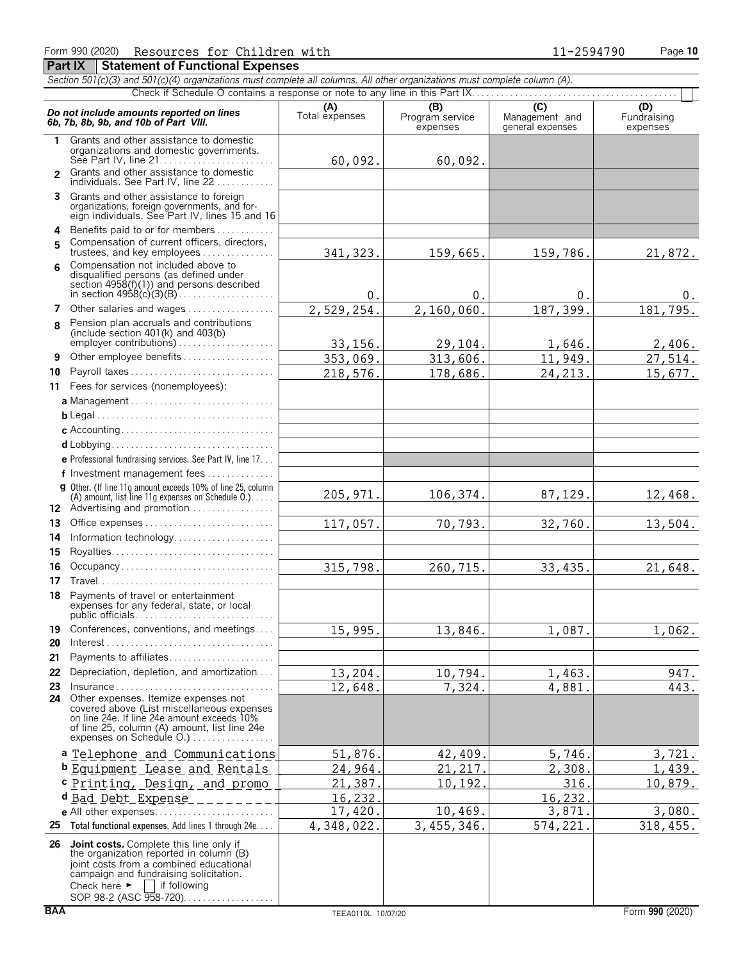|               | Section 501(c)(3) and 501(c)(4) organizations must complete all columns. All other organizations must complete column (A).                                                                                                    |                |                             |                                    |                         |  |  |  |  |  |  |
|---------------|-------------------------------------------------------------------------------------------------------------------------------------------------------------------------------------------------------------------------------|----------------|-----------------------------|------------------------------------|-------------------------|--|--|--|--|--|--|
|               |                                                                                                                                                                                                                               | (A)            | (B)                         | $\overline{C}$                     | (D)                     |  |  |  |  |  |  |
|               | Do not include amounts reported on lines<br>6b, 7b, 8b, 9b, and 10b of Part VIII.                                                                                                                                             | Total expenses | Program service<br>expenses | Management and<br>general expenses | Fundraising<br>expenses |  |  |  |  |  |  |
| 1.            | Grants and other assistance to domestic<br>organizations and domestic governments.                                                                                                                                            | 60,092.        | 60,092.                     |                                    |                         |  |  |  |  |  |  |
| $\mathcal{P}$ | Grants and other assistance to domestic<br>individuals. See Part IV, line 22                                                                                                                                                  |                |                             |                                    |                         |  |  |  |  |  |  |
| 3             | Grants and other assistance to foreign<br>organizations, foreign governments, and for-<br>eign individuals. See Part IV, lines 15 and 16                                                                                      |                |                             |                                    |                         |  |  |  |  |  |  |
| 4<br>5        | Benefits paid to or for members<br>Compensation of current officers, directors,<br>trustees, and key employees                                                                                                                | 341, 323.      | 159,665.                    | 159,786.                           | 21,872.                 |  |  |  |  |  |  |
| ĥ             | Compensation not included above to<br>disqualified persons (as defined under<br>section $4958(f)(1)$ and persons described                                                                                                    | 0.             | $0$ .                       | 0.                                 | $0$ .                   |  |  |  |  |  |  |
|               | 7 Other salaries and wages                                                                                                                                                                                                    | 2,529,254.     | 2,160,060.                  | 187,399.                           | 181,795.                |  |  |  |  |  |  |
| 8             | Pension plan accruals and contributions<br>(include section $401(k)$ and $403(b)$                                                                                                                                             | 33,156.        | 29,104.                     | 1,646.                             | 2,406.                  |  |  |  |  |  |  |
| 9             | Other employee benefits                                                                                                                                                                                                       | 353,069.       | 313,606.                    | 11,949.                            | 27,514.                 |  |  |  |  |  |  |
| 10            | Payroll taxes                                                                                                                                                                                                                 | 218,576.       | 178,686.                    | 24, 213.                           | 15,677.                 |  |  |  |  |  |  |
|               | 11 Fees for services (nonemployees):                                                                                                                                                                                          |                |                             |                                    |                         |  |  |  |  |  |  |
|               | a Management                                                                                                                                                                                                                  |                |                             |                                    |                         |  |  |  |  |  |  |
|               |                                                                                                                                                                                                                               |                |                             |                                    |                         |  |  |  |  |  |  |
|               |                                                                                                                                                                                                                               |                |                             |                                    |                         |  |  |  |  |  |  |
|               |                                                                                                                                                                                                                               |                |                             |                                    |                         |  |  |  |  |  |  |
|               | <b>e</b> Professional fundraising services. See Part IV, line $17$                                                                                                                                                            |                |                             |                                    |                         |  |  |  |  |  |  |
|               | f Investment management fees                                                                                                                                                                                                  |                |                             |                                    |                         |  |  |  |  |  |  |
|               | <b>g</b> Other. (If line 11q amount exceeds 10% of line 25, column<br>(A) amount, list line 11g expenses on Schedule $0.$ )                                                                                                   | 205, 971.      | 106,374.                    | 87,129.                            | 12,468.                 |  |  |  |  |  |  |
| 13            | Office expenses                                                                                                                                                                                                               | 117,057.       | 70,793.                     | 32,760.                            | 13,504.                 |  |  |  |  |  |  |
| 14            | Information technology                                                                                                                                                                                                        |                |                             |                                    |                         |  |  |  |  |  |  |
| 15            |                                                                                                                                                                                                                               |                |                             |                                    |                         |  |  |  |  |  |  |
| 16            | Occupancy                                                                                                                                                                                                                     | 315,798.       | 260,715.                    | 33, 435.                           | 21,648.                 |  |  |  |  |  |  |
| 17            |                                                                                                                                                                                                                               |                |                             |                                    |                         |  |  |  |  |  |  |
|               | 18 Payments of travel or entertainment<br>expenses for any federal, state, or local<br>public officials                                                                                                                       |                |                             |                                    |                         |  |  |  |  |  |  |
| 19<br>20      | Conferences, conventions, and meetings<br>$Interest \dots \dots \dots \dots \dots \dots \dots \dots \dots \dots \dots \dots \dots \dots$                                                                                      | 15,995.        | 13,846.                     | 1,087.                             | 1,062.                  |  |  |  |  |  |  |
| 21            | Payments to affiliates                                                                                                                                                                                                        |                |                             |                                    |                         |  |  |  |  |  |  |
| 22            | Depreciation, depletion, and amortization                                                                                                                                                                                     | 13,204.        | 10,794.                     | 1,463.                             | 947.                    |  |  |  |  |  |  |
| 23            | Insurance<br>24 Other expenses. Itemize expenses not<br>covered above (List miscellaneous expenses<br>on line 24e. If line 24e amount exceeds 10%<br>of line 25, column (A) amount, list line 24e<br>expenses on Schedule O.) | 12,648.        | 7,324.                      | 4,881                              | 443.                    |  |  |  |  |  |  |
|               | a Telephone and Communications                                                                                                                                                                                                | 51,876.        | 42,409                      | 5,746.                             | 3, 721.                 |  |  |  |  |  |  |
|               | <b>b</b> Equipment Lease and Rentals                                                                                                                                                                                          | 24,964.        | 21,217                      | 2,308.                             | 1,439.                  |  |  |  |  |  |  |
|               | c Printing, Design, and promo                                                                                                                                                                                                 | 21,387.        | 10,192                      | 316.                               | 10,879.                 |  |  |  |  |  |  |
|               | d Bad Debt Expense                                                                                                                                                                                                            | 16,232         |                             | 16,232                             |                         |  |  |  |  |  |  |
|               |                                                                                                                                                                                                                               | 17,420.        | 10,469.                     | 3,871.                             | 3,080.                  |  |  |  |  |  |  |
|               | 25 Total functional expenses. Add lines 1 through 24e                                                                                                                                                                         | 4,348,022.     | 3,455,346.                  | 574,221.                           | 318,455.                |  |  |  |  |  |  |
|               | 26 Joint costs. Complete this line only if<br>the organization reported in column (B)<br>joint costs from a combined educational<br>campaign and fundraising solicitation.                                                    |                |                             |                                    |                         |  |  |  |  |  |  |

Check here  $\blacktriangleright$  | if following

SOP 98-2 (ASC 958-720). . . . . . . . . . . . . . . . .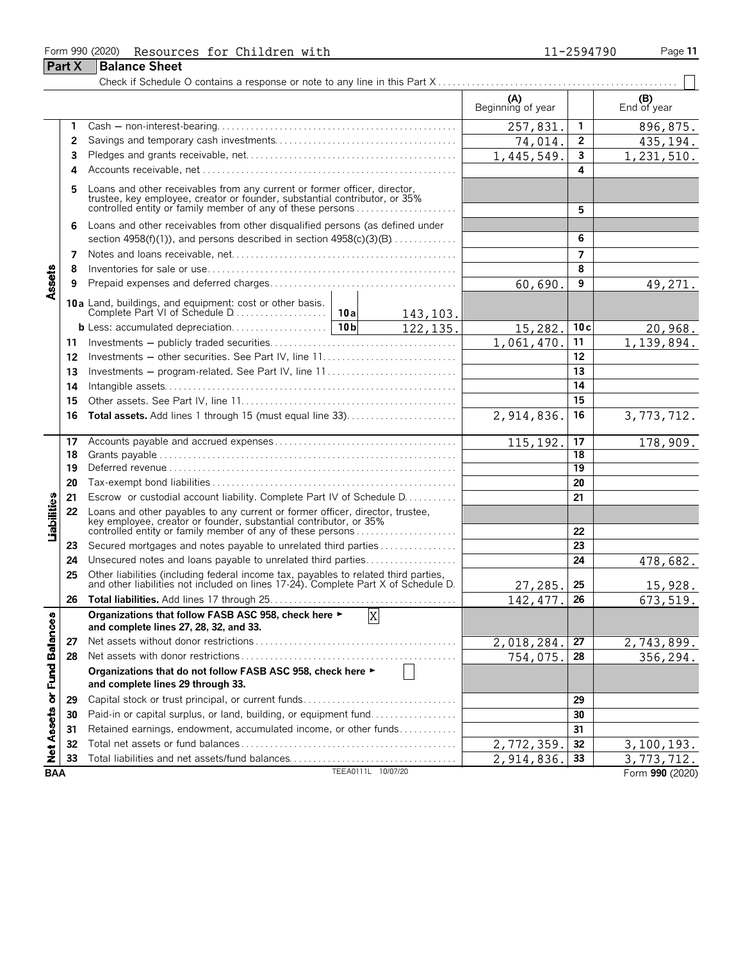#### Form 990 (2020) Page **11** Resources for Children with 11-2594790

|                      | Part X | <b>Balance Sheet</b>                                                                                                                                                                                             |                          |                |                    |
|----------------------|--------|------------------------------------------------------------------------------------------------------------------------------------------------------------------------------------------------------------------|--------------------------|----------------|--------------------|
|                      |        |                                                                                                                                                                                                                  |                          |                |                    |
|                      |        |                                                                                                                                                                                                                  | (A)<br>Beginning of year |                | (B)<br>End of year |
|                      | 1      |                                                                                                                                                                                                                  | 257,831.                 | 1              | 896,875.           |
|                      | 2      |                                                                                                                                                                                                                  | 74,014.                  | $\overline{2}$ | 435, 194.          |
|                      | 3      |                                                                                                                                                                                                                  | 1,445,549.               | 3              | 1,231,510.         |
|                      | 4      |                                                                                                                                                                                                                  |                          | 4              |                    |
|                      | 5      | Loans and other receivables from any current or former officer, director, trustee, key employee, creator or founder, substantial contributor, or 35% controlled entity or family member of any of these persons  |                          | 5              |                    |
|                      | 6      | Loans and other receivables from other disqualified persons (as defined under                                                                                                                                    |                          |                |                    |
|                      |        | section $4958(f)(1)$ , and persons described in section $4958(c)(3)(B)$                                                                                                                                          |                          | 6              |                    |
|                      | 7      |                                                                                                                                                                                                                  |                          | $\overline{ }$ |                    |
|                      | 8      |                                                                                                                                                                                                                  |                          | 8              |                    |
| Assets               | 9      |                                                                                                                                                                                                                  | 60,690                   | 9              | 49,271.            |
|                      |        | 143,103.                                                                                                                                                                                                         |                          |                |                    |
|                      |        | 122, 135.                                                                                                                                                                                                        | 15,282.                  | 10c            | 20,968.            |
|                      | 11     |                                                                                                                                                                                                                  | 1,061,470.               | 11             | 1,139,894.         |
|                      | 12     |                                                                                                                                                                                                                  |                          | 12             |                    |
|                      | 13     | Investments – program-related. See Part IV, line 11                                                                                                                                                              |                          | 13             |                    |
|                      | 14     |                                                                                                                                                                                                                  |                          | 14             |                    |
|                      | 15     |                                                                                                                                                                                                                  |                          | 15             |                    |
|                      | 16     |                                                                                                                                                                                                                  | 2,914,836.               | 16             | 3,773,712.         |
|                      | 17     |                                                                                                                                                                                                                  | 115,192.                 | 17             | 178,909.           |
|                      | 18     |                                                                                                                                                                                                                  |                          | 18             |                    |
|                      | 19     |                                                                                                                                                                                                                  |                          | 19             |                    |
|                      | 20     |                                                                                                                                                                                                                  |                          | 20             |                    |
|                      | 21     | Escrow or custodial account liability. Complete Part IV of Schedule D.                                                                                                                                           |                          | 21             |                    |
| Liabilities          | 22     | Loans and other payables to any current or former officer, director, trustee,<br>key employee, creator or founder, substantial contributor, or 35%<br>controlled entity or family member of any of these persons |                          | 22             |                    |
|                      | 23     | Secured mortgages and notes payable to unrelated third parties                                                                                                                                                   |                          | 23             |                    |
|                      | 24     | Unsecured notes and loans payable to unrelated third parties                                                                                                                                                     |                          | 24             | 478,682.           |
|                      | 25     | Other liabilities (including federal income tax, payables to related third parties, and other liabilities not included on lines 17-24). Complete Part X of Schedule D.                                           | 27,285.                  | 25             | 15,928.            |
|                      | 26     |                                                                                                                                                                                                                  | 142, 477.                | 26             | 673,519.           |
|                      |        | Organizations that follow FASB ASC 958, check here ►<br>X<br>and complete lines 27, 28, 32, and 33.                                                                                                              |                          |                |                    |
|                      | 27     |                                                                                                                                                                                                                  | 2,018,284                | 27             | 2,743,899.         |
|                      | 28     |                                                                                                                                                                                                                  | 754,075.                 | 28             | 356,294.           |
| <b>Fund Balances</b> |        | Organizations that do not follow FASB ASC 958, check here ►<br>and complete lines 29 through 33.                                                                                                                 |                          |                |                    |
|                      | 29     | Capital stock or trust principal, or current funds                                                                                                                                                               |                          | 29             |                    |
|                      | 30     | Paid-in or capital surplus, or land, building, or equipment fund                                                                                                                                                 |                          | 30             |                    |
|                      | 31     | Retained earnings, endowment, accumulated income, or other funds                                                                                                                                                 |                          | 31             |                    |
| <b>Net Assets or</b> | 32     |                                                                                                                                                                                                                  | 2,772,359.               | 32             | 3, 100, 193.       |
|                      | 33     | Total liabilities and net assets/fund balances                                                                                                                                                                   | 2,914,836.               | 33             | 3,773,712.         |
| <b>BAA</b>           |        | TEEA0111L 10/07/20                                                                                                                                                                                               |                          |                | Form 990 (2020)    |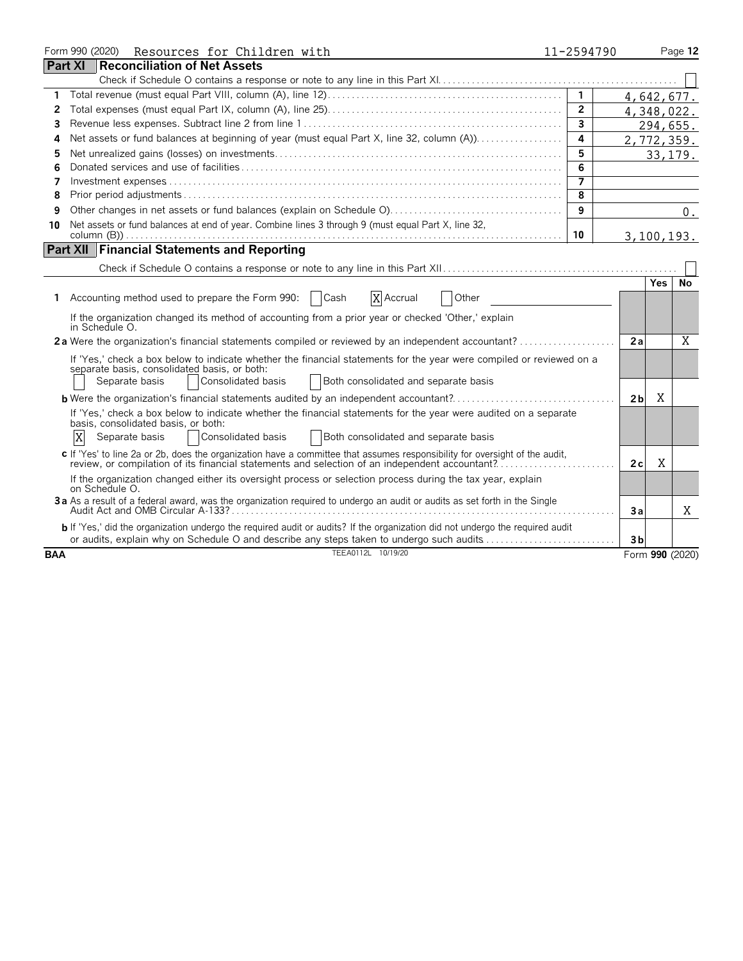|            |                | Form 990 (2020) | Resources for Children with                                                                                                                                                                                                                          | 11-2594790              |                |            | Page 12         |
|------------|----------------|-----------------|------------------------------------------------------------------------------------------------------------------------------------------------------------------------------------------------------------------------------------------------------|-------------------------|----------------|------------|-----------------|
|            | <b>Part XI</b> |                 | <b>Reconciliation of Net Assets</b>                                                                                                                                                                                                                  |                         |                |            |                 |
|            |                |                 |                                                                                                                                                                                                                                                      |                         |                |            |                 |
| 1.         |                |                 |                                                                                                                                                                                                                                                      | $\mathbf{1}$            |                |            | 4,642,677.      |
| 2          |                |                 |                                                                                                                                                                                                                                                      | $\overline{2}$          |                |            | 4,348,022.      |
| 3          |                |                 |                                                                                                                                                                                                                                                      | $\overline{\mathbf{3}}$ |                |            | 294,655.        |
| 4          |                |                 | Net assets or fund balances at beginning of year (must equal Part X, line 32, column (A)).                                                                                                                                                           | 4                       |                |            | 2,772,359.      |
| 5          |                |                 |                                                                                                                                                                                                                                                      | 5                       |                |            | 33, 179.        |
| հ          |                |                 |                                                                                                                                                                                                                                                      | $\overline{6}$          |                |            |                 |
| 7          |                |                 |                                                                                                                                                                                                                                                      |                         |                |            |                 |
| 8          |                |                 |                                                                                                                                                                                                                                                      | 8                       |                |            |                 |
| 9          |                |                 |                                                                                                                                                                                                                                                      | 9                       |                |            | $0$ .           |
| 10         |                |                 | Net assets or fund balances at end of year. Combine lines 3 through 9 (must equal Part X, line 32,                                                                                                                                                   |                         |                |            |                 |
|            |                |                 | column (B) $\ldots$ $\ldots$ $\ldots$ $\ldots$ $\ldots$ $\ldots$ $\ldots$ $\ldots$ $\ldots$ $\ldots$ $\ldots$ $\ldots$ $\ldots$ $\ldots$ $\ldots$                                                                                                    | 10                      |                |            | 3, 100, 193.    |
|            |                |                 | <b>Part XII Financial Statements and Reporting</b>                                                                                                                                                                                                   |                         |                |            |                 |
|            |                |                 |                                                                                                                                                                                                                                                      |                         |                |            |                 |
|            |                |                 |                                                                                                                                                                                                                                                      |                         |                | <b>Yes</b> | No.             |
|            |                |                 | Accounting method used to prepare the Form 990:<br>X Accrual<br>Cash<br>Other                                                                                                                                                                        |                         |                |            |                 |
|            |                | in Schedule O.  | If the organization changed its method of accounting from a prior year or checked 'Other,' explain                                                                                                                                                   |                         |                |            |                 |
|            |                |                 | 2a Were the organization's financial statements compiled or reviewed by an independent accountant?                                                                                                                                                   |                         | 2a             |            | X               |
|            |                |                 | If 'Yes,' check a box below to indicate whether the financial statements for the year were compiled or reviewed on a<br>separate basis, consolidated basis, or both:<br>Consolidated basis<br>Separate basis<br>Both consolidated and separate basis |                         |                |            |                 |
|            |                |                 | <b>b</b> Were the organization's financial statements audited by an independent accountant?                                                                                                                                                          |                         | 2 <sub>b</sub> | X          |                 |
|            | X              |                 | If 'Yes,' check a box below to indicate whether the financial statements for the year were audited on a separate<br>basis, consolidated basis, or both:<br>Consolidated basis<br>Both consolidated and separate basis<br>Separate basis              |                         |                |            |                 |
|            |                |                 | c If 'Yes' to line 2a or 2b, does the organization have a committee that assumes responsibility for oversight of the audit,<br>review, or compilation of its financial statements and selection of an independent accountant?                        |                         | 2c             | X          |                 |
|            |                | on Schedule O.  | If the organization changed either its oversight process or selection process during the tax year, explain                                                                                                                                           |                         |                |            |                 |
|            |                |                 | 3a As a result of a federal award, was the organization required to undergo an audit or audits as set forth in the Single                                                                                                                            |                         | Зa             |            | Χ               |
|            |                |                 | b If 'Yes,' did the organization undergo the required audit or audits? If the organization did not undergo the required audit<br>or audits, explain why on Schedule O and describe any steps taken to undergo such audits                            |                         | 3 <sub>b</sub> |            |                 |
| <b>BAA</b> |                |                 | TEEA0112L 10/19/20                                                                                                                                                                                                                                   |                         |                |            | Form 990 (2020) |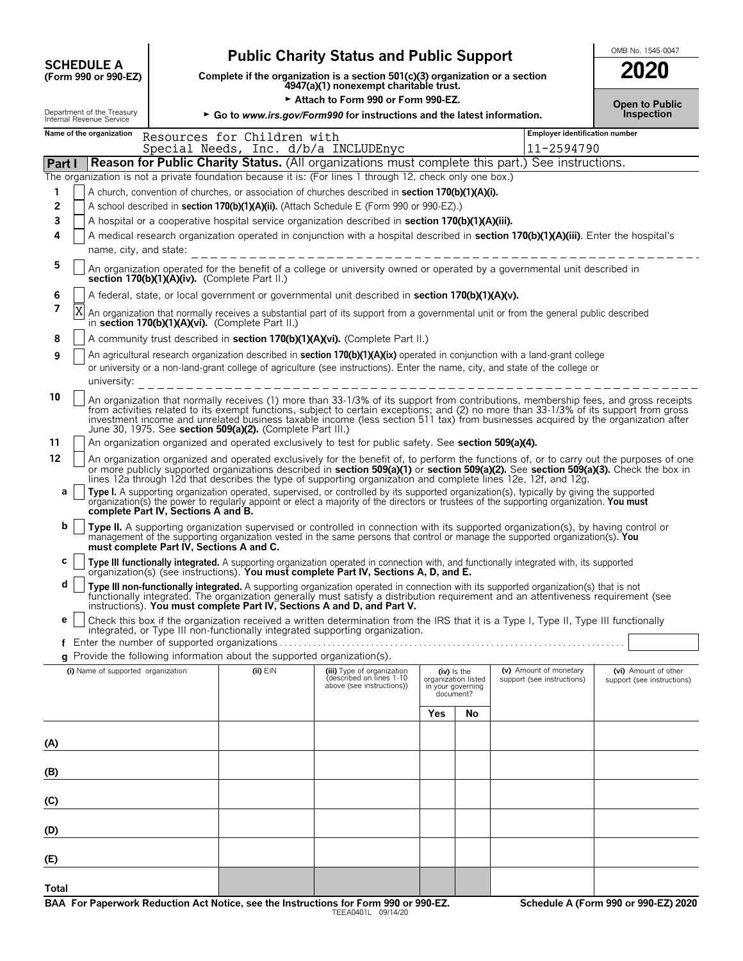|        |                                                                                                                                                                                                                                                                                                                                                                                                                                                                                  |                                          |                                                                          | <b>Public Charity Status and Public Support</b>                                                                                                                                                                                                                                                                                                                                                    |                                                                        |    |                                                      | OMB No. 1545-0047                                  |  |  |  |
|--------|----------------------------------------------------------------------------------------------------------------------------------------------------------------------------------------------------------------------------------------------------------------------------------------------------------------------------------------------------------------------------------------------------------------------------------------------------------------------------------|------------------------------------------|--------------------------------------------------------------------------|----------------------------------------------------------------------------------------------------------------------------------------------------------------------------------------------------------------------------------------------------------------------------------------------------------------------------------------------------------------------------------------------------|------------------------------------------------------------------------|----|------------------------------------------------------|----------------------------------------------------|--|--|--|
|        | <b>SCHEDULE A</b><br>(Form 990 or 990-EZ)                                                                                                                                                                                                                                                                                                                                                                                                                                        |                                          |                                                                          | Complete if the organization is a section 501(c)(3) organization or a section<br>4947(a)(1) nonexempt charitable trust.                                                                                                                                                                                                                                                                            |                                                                        |    |                                                      | 2020                                               |  |  |  |
|        |                                                                                                                                                                                                                                                                                                                                                                                                                                                                                  |                                          |                                                                          | Attach to Form 990 or Form 990-EZ.                                                                                                                                                                                                                                                                                                                                                                 |                                                                        |    |                                                      | <b>Open to Public</b>                              |  |  |  |
|        | Department of the Treasury<br>Internal Revenue Service                                                                                                                                                                                                                                                                                                                                                                                                                           |                                          |                                                                          | ► Go to www.irs.gov/Form990 for instructions and the latest information.                                                                                                                                                                                                                                                                                                                           |                                                                        |    |                                                      | Inspection                                         |  |  |  |
|        | Name of the organization                                                                                                                                                                                                                                                                                                                                                                                                                                                         |                                          | Resources for Children with<br>Special Needs, Inc. d/b/a INCLUDEnyc      |                                                                                                                                                                                                                                                                                                                                                                                                    |                                                                        |    | Employer identification number<br>11-2594790         |                                                    |  |  |  |
| Part I |                                                                                                                                                                                                                                                                                                                                                                                                                                                                                  |                                          |                                                                          | <b>Reason for Public Charity Status.</b> (All organizations must complete this part.) See instructions.                                                                                                                                                                                                                                                                                            |                                                                        |    |                                                      |                                                    |  |  |  |
|        |                                                                                                                                                                                                                                                                                                                                                                                                                                                                                  |                                          |                                                                          | The organization is not a private foundation because it is: (For lines 1 through 12, check only one box.)                                                                                                                                                                                                                                                                                          |                                                                        |    |                                                      |                                                    |  |  |  |
| 1      |                                                                                                                                                                                                                                                                                                                                                                                                                                                                                  |                                          |                                                                          | A church, convention of churches, or association of churches described in section 170(b)(1)(A)(i).                                                                                                                                                                                                                                                                                                 |                                                                        |    |                                                      |                                                    |  |  |  |
| 2      |                                                                                                                                                                                                                                                                                                                                                                                                                                                                                  |                                          |                                                                          | A school described in section 170(b)(1)(A)(ii). (Attach Schedule E (Form 990 or 990-EZ).)                                                                                                                                                                                                                                                                                                          |                                                                        |    |                                                      |                                                    |  |  |  |
| 3<br>4 |                                                                                                                                                                                                                                                                                                                                                                                                                                                                                  |                                          |                                                                          | A hospital or a cooperative hospital service organization described in section 170(b)(1)(A)(iii).                                                                                                                                                                                                                                                                                                  |                                                                        |    |                                                      |                                                    |  |  |  |
|        | A medical research organization operated in conjunction with a hospital described in section 170(b)(1)(A)(iii). Enter the hospital's<br>name, city, and state:                                                                                                                                                                                                                                                                                                                   |                                          |                                                                          |                                                                                                                                                                                                                                                                                                                                                                                                    |                                                                        |    |                                                      |                                                    |  |  |  |
| 5      | An organization operated for the benefit of a college or university owned or operated by a governmental unit described in<br>section 170(b)(1)(A)(iv). (Complete Part II.)                                                                                                                                                                                                                                                                                                       |                                          |                                                                          |                                                                                                                                                                                                                                                                                                                                                                                                    |                                                                        |    |                                                      |                                                    |  |  |  |
| 6      |                                                                                                                                                                                                                                                                                                                                                                                                                                                                                  |                                          |                                                                          | A federal, state, or local government or governmental unit described in section 170(b)(1)(A)(v).                                                                                                                                                                                                                                                                                                   |                                                                        |    |                                                      |                                                    |  |  |  |
| 7      | X                                                                                                                                                                                                                                                                                                                                                                                                                                                                                |                                          | in section 170(b)(1)(A)(vi). (Complete Part II.)                         | An organization that normally receives a substantial part of its support from a governmental unit or from the general public described                                                                                                                                                                                                                                                             |                                                                        |    |                                                      |                                                    |  |  |  |
| 8      |                                                                                                                                                                                                                                                                                                                                                                                                                                                                                  |                                          |                                                                          | A community trust described in section 170(b)(1)(A)(vi). (Complete Part II.)                                                                                                                                                                                                                                                                                                                       |                                                                        |    |                                                      |                                                    |  |  |  |
| 9      | university:                                                                                                                                                                                                                                                                                                                                                                                                                                                                      |                                          |                                                                          | An agricultural research organization described in section 170(b)(1)(A)(ix) operated in conjunction with a land-grant college<br>or university or a non-land-grant college of agriculture (see instructions). Enter the name, city, and state of the college or                                                                                                                                    |                                                                        |    |                                                      |                                                    |  |  |  |
| 10     | An organization that normally receives (1) more than 33-1/3% of its support from contributions, membership fees, and gross receipts<br>from activities related to its exempt functions, subject to certain exceptions; and (2) no more than 33-1/3% of its support from gross<br>investment income and unrelated business taxable income (less section 511 tax) from businesses acquired by the organization after<br>June 30, 1975. See section 509(a)(2). (Complete Part III.) |                                          |                                                                          |                                                                                                                                                                                                                                                                                                                                                                                                    |                                                                        |    |                                                      |                                                    |  |  |  |
| 11     |                                                                                                                                                                                                                                                                                                                                                                                                                                                                                  |                                          |                                                                          | An organization organized and operated exclusively to test for public safety. See section 509(a)(4).                                                                                                                                                                                                                                                                                               |                                                                        |    |                                                      |                                                    |  |  |  |
| 12     |                                                                                                                                                                                                                                                                                                                                                                                                                                                                                  |                                          |                                                                          | An organization organized and operated exclusively for the benefit of, to perform the functions of, or to carry out the purposes of one<br>or more publicly supported organizations described in section 509(a)(1) or section 509(a)(2). See section 509(a)(3). Check the box in<br>lines 12a through 12d that describes the type of supporting organization and complete lines 12e, 12f, and 12g. |                                                                        |    |                                                      |                                                    |  |  |  |
| а      |                                                                                                                                                                                                                                                                                                                                                                                                                                                                                  | complete Part IV, Sections A and B.      |                                                                          | Type I. A supporting organization operated, supervised, or controlled by its supported organization(s), typically by giving the supported<br>organization(s) the power to regularly appoint or elect a majority of the directors or trustees of the supporting organization. You must                                                                                                              |                                                                        |    |                                                      |                                                    |  |  |  |
| b      |                                                                                                                                                                                                                                                                                                                                                                                                                                                                                  | must complete Part IV, Sections A and C. |                                                                          | Type II. A supporting organization supervised or controlled in connection with its supported organization(s), by having control or<br>management of the supporting organization vested in the same persons that control or manage the supported organization(s). You                                                                                                                               |                                                                        |    |                                                      |                                                    |  |  |  |
| С      |                                                                                                                                                                                                                                                                                                                                                                                                                                                                                  |                                          |                                                                          | Type III functionally integrated. A supporting organization operated in connection with, and functionally integrated with, its supported organization(s) (see instructions). You must complete Part IV, Sections A, D, and E.                                                                                                                                                                      |                                                                        |    |                                                      |                                                    |  |  |  |
| d      |                                                                                                                                                                                                                                                                                                                                                                                                                                                                                  |                                          |                                                                          | Type III non-functionally integrated. A supporting organization operated in connection with its supported organization(s) that is not functionally integrated. The organization generally must satisfy a distribution requirem<br>instructions). You must complete Part IV, Sections A and D, and Part V.                                                                                          |                                                                        |    |                                                      |                                                    |  |  |  |
| е      |                                                                                                                                                                                                                                                                                                                                                                                                                                                                                  |                                          |                                                                          | Check this box if the organization received a written determination from the IRS that it is a Type I, Type II, Type III functionally<br>integrated, or Type III non-functionally integrated supporting organization.                                                                                                                                                                               |                                                                        |    |                                                      |                                                    |  |  |  |
|        |                                                                                                                                                                                                                                                                                                                                                                                                                                                                                  |                                          |                                                                          |                                                                                                                                                                                                                                                                                                                                                                                                    |                                                                        |    |                                                      |                                                    |  |  |  |
|        |                                                                                                                                                                                                                                                                                                                                                                                                                                                                                  |                                          | g Provide the following information about the supported organization(s). |                                                                                                                                                                                                                                                                                                                                                                                                    |                                                                        |    |                                                      |                                                    |  |  |  |
|        | (i) Name of supported organization                                                                                                                                                                                                                                                                                                                                                                                                                                               |                                          | $(ii)$ $EIN$                                                             | (iii) Type of organization<br>(described on lines 1-10<br>above (see instructions))                                                                                                                                                                                                                                                                                                                | $(iv)$ is the<br>organization listed<br>in your governing<br>document? |    | (v) Amount of monetary<br>support (see instructions) | (vi) Amount of other<br>support (see instructions) |  |  |  |
|        |                                                                                                                                                                                                                                                                                                                                                                                                                                                                                  |                                          |                                                                          |                                                                                                                                                                                                                                                                                                                                                                                                    | Yes                                                                    | No |                                                      |                                                    |  |  |  |
| (A)    |                                                                                                                                                                                                                                                                                                                                                                                                                                                                                  |                                          |                                                                          |                                                                                                                                                                                                                                                                                                                                                                                                    |                                                                        |    |                                                      |                                                    |  |  |  |
| (B)    |                                                                                                                                                                                                                                                                                                                                                                                                                                                                                  |                                          |                                                                          |                                                                                                                                                                                                                                                                                                                                                                                                    |                                                                        |    |                                                      |                                                    |  |  |  |
| (C)    |                                                                                                                                                                                                                                                                                                                                                                                                                                                                                  |                                          |                                                                          |                                                                                                                                                                                                                                                                                                                                                                                                    |                                                                        |    |                                                      |                                                    |  |  |  |
| (D)    |                                                                                                                                                                                                                                                                                                                                                                                                                                                                                  |                                          |                                                                          |                                                                                                                                                                                                                                                                                                                                                                                                    |                                                                        |    |                                                      |                                                    |  |  |  |
| (E)    |                                                                                                                                                                                                                                                                                                                                                                                                                                                                                  |                                          |                                                                          |                                                                                                                                                                                                                                                                                                                                                                                                    |                                                                        |    |                                                      |                                                    |  |  |  |
| Total  |                                                                                                                                                                                                                                                                                                                                                                                                                                                                                  |                                          |                                                                          |                                                                                                                                                                                                                                                                                                                                                                                                    |                                                                        |    |                                                      |                                                    |  |  |  |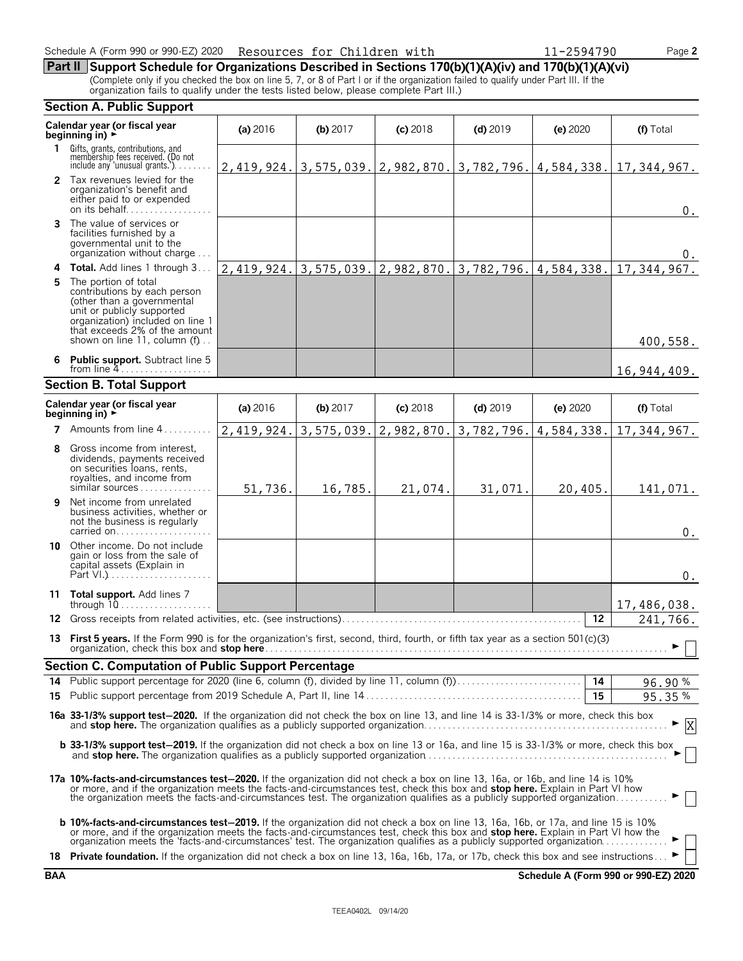#### Schedule A (Form 990 or 990-EZ) 2020 Page **2** Resources for Children with 11-2594790

**Part II Support Schedule for Organizations Described in Sections 170(b)(1)(A)(iv) and 170(b)(1)(A)(vi)** (Complete only if you checked the box on line 5, 7, or 8 of Part I or if the organization failed to qualify under Part III. If the organization fails to qualify under the tests listed below, please complete Part III.)

|    | <b>Section A. Public Support</b>                                                                                                                                                                                                                                                                                                                                                                        |            |            |            |                                                          |            |               |  |
|----|---------------------------------------------------------------------------------------------------------------------------------------------------------------------------------------------------------------------------------------------------------------------------------------------------------------------------------------------------------------------------------------------------------|------------|------------|------------|----------------------------------------------------------|------------|---------------|--|
|    | Calendar year (or fiscal year<br>beginning in) ►                                                                                                                                                                                                                                                                                                                                                        | (a) 2016   | (b) 2017   | $(c)$ 2018 | $(d)$ 2019                                               | (e) 2020   | (f) Total     |  |
|    | 1 Gifts, grants, contributions, and<br>membership fees received. (Do not<br>include any 'unusual grants.')                                                                                                                                                                                                                                                                                              | 2,419,924. |            |            | $3, 575, 039.$ $\vert$ 2, 982, 870. $\vert$ 3, 782, 796. | 4,584,338. | 17, 344, 967. |  |
|    | 2 Tax revenues levied for the<br>organization's benefit and<br>either paid to or expended<br>on its behalf                                                                                                                                                                                                                                                                                              |            |            |            |                                                          |            | $0$ .         |  |
| 3  | The value of services or<br>facilities furnished by a<br>governmental unit to the<br>organization without charge                                                                                                                                                                                                                                                                                        |            |            |            |                                                          |            | 0.            |  |
| 4  | <b>Total.</b> Add lines 1 through 3                                                                                                                                                                                                                                                                                                                                                                     | 2,419,924. | 3,575,039. | 2,982,870. | 3,782,796.                                               | 4,584,338. | 17,344,967.   |  |
| 5  | The portion of total<br>contributions by each person<br>(other than a governmental<br>unit or publicly supported<br>organization) included on line 1<br>that exceeds 2% of the amount<br>shown on line 11, column (f)                                                                                                                                                                                   |            |            |            |                                                          |            | 400,558.      |  |
|    | <b>Public support.</b> Subtract line 5<br>from line $4, \ldots, \ldots, \ldots, \ldots$                                                                                                                                                                                                                                                                                                                 |            |            |            |                                                          |            | 16, 944, 409. |  |
|    | <b>Section B. Total Support</b>                                                                                                                                                                                                                                                                                                                                                                         |            |            |            |                                                          |            |               |  |
|    | Calendar year (or fiscal year<br>beginning in) $\rightarrow$                                                                                                                                                                                                                                                                                                                                            | (a) 2016   | (b) 2017   | $(c)$ 2018 | $(d)$ 2019                                               | (e) 2020   | (f) Total     |  |
|    | 7 Amounts from line 4                                                                                                                                                                                                                                                                                                                                                                                   | 2,419,924. | 3,575,039. | 2,982,870. | 3,782,796.                                               | 4,584,338. | 17, 344, 967. |  |
| 8  | Gross income from interest.<br>dividends, payments received<br>on securities loans, rents,<br>royalties, and income from<br>similar sources                                                                                                                                                                                                                                                             | 51,736.    | 16,785.    | 21,074.    | 31,071.                                                  | 20,405.    | 141,071.      |  |
| 9  | Net income from unrelated<br>business activities, whether or<br>not the business is regularly<br>carried on                                                                                                                                                                                                                                                                                             |            |            |            |                                                          |            | $0$ .         |  |
| 10 | Other income. Do not include<br>gain or loss from the sale of<br>capital assets (Explain in<br>Part VI.)                                                                                                                                                                                                                                                                                                |            |            |            |                                                          |            | $0$ .         |  |
|    | 11 Total support. Add lines 7<br>through $10, \ldots, \ldots, \ldots$                                                                                                                                                                                                                                                                                                                                   |            |            |            |                                                          |            | 17,486,038.   |  |
|    | 12 Gross receipts from related activities, etc. (see instructions)                                                                                                                                                                                                                                                                                                                                      |            |            |            |                                                          | 12         | 241,766.      |  |
|    | 13 First 5 years. If the Form 990 is for the organization's first, second, third, fourth, or fifth tax year as a section 501(c)(3)                                                                                                                                                                                                                                                                      |            |            |            |                                                          |            | ► □           |  |
|    | Section C. Computation of Public Support Percentage                                                                                                                                                                                                                                                                                                                                                     |            |            |            |                                                          |            |               |  |
|    |                                                                                                                                                                                                                                                                                                                                                                                                         |            |            |            |                                                          |            | 96.90%        |  |
|    |                                                                                                                                                                                                                                                                                                                                                                                                         |            |            |            |                                                          | 15         | 95.35%        |  |
|    | 16a 33-1/3% support test-2020. If the organization did not check the box on line 13, and line 14 is 33-1/3% or more, check this box<br>X                                                                                                                                                                                                                                                                |            |            |            |                                                          |            |               |  |
|    | <b>b 33-1/3% support test-2019.</b> If the organization did not check a box on line 13 or 16a, and line 15 is 33-1/3% or more, check this box                                                                                                                                                                                                                                                           |            |            |            |                                                          |            |               |  |
|    | 17a 10%-facts-and-circumstances test-2020. If the organization did not check a box on line 13, 16a, or 16b, and line 14 is 10%<br>or more, and if the organization meets the facts-and-circumstances test, check this box and stop here. Explain in Part VI how<br>the organization meets the facts-and-circumstances test. The organization qualifies as a publicly supported organization             |            |            |            |                                                          |            |               |  |
|    | <b>b 10%-facts-and-circumstances test-2019.</b> If the organization did not check a box on line 13, 16a, 16b, or 17a, and line 15 is 10%<br>or more, and if the organization meets the facts-and-circumstances test, check this box and stop here. Explain in Part VI how the<br>organization meets the 'facts-and-circumstances' test. The organization qualifies as a publicly supported organization |            |            |            |                                                          |            |               |  |
|    | 18 Private foundation. If the organization did not check a box on line 13, 16a, 16b, 17a, or 17b, check this box and see instructions                                                                                                                                                                                                                                                                   |            |            |            |                                                          |            |               |  |

**BAA Schedule A (Form 990 or 990-EZ) 2020**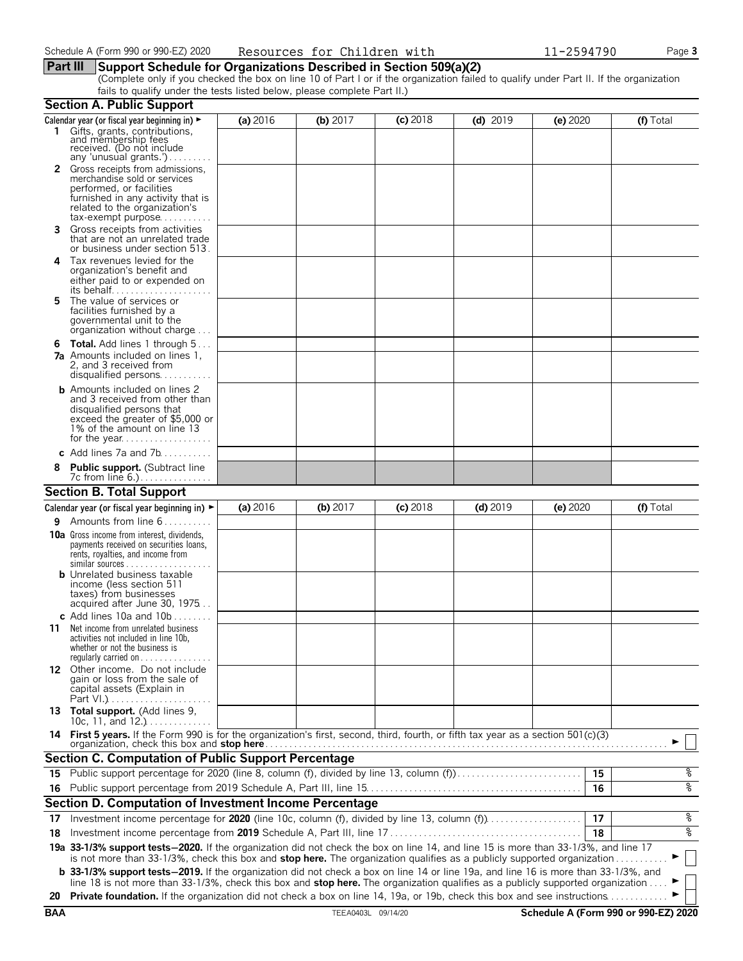#### **Part III Support Schedule for Organizations Described in Section 509(a)(2)**

(Complete only if you checked the box on line 10 of Part I or if the organization failed to qualify under Part II. If the organization fails to qualify under the tests listed below, please complete Part II.)

|            | <b>Section A. Public Support</b>                                                                                                                                                                                                                               |          |                    |            |            |          |                                      |
|------------|----------------------------------------------------------------------------------------------------------------------------------------------------------------------------------------------------------------------------------------------------------------|----------|--------------------|------------|------------|----------|--------------------------------------|
|            | Calendar year (or fiscal year beginning in) ►                                                                                                                                                                                                                  | (a) 2016 | (b) $2017$         | $(c)$ 2018 | $(d)$ 2019 | (e) 2020 | (f) Total                            |
|            | 1 Gifts, grants, contributions,<br>and membership fees<br>received. (Do not include<br>any 'unusual grants.')                                                                                                                                                  |          |                    |            |            |          |                                      |
|            | 2 Gross receipts from admissions,<br>merchandise sold or services<br>performed, or facilities<br>furnished in any activity that is<br>related to the organization's<br>$tax\text{-}exempt$ purpose                                                             |          |                    |            |            |          |                                      |
| 3.         | Gross receipts from activities<br>that are not an unrelated trade<br>or business under section 513.                                                                                                                                                            |          |                    |            |            |          |                                      |
| 4          | Tax revenues levied for the<br>organization's benefit and<br>either paid to or expended on                                                                                                                                                                     |          |                    |            |            |          |                                      |
| 5.         | The value of services or<br>facilities furnished by a<br>governmental unit to the<br>organization without charge                                                                                                                                               |          |                    |            |            |          |                                      |
| 6          | <b>Total.</b> Add lines 1 through 5<br><b>7a</b> Amounts included on lines 1,<br>2, and 3 received from<br>disqualified persons                                                                                                                                |          |                    |            |            |          |                                      |
|            | <b>b</b> Amounts included on lines 2<br>and 3 received from other than<br>disqualified persons that<br>exceed the greater of \$5,000 or<br>1% of the amount on line 13                                                                                         |          |                    |            |            |          |                                      |
|            | c Add lines $7a$ and $7b$                                                                                                                                                                                                                                      |          |                    |            |            |          |                                      |
|            | <b>Public support.</b> (Subtract line                                                                                                                                                                                                                          |          |                    |            |            |          |                                      |
|            | <b>Section B. Total Support</b>                                                                                                                                                                                                                                |          |                    |            |            |          |                                      |
|            | Calendar year (or fiscal year beginning in) $\blacktriangleright$                                                                                                                                                                                              | (a) 2016 | (b) 2017           | $(c)$ 2018 | $(d)$ 2019 | (e) 2020 | (f) Total                            |
| 9.         | Amounts from line 6                                                                                                                                                                                                                                            |          |                    |            |            |          |                                      |
|            | <b>10a</b> Gross income from interest, dividends,<br>payments received on securities loans,<br>rents, royalties, and income from<br><b>b</b> Unrelated business taxable<br>income (less section 511<br>taxes) from businesses                                  |          |                    |            |            |          |                                      |
|            | acquired after June 30, 1975                                                                                                                                                                                                                                   |          |                    |            |            |          |                                      |
| 11         | c Add lines 10a and $10b$<br>Net income from unrelated business<br>activities not included in line 10b,<br>whether or not the business is<br>regularly carried on $\dots\dots\dots\dots$                                                                       |          |                    |            |            |          |                                      |
|            | 12 Other income. Do not include<br>gain or loss from the sale of<br>capital assets (Explain in                                                                                                                                                                 |          |                    |            |            |          |                                      |
|            | 13 Total support. (Add lines 9,<br>10c, 11, and $12$                                                                                                                                                                                                           |          |                    |            |            |          |                                      |
|            | 14 First 5 years. If the Form 990 is for the organization's first, second, third, fourth, or fifth tax year as a section 501(c)(3)<br>organization, check this box and stop here                                                                               |          |                    |            |            |          |                                      |
|            | <b>Section C. Computation of Public Support Percentage</b>                                                                                                                                                                                                     |          |                    |            |            |          |                                      |
|            | 15 Public support percentage for 2020 (line 8, column (f), divided by line 13, column (f)                                                                                                                                                                      |          |                    |            |            | 15       | န့                                   |
|            |                                                                                                                                                                                                                                                                |          |                    |            |            | 16       | ०१०                                  |
|            | Section D. Computation of Investment Income Percentage                                                                                                                                                                                                         |          |                    |            |            |          |                                      |
| 17         |                                                                                                                                                                                                                                                                |          |                    |            |            | 17       | %                                    |
| 18         |                                                                                                                                                                                                                                                                |          |                    |            |            | 18       | ०७                                   |
|            | 19a 33-1/3% support tests-2020. If the organization did not check the box on line 14, and line 15 is more than 33-1/3%, and line 17<br>is not more than 33-1/3%, check this box and stop here. The organization qualifies as a publicly supported organization |          |                    |            |            |          |                                      |
|            | <b>b</b> 33-1/3% support tests-2019. If the organization did not check a box on line 14 or line 19a, and line 16 is more than 33-1/3%, and                                                                                                                     |          |                    |            |            |          |                                      |
|            | line 18 is not more than 33-1/3%, check this box and stop here. The organization qualifies as a publicly supported organization<br>Private foundation. If the organization did not check a box on line 14, 19a, or 19b, check this box and see instructions.   |          |                    |            |            |          |                                      |
| 20         |                                                                                                                                                                                                                                                                |          |                    |            |            |          |                                      |
| <b>BAA</b> |                                                                                                                                                                                                                                                                |          | TEEA0403L 09/14/20 |            |            |          | Schedule A (Form 990 or 990-EZ) 2020 |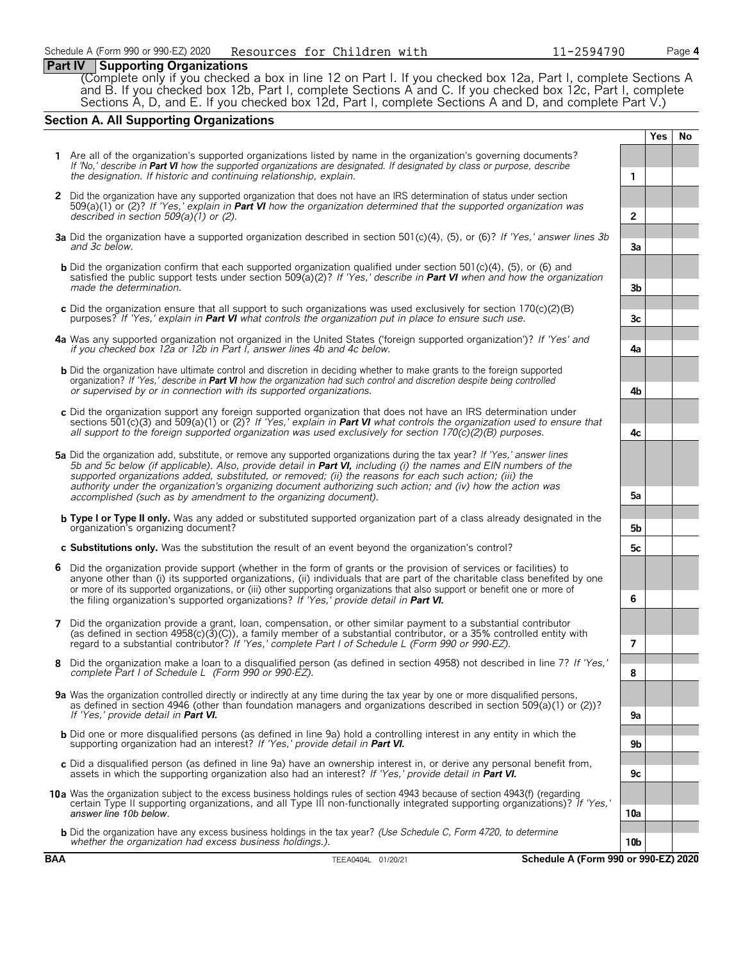### **Part IV Supporting Organizations**

(Complete only if you checked a box in line 12 on Part I. If you checked box 12a, Part I, complete Sections A and B. If you checked box 12b, Part I, complete Sections A and C. If you checked box 12c, Part I, complete Sections A, D, and E. If you checked box 12d, Part I, complete Sections A and D, and complete Part V.)

### **Section A. All Supporting Organizations**

|   |                                                                                                                                                                                                                                                                                                                                                                                                                                                                                                                                                      |                 | <b>Yes</b> | <b>No</b> |
|---|------------------------------------------------------------------------------------------------------------------------------------------------------------------------------------------------------------------------------------------------------------------------------------------------------------------------------------------------------------------------------------------------------------------------------------------------------------------------------------------------------------------------------------------------------|-----------------|------------|-----------|
|   | 1 Are all of the organization's supported organizations listed by name in the organization's governing documents?<br>If 'No,' describe in Part VI how the supported organizations are designated. If designated by class or purpose, describe<br>the designation. If historic and continuing relationship, explain.                                                                                                                                                                                                                                  | 1               |            |           |
|   | 2 Did the organization have any supported organization that does not have an IRS determination of status under section<br>509(a)(1) or (2)? If 'Yes,' explain in <b>Part VI</b> how the organization determined that the supported organization was<br>described in section $509(a)(1)$ or (2).                                                                                                                                                                                                                                                      | $\overline{2}$  |            |           |
|   | 3a Did the organization have a supported organization described in section 501(c)(4), (5), or (6)? If 'Yes,' answer lines 3b<br>and 3c below.                                                                                                                                                                                                                                                                                                                                                                                                        | 3a              |            |           |
|   | <b>b</b> Did the organization confirm that each supported organization qualified under section 501(c)(4), (5), or (6) and<br>satisfied the public support tests under section 509( $a(2)$ ? If 'Yes,' describe in <b>Part VI</b> when and how the organization<br>made the determination.                                                                                                                                                                                                                                                            | 3 <sub>b</sub>  |            |           |
|   | c Did the organization ensure that all support to such organizations was used exclusively for section $170(c)(2)(B)$<br>purposes? If 'Yes,' explain in <b>Part VI</b> what controls the organization put in place to ensure such use.                                                                                                                                                                                                                                                                                                                | 3c              |            |           |
|   | 4a Was any supported organization not organized in the United States ('foreign supported organization')? If 'Yes' and<br>if you checked box 12a or 12b in Part I, answer lines 4b and 4c below.                                                                                                                                                                                                                                                                                                                                                      | 4a              |            |           |
|   | <b>b</b> Did the organization have ultimate control and discretion in deciding whether to make grants to the foreign supported<br>organization? If 'Yes,' describe in <b>Part VI</b> how the organization had such control and discretion despite being controlled<br>or supervised by or in connection with its supported organizations.                                                                                                                                                                                                            | 4b              |            |           |
|   | c Did the organization support any foreign supported organization that does not have an IRS determination under<br>sections 501(c)(3) and 509(a)(1) or (2)? If 'Yes,' explain in <b>Part VI</b> what controls the organization used to ensure that<br>all support to the foreign supported organization was used exclusively for section $170(c)(2)(B)$ purposes.                                                                                                                                                                                    | 4c              |            |           |
|   | 5a Did the organization add, substitute, or remove any supported organizations during the tax year? If 'Yes,' answer lines<br>5b and 5c below (if applicable). Also, provide detail in <b>Part VI</b> , including (i) the names and EIN numbers of the<br>supported organizations added, substituted, or removed; (ii) the reasons for each such action; (iii) the<br>authority under the organization's organizing document authorizing such action; and (iv) how the action was<br>accomplished (such as by amendment to the organizing document). | 5a              |            |           |
|   | <b>b</b> Type I or Type II only. Was any added or substituted supported organization part of a class already designated in the<br>organization's organizing document?                                                                                                                                                                                                                                                                                                                                                                                | 5b              |            |           |
|   | c Substitutions only. Was the substitution the result of an event beyond the organization's control?                                                                                                                                                                                                                                                                                                                                                                                                                                                 | 5с              |            |           |
| 6 | Did the organization provide support (whether in the form of grants or the provision of services or facilities) to<br>anyone other than (i) its supported organizations, (ii) individuals that are part of the charitable class benefited by one<br>or more of its supported organizations, or (iii) other supporting organizations that also support or benefit one or more of<br>the filing organization's supported organizations? If 'Yes,' provide detail in Part VI.                                                                           | 6               |            |           |
| 7 | Did the organization provide a grant, loan, compensation, or other similar payment to a substantial contributor<br>(as defined in section $4958(c)(3)(c)$ ), a family member of a substantial contributor, or a 35% controlled entity with<br>regard to a substantial contributor? If 'Yes,' complete Part I of Schedule L (Form 990 or 990-EZ).                                                                                                                                                                                                     | 7               |            |           |
| 8 | Did the organization make a loan to a disqualified person (as defined in section 4958) not described in line 7? If 'Yes,'<br>complete Part I of Schedule L (Form 990 or 990-EZ).                                                                                                                                                                                                                                                                                                                                                                     | 8               |            |           |
|   | 9a Was the organization controlled directly or indirectly at any time during the tax year by one or more disqualified persons,<br>as defined in section 4946 (other than foundation managers and organizations described in section 509(a)(1) or (2))?<br>If 'Yes.' provide detail in <b>Part VI.</b>                                                                                                                                                                                                                                                | 9a              |            |           |
|   | <b>b</b> Did one or more disqualified persons (as defined in line 9a) hold a controlling interest in any entity in which the<br>supporting organization had an interest? If 'Yes,' provide detail in Part VI.                                                                                                                                                                                                                                                                                                                                        | 9b              |            |           |
|   | c Did a disqualified person (as defined in line 9a) have an ownership interest in, or derive any personal benefit from,<br>assets in which the supporting organization also had an interest? If 'Yes,' provide detail in <b>Part VI.</b>                                                                                                                                                                                                                                                                                                             | 9c              |            |           |
|   | 10a Was the organization subject to the excess business holdings rules of section 4943 because of section 4943(f) (regarding<br>certain Type II supporting organizations, and all Type III non-functionally integrated supporting organizations)? If 'Yes,'<br>answer line 10b below.                                                                                                                                                                                                                                                                | 10a             |            |           |
|   | <b>b</b> Did the organization have any excess business holdings in the tax year? (Use Schedule C, Form 4720, to determine<br>whether the organization had excess business holdings.).                                                                                                                                                                                                                                                                                                                                                                | 10 <sub>b</sub> |            |           |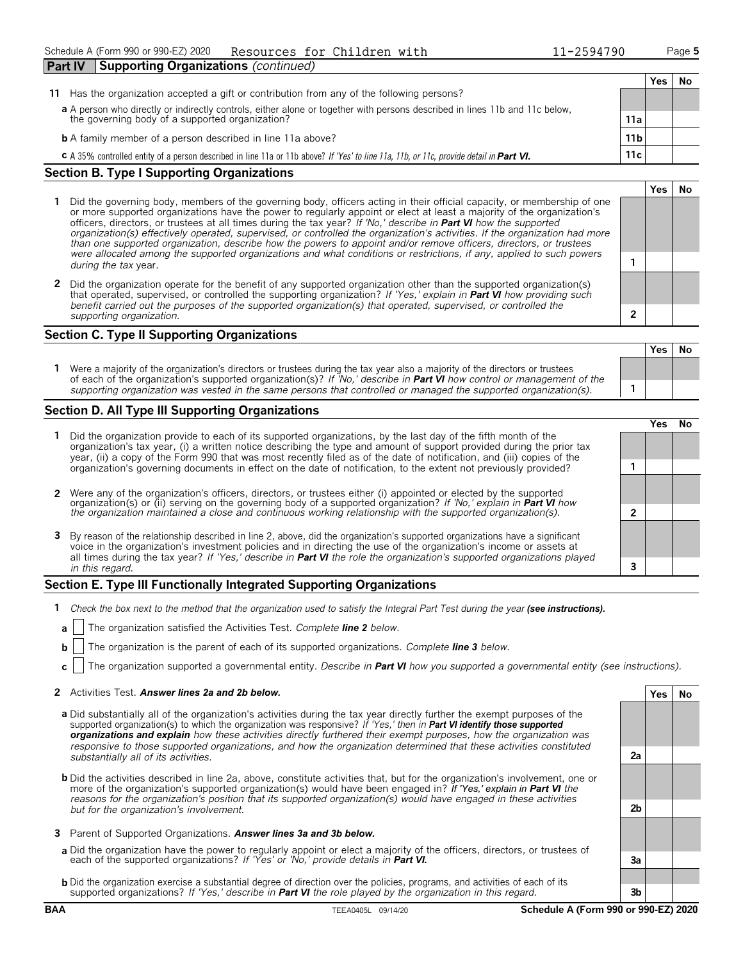| Part IV | $\Box$ supporting Organizations ( <i>Committed</i> )                                                                                            |     |  |
|---------|-------------------------------------------------------------------------------------------------------------------------------------------------|-----|--|
|         |                                                                                                                                                 | Yes |  |
| 11      | Has the organization accepted a gift or contribution from any of the following persons?                                                         |     |  |
|         | a A person who directly or indirectly controls, either alone or together with persons described in lines 11b and 11c below,                     |     |  |
|         | the governing body of a supported organization?<br>11a                                                                                          |     |  |
|         | <b>b</b> A family member of a person described in line 11a above?<br>11 b                                                                       |     |  |
|         | 11c.<br>C A 35% controlled entity of a person described in line 11a or 11b above? If 'Yes' to line 11a, 11b, or 11c, provide detail in Part VI. |     |  |
|         | .                                                                                                                                               |     |  |

#### **Section B. Type I Supporting Organizations**

- **1** Did the governing body, members of the governing body, officers acting in their official capacity, or membership of one or more supported organizations have the power to regularly appoint or elect at least a majority of the organization's officers, directors, or trustees at all times during the tax year? *If 'No,' describe in Part VI how the supported organization(s) effectively operated, supervised, or controlled the organization's activities. If the organization had more than one supported organization, describe how the powers to appoint and/or remove officers, directors, or trustees were allocated among the supported organizations and what conditions or restrictions, if any, applied to such powers* **1** *during the tax* year.
- **2** Did the organization operate for the benefit of any supported organization other than the supported organization(s) that operated, supervised, or controlled the supporting organization? *If 'Yes,' explain in Part VI how providing such benefit carried out the purposes of the supported organization(s) that operated, supervised, or controlled the supporting organization.* **2**

#### **Section C. Type II Supporting Organizations**

**Yes No 1** Were a majority of the organization's directors or trustees during the tax year also a majority of the directors or trustees of each of the organization's supported organization(s)? *If 'No,' describe in Part VI how control or management of the supporting organization was vested in the same persons that controlled or managed the supported organization(s).* **1**

#### **Section D. All Type III Supporting Organizations**

|                                                                                                                                                                                                                                                                                                                                                                                       | ′e< |  |
|---------------------------------------------------------------------------------------------------------------------------------------------------------------------------------------------------------------------------------------------------------------------------------------------------------------------------------------------------------------------------------------|-----|--|
| 1 Did the organization provide to each of its supported organizations, by the last day of the fifth month of the<br>organization's tax year, (i) a written notice describing the type and amount of support provided during the prior tax<br>year, (ii) a copy of the Form 990 that was most recently filed as of the date of notification, and (iii) copies of the                   |     |  |
| organization's governing documents in effect on the date of notification, to the extent not previously provided?                                                                                                                                                                                                                                                                      |     |  |
| 2 Were any of the organization's officers, directors, or trustees either (i) appointed or elected by the supported                                                                                                                                                                                                                                                                    |     |  |
| organization(s) or (ii) serving on the governing body of a supported organization? If No, explain in <b>Part VI</b> how<br>the organization maintained a close and continuous working relationship with the supported organization(s).                                                                                                                                                |     |  |
| 3 By reason of the relationship described in line 2, above, did the organization's supported organizations have a significant<br>voice in the organization's investment policies and in directing the use of the organization's income or assets at<br>all times during the tax year? If 'Yes,' describe in <b>Part VI</b> the role the organization's supported organizations played |     |  |
| in this regard.                                                                                                                                                                                                                                                                                                                                                                       |     |  |

#### **Section E. Type III Functionally Integrated Supporting Organizations**

- **1** *Check the box next to the method that the organization used to satisfy the Integral Part Test during the year (see instructions).* 
	- **a** The organization satisfied the Activities Test. *Complete line 2 below.*
	- **b** The organization is the parent of each of its supported organizations. *Complete line 3 below.*
	- **c** The organization supported a governmental entity. *Describe in Part VI how you supported a governmental entity (see instructions).*

#### **2** Activities Test. *Answer lines 2a and 2b below.* **Yes No**

- **a** Did substantially all of the organization's activities during the tax year directly further the exempt purposes of the supported organization(s) to which the organization was responsive? *If 'Yes,' then in Part VI identify those supported organizations and explain how these activities directly furthered their exempt purposes, how the organization was responsive to those supported organizations, and how the organization determined that these activities constituted substantially all of its activities.* **2a**
- **b** Did the activities described in line 2a, above, constitute activities that, but for the organization's involvement, one or more of the organization's supported organization(s) would have been engaged in? *If 'Yes,' explain in Part VI the reasons for the organization's position that its supported organization(s) would have engaged in these activities but for the organization's involvement.* **2b**
- **3** Parent of Supported Organizations. *Answer lines 3a and 3b below.*
- **a** Did the organization have the power to regularly appoint or elect a majority of the officers, directors, or trustees of each of the supported organizations? *If 'Yes' or 'No,' provide details in Part VI.* **3a**
- **b** Did the organization exercise a substantial degree of direction over the policies, programs, and activities of each of its supported organizations? *If 'Yes,' describe in Part VI the role played by the organization in this regard.* **3b**

**Yes No**

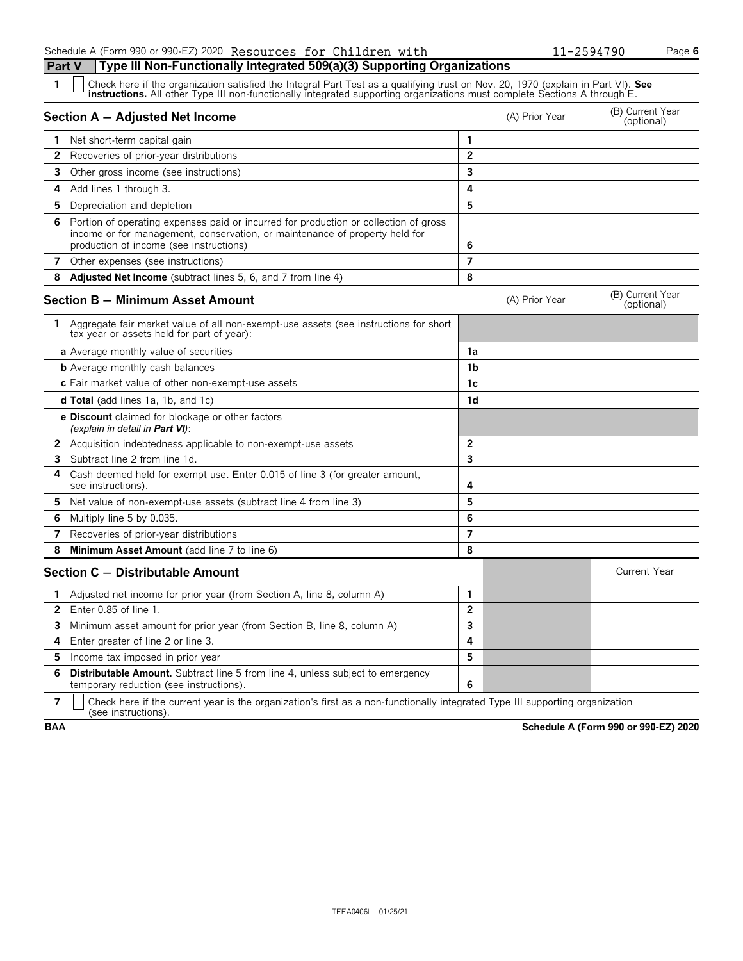#### Schedule A (Form 990 or 990-EZ) 2020 Resources for Children with 11-2594790 Page **6 Part V Type III Non-Functionally Integrated 509(a)(3) Supporting Organizations**

| 1              | Check here if the organization satisfied the Integral Part Test as a qualifying trust on Nov. 20, 1970 (explain in Part VI). See<br><b>instructions.</b> All other Type III non-functionally integrated supporting organizations must complete Sections A through E. |                         |                |                                |
|----------------|----------------------------------------------------------------------------------------------------------------------------------------------------------------------------------------------------------------------------------------------------------------------|-------------------------|----------------|--------------------------------|
|                | Section A - Adjusted Net Income                                                                                                                                                                                                                                      |                         | (A) Prior Year | (B) Current Year<br>(optional) |
| 1.             | Net short-term capital gain                                                                                                                                                                                                                                          | 1                       |                |                                |
| 2              | Recoveries of prior-year distributions                                                                                                                                                                                                                               | $\overline{2}$          |                |                                |
| 3              | Other gross income (see instructions)                                                                                                                                                                                                                                | 3                       |                |                                |
| 4              | Add lines 1 through 3.                                                                                                                                                                                                                                               | 4                       |                |                                |
| 5.             | Depreciation and depletion                                                                                                                                                                                                                                           | 5                       |                |                                |
| 6              | Portion of operating expenses paid or incurred for production or collection of gross<br>income or for management, conservation, or maintenance of property held for<br>production of income (see instructions)                                                       | 6                       |                |                                |
| 7              | Other expenses (see instructions)                                                                                                                                                                                                                                    | $\overline{7}$          |                |                                |
| 8              | <b>Adjusted Net Income</b> (subtract lines 5, 6, and 7 from line 4)                                                                                                                                                                                                  | 8                       |                |                                |
|                | <b>Section B - Minimum Asset Amount</b>                                                                                                                                                                                                                              |                         | (A) Prior Year | (B) Current Year<br>(optional) |
|                | 1 Aggregate fair market value of all non-exempt-use assets (see instructions for short<br>tax year or assets held for part of year):                                                                                                                                 |                         |                |                                |
|                | <b>a</b> Average monthly value of securities                                                                                                                                                                                                                         | 1a                      |                |                                |
|                | <b>b</b> Average monthly cash balances                                                                                                                                                                                                                               | 1b                      |                |                                |
|                | c Fair market value of other non-exempt-use assets                                                                                                                                                                                                                   | 1c                      |                |                                |
|                | <b>d Total</b> (add lines 1a, 1b, and 1c)                                                                                                                                                                                                                            | 1 <sub>d</sub>          |                |                                |
|                | <b>e Discount</b> claimed for blockage or other factors<br>(explain in detail in <b>Part VI</b> ):                                                                                                                                                                   |                         |                |                                |
| 2              | Acquisition indebtedness applicable to non-exempt-use assets                                                                                                                                                                                                         | $\overline{2}$          |                |                                |
| 3              | Subtract line 2 from line 1d.                                                                                                                                                                                                                                        | $\overline{\mathbf{3}}$ |                |                                |
| 4              | Cash deemed held for exempt use. Enter 0.015 of line 3 (for greater amount,<br>see instructions).                                                                                                                                                                    | 4                       |                |                                |
| 5.             | Net value of non-exempt-use assets (subtract line 4 from line 3)                                                                                                                                                                                                     | 5                       |                |                                |
| 6              | Multiply line 5 by 0.035.                                                                                                                                                                                                                                            | 6                       |                |                                |
| $\overline{7}$ | Recoveries of prior-year distributions                                                                                                                                                                                                                               | $\overline{7}$          |                |                                |
| 8              | Minimum Asset Amount (add line 7 to line 6)                                                                                                                                                                                                                          | 8                       |                |                                |
|                | Section C - Distributable Amount                                                                                                                                                                                                                                     |                         |                | <b>Current Year</b>            |
| 1.             | Adjusted net income for prior year (from Section A, line 8, column A)                                                                                                                                                                                                | 1                       |                |                                |
| 2              | Enter 0.85 of line 1.                                                                                                                                                                                                                                                | $\overline{2}$          |                |                                |
| 3              | Minimum asset amount for prior year (from Section B, line 8, column A)                                                                                                                                                                                               | 3                       |                |                                |
| 4              | Enter greater of line 2 or line 3.                                                                                                                                                                                                                                   | 4                       |                |                                |
| 5              | Income tax imposed in prior year                                                                                                                                                                                                                                     | 5                       |                |                                |
| 6              | Distributable Amount. Subtract line 5 from line 4, unless subject to emergency<br>temporary reduction (see instructions).                                                                                                                                            | 6                       |                |                                |

**7**  $\mid$  Check here if the current year is the organization's first as a non-functionally integrated Type III supporting organization (see instructions).

**BAA Schedule A (Form 990 or 990-EZ) 2020**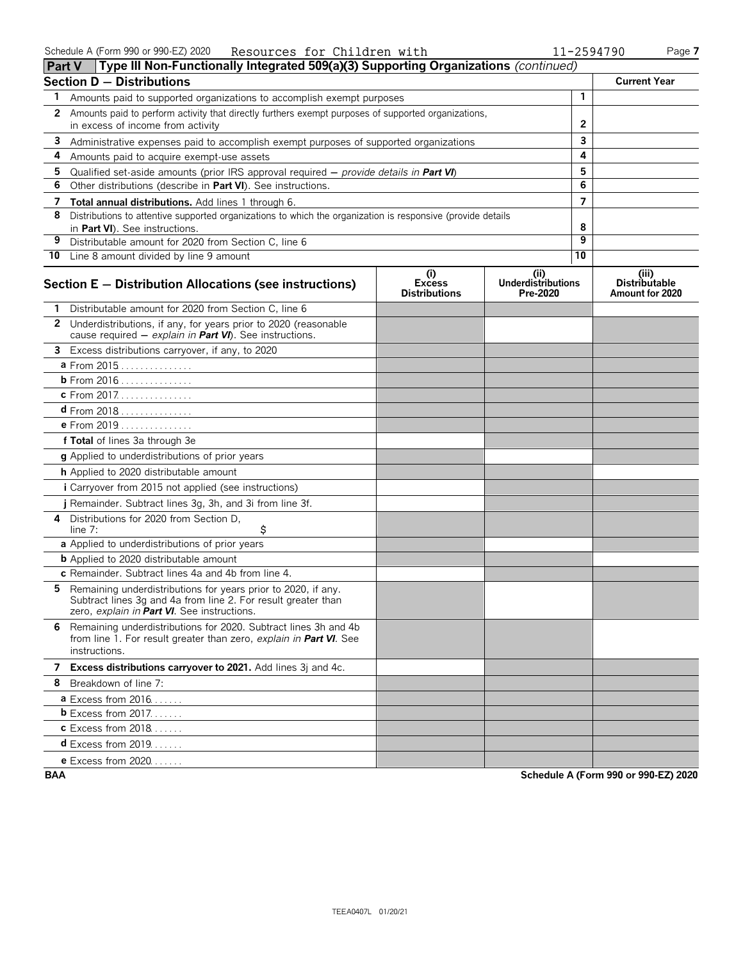| <b>Part V</b> | Type III Non-Functionally Integrated 509(a)(3) Supporting Organizations (continued)                                                                                           |                                              |                                               |    |                                                  |
|---------------|-------------------------------------------------------------------------------------------------------------------------------------------------------------------------------|----------------------------------------------|-----------------------------------------------|----|--------------------------------------------------|
|               | Section D - Distributions                                                                                                                                                     |                                              |                                               |    | <b>Current Year</b>                              |
| 1             | Amounts paid to supported organizations to accomplish exempt purposes                                                                                                         |                                              |                                               | 1  |                                                  |
| 2             | Amounts paid to perform activity that directly furthers exempt purposes of supported organizations,                                                                           |                                              |                                               |    |                                                  |
|               | in excess of income from activity                                                                                                                                             |                                              |                                               | 2  |                                                  |
| 3             | Administrative expenses paid to accomplish exempt purposes of supported organizations                                                                                         |                                              |                                               | 3  |                                                  |
| 4             | Amounts paid to acquire exempt-use assets                                                                                                                                     |                                              |                                               | 4  |                                                  |
| 5             | Qualified set-aside amounts (prior IRS approval required $-$ provide details in <b>Part VI</b> )                                                                              |                                              |                                               | 5  |                                                  |
| 6             | Other distributions (describe in Part VI). See instructions.                                                                                                                  | 6                                            |                                               |    |                                                  |
| 7             | <b>Total annual distributions.</b> Add lines 1 through 6.                                                                                                                     |                                              |                                               | 7  |                                                  |
| 8             | Distributions to attentive supported organizations to which the organization is responsive (provide details<br>in Part VI). See instructions.                                 |                                              |                                               | 8  |                                                  |
| 9             | Distributable amount for 2020 from Section C, line 6                                                                                                                          |                                              |                                               | 9  |                                                  |
|               | 10 Line 8 amount divided by line 9 amount                                                                                                                                     |                                              |                                               | 10 |                                                  |
|               | Section E - Distribution Allocations (see instructions)                                                                                                                       | (i)<br><b>Excess</b><br><b>Distributions</b> | (ii)<br><b>Underdistributions</b><br>Pre-2020 |    | (iii)<br><b>Distributable</b><br>Amount for 2020 |
|               | Distributable amount for 2020 from Section C, line 6                                                                                                                          |                                              |                                               |    |                                                  |
|               | 2 Underdistributions, if any, for years prior to 2020 (reasonable<br>cause required - explain in Part VI). See instructions.                                                  |                                              |                                               |    |                                                  |
|               | 3 Excess distributions carryover, if any, to 2020                                                                                                                             |                                              |                                               |    |                                                  |
|               | a From 2015                                                                                                                                                                   |                                              |                                               |    |                                                  |
|               | <b>b</b> From 2016                                                                                                                                                            |                                              |                                               |    |                                                  |
|               | c From 2017.                                                                                                                                                                  |                                              |                                               |    |                                                  |
|               | $d$ From 2018                                                                                                                                                                 |                                              |                                               |    |                                                  |
|               | e From 2019                                                                                                                                                                   |                                              |                                               |    |                                                  |
|               | f Total of lines 3a through 3e                                                                                                                                                |                                              |                                               |    |                                                  |
|               | g Applied to underdistributions of prior years                                                                                                                                |                                              |                                               |    |                                                  |
|               | h Applied to 2020 distributable amount                                                                                                                                        |                                              |                                               |    |                                                  |
|               | <i>i</i> Carryover from 2015 not applied (see instructions)                                                                                                                   |                                              |                                               |    |                                                  |
|               | j Remainder. Subtract lines 3g, 3h, and 3i from line 3f.                                                                                                                      |                                              |                                               |    |                                                  |
| 4             | Distributions for 2020 from Section D.<br>\$<br>line $7:$                                                                                                                     |                                              |                                               |    |                                                  |
|               | a Applied to underdistributions of prior years                                                                                                                                |                                              |                                               |    |                                                  |
|               | <b>b</b> Applied to 2020 distributable amount                                                                                                                                 |                                              |                                               |    |                                                  |
|               | c Remainder. Subtract lines 4a and 4b from line 4.                                                                                                                            |                                              |                                               |    |                                                  |
| 5.            | Remaining underdistributions for years prior to 2020, if any.<br>Subtract lines 3g and 4a from line 2. For result greater than<br>zero, explain in Part VI. See instructions. |                                              |                                               |    |                                                  |
|               | 6 Remaining underdistributions for 2020. Subtract lines 3h and 4b<br>from line 1. For result greater than zero, explain in Part VI. See<br>instructions.                      |                                              |                                               |    |                                                  |
|               | 7 Excess distributions carryover to 2021. Add lines 3j and 4c.                                                                                                                |                                              |                                               |    |                                                  |
|               | 8 Breakdown of line 7:                                                                                                                                                        |                                              |                                               |    |                                                  |
|               | <b>a</b> Excess from $2016$                                                                                                                                                   |                                              |                                               |    |                                                  |
|               | $b$ Excess from 2017.                                                                                                                                                         |                                              |                                               |    |                                                  |
|               | <b>c</b> Excess from 2018                                                                                                                                                     |                                              |                                               |    |                                                  |
|               | <b>d</b> Excess from 2019                                                                                                                                                     |                                              |                                               |    |                                                  |
|               | <b>e</b> Excess from 2020.                                                                                                                                                    |                                              |                                               |    |                                                  |

**BAA Schedule A (Form 990 or 990-EZ) 2020**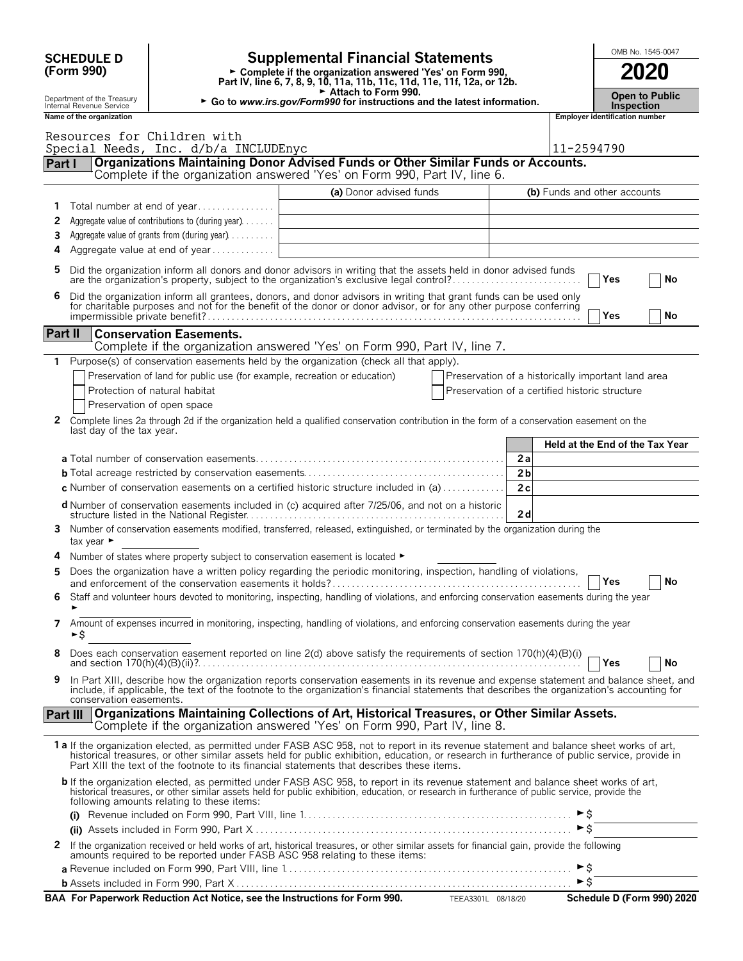| <b>Supplemental Financial Statements</b><br>(Form 990)<br>2020<br>► Complete if the organization answered 'Yes' on Form 990,<br>Part IV, line 6, 7, 8, 9, 10, 11a, 11b, 11c, 11d, 11e, 11f, 12a, or 12b.<br>Attach to Form 990.<br><b>Open to Public</b><br>Department of the Treasury<br>► Go to www.irs.gov/Form990 for instructions and the latest information.<br>Internal Revenue Service<br><b>Inspection</b><br>Name of the organization<br><b>Employer identification number</b><br>Resources for Children with<br>Special Needs, Inc. d/b/a INCLUDEnyc<br>11-2594790<br>Organizations Maintaining Donor Advised Funds or Other Similar Funds or Accounts.<br>Part I<br>Complete if the organization answered 'Yes' on Form 990, Part IV, line 6.<br>(a) Donor advised funds<br>(b) Funds and other accounts<br>1<br>Aggregate value of contributions to (during year)<br>2<br>Aggregate value of grants from (during year)<br>3<br>Aggregate value at end of year<br>4<br>Did the organization inform all donors and donor advisors in writing that the assets held in donor advised funds<br>5<br>are the organization's property, subject to the organization's exclusive legal control?<br>Yes<br>No<br>Did the organization inform all grantees, donors, and donor advisors in writing that grant funds can be used only<br>6<br>for charitable purposes and not for the benefit of the donor or donor advisor, or for any other purpose conferring<br>No<br>Yes<br>Part II<br><b>Conservation Easements.</b><br>Complete if the organization answered 'Yes' on Form 990, Part IV, line 7.<br>Purpose(s) of conservation easements held by the organization (check all that apply).<br>1<br>Preservation of land for public use (for example, recreation or education)<br>Preservation of a historically important land area<br>Protection of natural habitat<br>Preservation of a certified historic structure<br>Preservation of open space<br>Complete lines 2a through 2d if the organization held a qualified conservation contribution in the form of a conservation easement on the<br>2<br>last day of the tax year.<br>Held at the End of the Tax Year<br>2a<br>2 <sub>b</sub><br>2c<br><b>c</b> Number of conservation easements on a certified historic structure included in (a) $\dots \dots \dots$<br><b>d</b> Number of conservation easements included in (c) acquired after 7/25/06, and not on a historic<br>2d<br>Number of conservation easements modified, transferred, released, extinguished, or terminated by the organization during the<br>3<br>tax year ►<br>Number of states where property subject to conservation easement is located ►<br>Does the organization have a written policy regarding the periodic monitoring, inspection, handling of violations,<br>5<br>and enforcement of the conservation easements it holds?<br>TYes<br>No<br>Staff and volunteer hours devoted to monitoring, inspecting, handling of violations, and enforcing conservation easements during the year<br>6<br>Amount of expenses incurred in monitoring, inspecting, handling of violations, and enforcing conservation easements during the year<br>7<br>►\$<br>Does each conservation easement reported on line 2(d) above satisfy the requirements of section 170(h)(4)(B)(i)<br>8<br>Yes<br>No<br>In Part XIII, describe how the organization reports conservation easements in its revenue and expense statement and balance sheet, and<br>9<br>include, if applicable, the text of the footnote to the organization's financial statements that describes the organization's accounting for<br>conservation easements.<br>Organizations Maintaining Collections of Art, Historical Treasures, or Other Similar Assets.<br><b>Part III</b><br>Complete if the organization answered 'Yes' on Form 990, Part IV, line 8.<br>1a If the organization elected, as permitted under FASB ASC 958, not to report in its revenue statement and balance sheet works of art,<br>historical treasures, or other similar assets held for public exhibition, education, or research in furtherance of public service, provide in<br>Part XIII the text of the footnote to its financial statements that describes these items.<br><b>b</b> If the organization elected, as permitted under FASB ASC 958, to report in its revenue statement and balance sheet works of art,<br>historical treasures, or other similar assets held for public exhibition, education, or research in furtherance of public service, provide the<br>following amounts relating to these items:<br>$\triangleright$ \$<br>If the organization received or held works of art, historical treasures, or other similar assets for financial gain, provide the following<br>$\mathbf{z}$<br>amounts required to be reported under FASB ASC 958 relating to these items:<br>$\blacktriangleright$ \$<br>$\triangleright$ \$<br>BAA For Paperwork Reduction Act Notice, see the Instructions for Form 990. TEEA3301L 08/18/20<br>Schedule D (Form 990) 2020 |                   |  |  |  | OMB No. 1545-0047 |
|---------------------------------------------------------------------------------------------------------------------------------------------------------------------------------------------------------------------------------------------------------------------------------------------------------------------------------------------------------------------------------------------------------------------------------------------------------------------------------------------------------------------------------------------------------------------------------------------------------------------------------------------------------------------------------------------------------------------------------------------------------------------------------------------------------------------------------------------------------------------------------------------------------------------------------------------------------------------------------------------------------------------------------------------------------------------------------------------------------------------------------------------------------------------------------------------------------------------------------------------------------------------------------------------------------------------------------------------------------------------------------------------------------------------------------------------------------------------------------------------------------------------------------------------------------------------------------------------------------------------------------------------------------------------------------------------------------------------------------------------------------------------------------------------------------------------------------------------------------------------------------------------------------------------------------------------------------------------------------------------------------------------------------------------------------------------------------------------------------------------------------------------------------------------------------------------------------------------------------------------------------------------------------------------------------------------------------------------------------------------------------------------------------------------------------------------------------------------------------------------------------------------------------------------------------------------------------------------------------------------------------------------------------------------------------------------------------------------------------------------------------------------------------------------------------------------------------------------------------------------------------------------------------------------------------------------------------------------------------------------------------------------------------------------------------------------------------------------------------------------------------------------------------------------------------------------------------------------------------------------------------------------------------------------------------------------------------------------------------------------------------------------------------------------------------------------------------------------------------------------------------------------------------------------------------------------------------------------------------------------------------------------------------------------------------------------------------------------------------------------------------------------------------------------------------------------------------------------------------------------------------------------------------------------------------------------------------------------------------------------------------------------------------------------------------------------------------------------------------------------------------------------------------------------------------------------------------------------------------------------------------------------------------------------------------------------------------------------------------------------------------------------------------------------------------------------------------------------------------------------------------------------------------------------------------------------------------------------------------------------------------------------------------------------------------------------------------------------------------------------------------------------------------------------------------------------------------------------------------------------------------------------------------------------------------------------------------------------------------------------------------------------------------------------------------|-------------------|--|--|--|-------------------|
|                                                                                                                                                                                                                                                                                                                                                                                                                                                                                                                                                                                                                                                                                                                                                                                                                                                                                                                                                                                                                                                                                                                                                                                                                                                                                                                                                                                                                                                                                                                                                                                                                                                                                                                                                                                                                                                                                                                                                                                                                                                                                                                                                                                                                                                                                                                                                                                                                                                                                                                                                                                                                                                                                                                                                                                                                                                                                                                                                                                                                                                                                                                                                                                                                                                                                                                                                                                                                                                                                                                                                                                                                                                                                                                                                                                                                                                                                                                                                                                                                                                                                                                                                                                                                                                                                                                                                                                                                                                                                                                                                                                                                                                                                                                                                                                                                                                                                                                                                                                                                                                         | <b>SCHEDULE D</b> |  |  |  |                   |
|                                                                                                                                                                                                                                                                                                                                                                                                                                                                                                                                                                                                                                                                                                                                                                                                                                                                                                                                                                                                                                                                                                                                                                                                                                                                                                                                                                                                                                                                                                                                                                                                                                                                                                                                                                                                                                                                                                                                                                                                                                                                                                                                                                                                                                                                                                                                                                                                                                                                                                                                                                                                                                                                                                                                                                                                                                                                                                                                                                                                                                                                                                                                                                                                                                                                                                                                                                                                                                                                                                                                                                                                                                                                                                                                                                                                                                                                                                                                                                                                                                                                                                                                                                                                                                                                                                                                                                                                                                                                                                                                                                                                                                                                                                                                                                                                                                                                                                                                                                                                                                                         |                   |  |  |  |                   |
|                                                                                                                                                                                                                                                                                                                                                                                                                                                                                                                                                                                                                                                                                                                                                                                                                                                                                                                                                                                                                                                                                                                                                                                                                                                                                                                                                                                                                                                                                                                                                                                                                                                                                                                                                                                                                                                                                                                                                                                                                                                                                                                                                                                                                                                                                                                                                                                                                                                                                                                                                                                                                                                                                                                                                                                                                                                                                                                                                                                                                                                                                                                                                                                                                                                                                                                                                                                                                                                                                                                                                                                                                                                                                                                                                                                                                                                                                                                                                                                                                                                                                                                                                                                                                                                                                                                                                                                                                                                                                                                                                                                                                                                                                                                                                                                                                                                                                                                                                                                                                                                         |                   |  |  |  |                   |
|                                                                                                                                                                                                                                                                                                                                                                                                                                                                                                                                                                                                                                                                                                                                                                                                                                                                                                                                                                                                                                                                                                                                                                                                                                                                                                                                                                                                                                                                                                                                                                                                                                                                                                                                                                                                                                                                                                                                                                                                                                                                                                                                                                                                                                                                                                                                                                                                                                                                                                                                                                                                                                                                                                                                                                                                                                                                                                                                                                                                                                                                                                                                                                                                                                                                                                                                                                                                                                                                                                                                                                                                                                                                                                                                                                                                                                                                                                                                                                                                                                                                                                                                                                                                                                                                                                                                                                                                                                                                                                                                                                                                                                                                                                                                                                                                                                                                                                                                                                                                                                                         |                   |  |  |  |                   |
|                                                                                                                                                                                                                                                                                                                                                                                                                                                                                                                                                                                                                                                                                                                                                                                                                                                                                                                                                                                                                                                                                                                                                                                                                                                                                                                                                                                                                                                                                                                                                                                                                                                                                                                                                                                                                                                                                                                                                                                                                                                                                                                                                                                                                                                                                                                                                                                                                                                                                                                                                                                                                                                                                                                                                                                                                                                                                                                                                                                                                                                                                                                                                                                                                                                                                                                                                                                                                                                                                                                                                                                                                                                                                                                                                                                                                                                                                                                                                                                                                                                                                                                                                                                                                                                                                                                                                                                                                                                                                                                                                                                                                                                                                                                                                                                                                                                                                                                                                                                                                                                         |                   |  |  |  |                   |
|                                                                                                                                                                                                                                                                                                                                                                                                                                                                                                                                                                                                                                                                                                                                                                                                                                                                                                                                                                                                                                                                                                                                                                                                                                                                                                                                                                                                                                                                                                                                                                                                                                                                                                                                                                                                                                                                                                                                                                                                                                                                                                                                                                                                                                                                                                                                                                                                                                                                                                                                                                                                                                                                                                                                                                                                                                                                                                                                                                                                                                                                                                                                                                                                                                                                                                                                                                                                                                                                                                                                                                                                                                                                                                                                                                                                                                                                                                                                                                                                                                                                                                                                                                                                                                                                                                                                                                                                                                                                                                                                                                                                                                                                                                                                                                                                                                                                                                                                                                                                                                                         |                   |  |  |  |                   |
|                                                                                                                                                                                                                                                                                                                                                                                                                                                                                                                                                                                                                                                                                                                                                                                                                                                                                                                                                                                                                                                                                                                                                                                                                                                                                                                                                                                                                                                                                                                                                                                                                                                                                                                                                                                                                                                                                                                                                                                                                                                                                                                                                                                                                                                                                                                                                                                                                                                                                                                                                                                                                                                                                                                                                                                                                                                                                                                                                                                                                                                                                                                                                                                                                                                                                                                                                                                                                                                                                                                                                                                                                                                                                                                                                                                                                                                                                                                                                                                                                                                                                                                                                                                                                                                                                                                                                                                                                                                                                                                                                                                                                                                                                                                                                                                                                                                                                                                                                                                                                                                         |                   |  |  |  |                   |
|                                                                                                                                                                                                                                                                                                                                                                                                                                                                                                                                                                                                                                                                                                                                                                                                                                                                                                                                                                                                                                                                                                                                                                                                                                                                                                                                                                                                                                                                                                                                                                                                                                                                                                                                                                                                                                                                                                                                                                                                                                                                                                                                                                                                                                                                                                                                                                                                                                                                                                                                                                                                                                                                                                                                                                                                                                                                                                                                                                                                                                                                                                                                                                                                                                                                                                                                                                                                                                                                                                                                                                                                                                                                                                                                                                                                                                                                                                                                                                                                                                                                                                                                                                                                                                                                                                                                                                                                                                                                                                                                                                                                                                                                                                                                                                                                                                                                                                                                                                                                                                                         |                   |  |  |  |                   |
|                                                                                                                                                                                                                                                                                                                                                                                                                                                                                                                                                                                                                                                                                                                                                                                                                                                                                                                                                                                                                                                                                                                                                                                                                                                                                                                                                                                                                                                                                                                                                                                                                                                                                                                                                                                                                                                                                                                                                                                                                                                                                                                                                                                                                                                                                                                                                                                                                                                                                                                                                                                                                                                                                                                                                                                                                                                                                                                                                                                                                                                                                                                                                                                                                                                                                                                                                                                                                                                                                                                                                                                                                                                                                                                                                                                                                                                                                                                                                                                                                                                                                                                                                                                                                                                                                                                                                                                                                                                                                                                                                                                                                                                                                                                                                                                                                                                                                                                                                                                                                                                         |                   |  |  |  |                   |
|                                                                                                                                                                                                                                                                                                                                                                                                                                                                                                                                                                                                                                                                                                                                                                                                                                                                                                                                                                                                                                                                                                                                                                                                                                                                                                                                                                                                                                                                                                                                                                                                                                                                                                                                                                                                                                                                                                                                                                                                                                                                                                                                                                                                                                                                                                                                                                                                                                                                                                                                                                                                                                                                                                                                                                                                                                                                                                                                                                                                                                                                                                                                                                                                                                                                                                                                                                                                                                                                                                                                                                                                                                                                                                                                                                                                                                                                                                                                                                                                                                                                                                                                                                                                                                                                                                                                                                                                                                                                                                                                                                                                                                                                                                                                                                                                                                                                                                                                                                                                                                                         |                   |  |  |  |                   |
|                                                                                                                                                                                                                                                                                                                                                                                                                                                                                                                                                                                                                                                                                                                                                                                                                                                                                                                                                                                                                                                                                                                                                                                                                                                                                                                                                                                                                                                                                                                                                                                                                                                                                                                                                                                                                                                                                                                                                                                                                                                                                                                                                                                                                                                                                                                                                                                                                                                                                                                                                                                                                                                                                                                                                                                                                                                                                                                                                                                                                                                                                                                                                                                                                                                                                                                                                                                                                                                                                                                                                                                                                                                                                                                                                                                                                                                                                                                                                                                                                                                                                                                                                                                                                                                                                                                                                                                                                                                                                                                                                                                                                                                                                                                                                                                                                                                                                                                                                                                                                                                         |                   |  |  |  |                   |
|                                                                                                                                                                                                                                                                                                                                                                                                                                                                                                                                                                                                                                                                                                                                                                                                                                                                                                                                                                                                                                                                                                                                                                                                                                                                                                                                                                                                                                                                                                                                                                                                                                                                                                                                                                                                                                                                                                                                                                                                                                                                                                                                                                                                                                                                                                                                                                                                                                                                                                                                                                                                                                                                                                                                                                                                                                                                                                                                                                                                                                                                                                                                                                                                                                                                                                                                                                                                                                                                                                                                                                                                                                                                                                                                                                                                                                                                                                                                                                                                                                                                                                                                                                                                                                                                                                                                                                                                                                                                                                                                                                                                                                                                                                                                                                                                                                                                                                                                                                                                                                                         |                   |  |  |  |                   |
|                                                                                                                                                                                                                                                                                                                                                                                                                                                                                                                                                                                                                                                                                                                                                                                                                                                                                                                                                                                                                                                                                                                                                                                                                                                                                                                                                                                                                                                                                                                                                                                                                                                                                                                                                                                                                                                                                                                                                                                                                                                                                                                                                                                                                                                                                                                                                                                                                                                                                                                                                                                                                                                                                                                                                                                                                                                                                                                                                                                                                                                                                                                                                                                                                                                                                                                                                                                                                                                                                                                                                                                                                                                                                                                                                                                                                                                                                                                                                                                                                                                                                                                                                                                                                                                                                                                                                                                                                                                                                                                                                                                                                                                                                                                                                                                                                                                                                                                                                                                                                                                         |                   |  |  |  |                   |
|                                                                                                                                                                                                                                                                                                                                                                                                                                                                                                                                                                                                                                                                                                                                                                                                                                                                                                                                                                                                                                                                                                                                                                                                                                                                                                                                                                                                                                                                                                                                                                                                                                                                                                                                                                                                                                                                                                                                                                                                                                                                                                                                                                                                                                                                                                                                                                                                                                                                                                                                                                                                                                                                                                                                                                                                                                                                                                                                                                                                                                                                                                                                                                                                                                                                                                                                                                                                                                                                                                                                                                                                                                                                                                                                                                                                                                                                                                                                                                                                                                                                                                                                                                                                                                                                                                                                                                                                                                                                                                                                                                                                                                                                                                                                                                                                                                                                                                                                                                                                                                                         |                   |  |  |  |                   |
|                                                                                                                                                                                                                                                                                                                                                                                                                                                                                                                                                                                                                                                                                                                                                                                                                                                                                                                                                                                                                                                                                                                                                                                                                                                                                                                                                                                                                                                                                                                                                                                                                                                                                                                                                                                                                                                                                                                                                                                                                                                                                                                                                                                                                                                                                                                                                                                                                                                                                                                                                                                                                                                                                                                                                                                                                                                                                                                                                                                                                                                                                                                                                                                                                                                                                                                                                                                                                                                                                                                                                                                                                                                                                                                                                                                                                                                                                                                                                                                                                                                                                                                                                                                                                                                                                                                                                                                                                                                                                                                                                                                                                                                                                                                                                                                                                                                                                                                                                                                                                                                         |                   |  |  |  |                   |
|                                                                                                                                                                                                                                                                                                                                                                                                                                                                                                                                                                                                                                                                                                                                                                                                                                                                                                                                                                                                                                                                                                                                                                                                                                                                                                                                                                                                                                                                                                                                                                                                                                                                                                                                                                                                                                                                                                                                                                                                                                                                                                                                                                                                                                                                                                                                                                                                                                                                                                                                                                                                                                                                                                                                                                                                                                                                                                                                                                                                                                                                                                                                                                                                                                                                                                                                                                                                                                                                                                                                                                                                                                                                                                                                                                                                                                                                                                                                                                                                                                                                                                                                                                                                                                                                                                                                                                                                                                                                                                                                                                                                                                                                                                                                                                                                                                                                                                                                                                                                                                                         |                   |  |  |  |                   |
|                                                                                                                                                                                                                                                                                                                                                                                                                                                                                                                                                                                                                                                                                                                                                                                                                                                                                                                                                                                                                                                                                                                                                                                                                                                                                                                                                                                                                                                                                                                                                                                                                                                                                                                                                                                                                                                                                                                                                                                                                                                                                                                                                                                                                                                                                                                                                                                                                                                                                                                                                                                                                                                                                                                                                                                                                                                                                                                                                                                                                                                                                                                                                                                                                                                                                                                                                                                                                                                                                                                                                                                                                                                                                                                                                                                                                                                                                                                                                                                                                                                                                                                                                                                                                                                                                                                                                                                                                                                                                                                                                                                                                                                                                                                                                                                                                                                                                                                                                                                                                                                         |                   |  |  |  |                   |
|                                                                                                                                                                                                                                                                                                                                                                                                                                                                                                                                                                                                                                                                                                                                                                                                                                                                                                                                                                                                                                                                                                                                                                                                                                                                                                                                                                                                                                                                                                                                                                                                                                                                                                                                                                                                                                                                                                                                                                                                                                                                                                                                                                                                                                                                                                                                                                                                                                                                                                                                                                                                                                                                                                                                                                                                                                                                                                                                                                                                                                                                                                                                                                                                                                                                                                                                                                                                                                                                                                                                                                                                                                                                                                                                                                                                                                                                                                                                                                                                                                                                                                                                                                                                                                                                                                                                                                                                                                                                                                                                                                                                                                                                                                                                                                                                                                                                                                                                                                                                                                                         |                   |  |  |  |                   |
|                                                                                                                                                                                                                                                                                                                                                                                                                                                                                                                                                                                                                                                                                                                                                                                                                                                                                                                                                                                                                                                                                                                                                                                                                                                                                                                                                                                                                                                                                                                                                                                                                                                                                                                                                                                                                                                                                                                                                                                                                                                                                                                                                                                                                                                                                                                                                                                                                                                                                                                                                                                                                                                                                                                                                                                                                                                                                                                                                                                                                                                                                                                                                                                                                                                                                                                                                                                                                                                                                                                                                                                                                                                                                                                                                                                                                                                                                                                                                                                                                                                                                                                                                                                                                                                                                                                                                                                                                                                                                                                                                                                                                                                                                                                                                                                                                                                                                                                                                                                                                                                         |                   |  |  |  |                   |
|                                                                                                                                                                                                                                                                                                                                                                                                                                                                                                                                                                                                                                                                                                                                                                                                                                                                                                                                                                                                                                                                                                                                                                                                                                                                                                                                                                                                                                                                                                                                                                                                                                                                                                                                                                                                                                                                                                                                                                                                                                                                                                                                                                                                                                                                                                                                                                                                                                                                                                                                                                                                                                                                                                                                                                                                                                                                                                                                                                                                                                                                                                                                                                                                                                                                                                                                                                                                                                                                                                                                                                                                                                                                                                                                                                                                                                                                                                                                                                                                                                                                                                                                                                                                                                                                                                                                                                                                                                                                                                                                                                                                                                                                                                                                                                                                                                                                                                                                                                                                                                                         |                   |  |  |  |                   |
|                                                                                                                                                                                                                                                                                                                                                                                                                                                                                                                                                                                                                                                                                                                                                                                                                                                                                                                                                                                                                                                                                                                                                                                                                                                                                                                                                                                                                                                                                                                                                                                                                                                                                                                                                                                                                                                                                                                                                                                                                                                                                                                                                                                                                                                                                                                                                                                                                                                                                                                                                                                                                                                                                                                                                                                                                                                                                                                                                                                                                                                                                                                                                                                                                                                                                                                                                                                                                                                                                                                                                                                                                                                                                                                                                                                                                                                                                                                                                                                                                                                                                                                                                                                                                                                                                                                                                                                                                                                                                                                                                                                                                                                                                                                                                                                                                                                                                                                                                                                                                                                         |                   |  |  |  |                   |
|                                                                                                                                                                                                                                                                                                                                                                                                                                                                                                                                                                                                                                                                                                                                                                                                                                                                                                                                                                                                                                                                                                                                                                                                                                                                                                                                                                                                                                                                                                                                                                                                                                                                                                                                                                                                                                                                                                                                                                                                                                                                                                                                                                                                                                                                                                                                                                                                                                                                                                                                                                                                                                                                                                                                                                                                                                                                                                                                                                                                                                                                                                                                                                                                                                                                                                                                                                                                                                                                                                                                                                                                                                                                                                                                                                                                                                                                                                                                                                                                                                                                                                                                                                                                                                                                                                                                                                                                                                                                                                                                                                                                                                                                                                                                                                                                                                                                                                                                                                                                                                                         |                   |  |  |  |                   |
|                                                                                                                                                                                                                                                                                                                                                                                                                                                                                                                                                                                                                                                                                                                                                                                                                                                                                                                                                                                                                                                                                                                                                                                                                                                                                                                                                                                                                                                                                                                                                                                                                                                                                                                                                                                                                                                                                                                                                                                                                                                                                                                                                                                                                                                                                                                                                                                                                                                                                                                                                                                                                                                                                                                                                                                                                                                                                                                                                                                                                                                                                                                                                                                                                                                                                                                                                                                                                                                                                                                                                                                                                                                                                                                                                                                                                                                                                                                                                                                                                                                                                                                                                                                                                                                                                                                                                                                                                                                                                                                                                                                                                                                                                                                                                                                                                                                                                                                                                                                                                                                         |                   |  |  |  |                   |
|                                                                                                                                                                                                                                                                                                                                                                                                                                                                                                                                                                                                                                                                                                                                                                                                                                                                                                                                                                                                                                                                                                                                                                                                                                                                                                                                                                                                                                                                                                                                                                                                                                                                                                                                                                                                                                                                                                                                                                                                                                                                                                                                                                                                                                                                                                                                                                                                                                                                                                                                                                                                                                                                                                                                                                                                                                                                                                                                                                                                                                                                                                                                                                                                                                                                                                                                                                                                                                                                                                                                                                                                                                                                                                                                                                                                                                                                                                                                                                                                                                                                                                                                                                                                                                                                                                                                                                                                                                                                                                                                                                                                                                                                                                                                                                                                                                                                                                                                                                                                                                                         |                   |  |  |  |                   |
|                                                                                                                                                                                                                                                                                                                                                                                                                                                                                                                                                                                                                                                                                                                                                                                                                                                                                                                                                                                                                                                                                                                                                                                                                                                                                                                                                                                                                                                                                                                                                                                                                                                                                                                                                                                                                                                                                                                                                                                                                                                                                                                                                                                                                                                                                                                                                                                                                                                                                                                                                                                                                                                                                                                                                                                                                                                                                                                                                                                                                                                                                                                                                                                                                                                                                                                                                                                                                                                                                                                                                                                                                                                                                                                                                                                                                                                                                                                                                                                                                                                                                                                                                                                                                                                                                                                                                                                                                                                                                                                                                                                                                                                                                                                                                                                                                                                                                                                                                                                                                                                         |                   |  |  |  |                   |
|                                                                                                                                                                                                                                                                                                                                                                                                                                                                                                                                                                                                                                                                                                                                                                                                                                                                                                                                                                                                                                                                                                                                                                                                                                                                                                                                                                                                                                                                                                                                                                                                                                                                                                                                                                                                                                                                                                                                                                                                                                                                                                                                                                                                                                                                                                                                                                                                                                                                                                                                                                                                                                                                                                                                                                                                                                                                                                                                                                                                                                                                                                                                                                                                                                                                                                                                                                                                                                                                                                                                                                                                                                                                                                                                                                                                                                                                                                                                                                                                                                                                                                                                                                                                                                                                                                                                                                                                                                                                                                                                                                                                                                                                                                                                                                                                                                                                                                                                                                                                                                                         |                   |  |  |  |                   |
|                                                                                                                                                                                                                                                                                                                                                                                                                                                                                                                                                                                                                                                                                                                                                                                                                                                                                                                                                                                                                                                                                                                                                                                                                                                                                                                                                                                                                                                                                                                                                                                                                                                                                                                                                                                                                                                                                                                                                                                                                                                                                                                                                                                                                                                                                                                                                                                                                                                                                                                                                                                                                                                                                                                                                                                                                                                                                                                                                                                                                                                                                                                                                                                                                                                                                                                                                                                                                                                                                                                                                                                                                                                                                                                                                                                                                                                                                                                                                                                                                                                                                                                                                                                                                                                                                                                                                                                                                                                                                                                                                                                                                                                                                                                                                                                                                                                                                                                                                                                                                                                         |                   |  |  |  |                   |
|                                                                                                                                                                                                                                                                                                                                                                                                                                                                                                                                                                                                                                                                                                                                                                                                                                                                                                                                                                                                                                                                                                                                                                                                                                                                                                                                                                                                                                                                                                                                                                                                                                                                                                                                                                                                                                                                                                                                                                                                                                                                                                                                                                                                                                                                                                                                                                                                                                                                                                                                                                                                                                                                                                                                                                                                                                                                                                                                                                                                                                                                                                                                                                                                                                                                                                                                                                                                                                                                                                                                                                                                                                                                                                                                                                                                                                                                                                                                                                                                                                                                                                                                                                                                                                                                                                                                                                                                                                                                                                                                                                                                                                                                                                                                                                                                                                                                                                                                                                                                                                                         |                   |  |  |  |                   |
|                                                                                                                                                                                                                                                                                                                                                                                                                                                                                                                                                                                                                                                                                                                                                                                                                                                                                                                                                                                                                                                                                                                                                                                                                                                                                                                                                                                                                                                                                                                                                                                                                                                                                                                                                                                                                                                                                                                                                                                                                                                                                                                                                                                                                                                                                                                                                                                                                                                                                                                                                                                                                                                                                                                                                                                                                                                                                                                                                                                                                                                                                                                                                                                                                                                                                                                                                                                                                                                                                                                                                                                                                                                                                                                                                                                                                                                                                                                                                                                                                                                                                                                                                                                                                                                                                                                                                                                                                                                                                                                                                                                                                                                                                                                                                                                                                                                                                                                                                                                                                                                         |                   |  |  |  |                   |
|                                                                                                                                                                                                                                                                                                                                                                                                                                                                                                                                                                                                                                                                                                                                                                                                                                                                                                                                                                                                                                                                                                                                                                                                                                                                                                                                                                                                                                                                                                                                                                                                                                                                                                                                                                                                                                                                                                                                                                                                                                                                                                                                                                                                                                                                                                                                                                                                                                                                                                                                                                                                                                                                                                                                                                                                                                                                                                                                                                                                                                                                                                                                                                                                                                                                                                                                                                                                                                                                                                                                                                                                                                                                                                                                                                                                                                                                                                                                                                                                                                                                                                                                                                                                                                                                                                                                                                                                                                                                                                                                                                                                                                                                                                                                                                                                                                                                                                                                                                                                                                                         |                   |  |  |  |                   |
|                                                                                                                                                                                                                                                                                                                                                                                                                                                                                                                                                                                                                                                                                                                                                                                                                                                                                                                                                                                                                                                                                                                                                                                                                                                                                                                                                                                                                                                                                                                                                                                                                                                                                                                                                                                                                                                                                                                                                                                                                                                                                                                                                                                                                                                                                                                                                                                                                                                                                                                                                                                                                                                                                                                                                                                                                                                                                                                                                                                                                                                                                                                                                                                                                                                                                                                                                                                                                                                                                                                                                                                                                                                                                                                                                                                                                                                                                                                                                                                                                                                                                                                                                                                                                                                                                                                                                                                                                                                                                                                                                                                                                                                                                                                                                                                                                                                                                                                                                                                                                                                         |                   |  |  |  |                   |
|                                                                                                                                                                                                                                                                                                                                                                                                                                                                                                                                                                                                                                                                                                                                                                                                                                                                                                                                                                                                                                                                                                                                                                                                                                                                                                                                                                                                                                                                                                                                                                                                                                                                                                                                                                                                                                                                                                                                                                                                                                                                                                                                                                                                                                                                                                                                                                                                                                                                                                                                                                                                                                                                                                                                                                                                                                                                                                                                                                                                                                                                                                                                                                                                                                                                                                                                                                                                                                                                                                                                                                                                                                                                                                                                                                                                                                                                                                                                                                                                                                                                                                                                                                                                                                                                                                                                                                                                                                                                                                                                                                                                                                                                                                                                                                                                                                                                                                                                                                                                                                                         |                   |  |  |  |                   |
|                                                                                                                                                                                                                                                                                                                                                                                                                                                                                                                                                                                                                                                                                                                                                                                                                                                                                                                                                                                                                                                                                                                                                                                                                                                                                                                                                                                                                                                                                                                                                                                                                                                                                                                                                                                                                                                                                                                                                                                                                                                                                                                                                                                                                                                                                                                                                                                                                                                                                                                                                                                                                                                                                                                                                                                                                                                                                                                                                                                                                                                                                                                                                                                                                                                                                                                                                                                                                                                                                                                                                                                                                                                                                                                                                                                                                                                                                                                                                                                                                                                                                                                                                                                                                                                                                                                                                                                                                                                                                                                                                                                                                                                                                                                                                                                                                                                                                                                                                                                                                                                         |                   |  |  |  |                   |
|                                                                                                                                                                                                                                                                                                                                                                                                                                                                                                                                                                                                                                                                                                                                                                                                                                                                                                                                                                                                                                                                                                                                                                                                                                                                                                                                                                                                                                                                                                                                                                                                                                                                                                                                                                                                                                                                                                                                                                                                                                                                                                                                                                                                                                                                                                                                                                                                                                                                                                                                                                                                                                                                                                                                                                                                                                                                                                                                                                                                                                                                                                                                                                                                                                                                                                                                                                                                                                                                                                                                                                                                                                                                                                                                                                                                                                                                                                                                                                                                                                                                                                                                                                                                                                                                                                                                                                                                                                                                                                                                                                                                                                                                                                                                                                                                                                                                                                                                                                                                                                                         |                   |  |  |  |                   |
|                                                                                                                                                                                                                                                                                                                                                                                                                                                                                                                                                                                                                                                                                                                                                                                                                                                                                                                                                                                                                                                                                                                                                                                                                                                                                                                                                                                                                                                                                                                                                                                                                                                                                                                                                                                                                                                                                                                                                                                                                                                                                                                                                                                                                                                                                                                                                                                                                                                                                                                                                                                                                                                                                                                                                                                                                                                                                                                                                                                                                                                                                                                                                                                                                                                                                                                                                                                                                                                                                                                                                                                                                                                                                                                                                                                                                                                                                                                                                                                                                                                                                                                                                                                                                                                                                                                                                                                                                                                                                                                                                                                                                                                                                                                                                                                                                                                                                                                                                                                                                                                         |                   |  |  |  |                   |
|                                                                                                                                                                                                                                                                                                                                                                                                                                                                                                                                                                                                                                                                                                                                                                                                                                                                                                                                                                                                                                                                                                                                                                                                                                                                                                                                                                                                                                                                                                                                                                                                                                                                                                                                                                                                                                                                                                                                                                                                                                                                                                                                                                                                                                                                                                                                                                                                                                                                                                                                                                                                                                                                                                                                                                                                                                                                                                                                                                                                                                                                                                                                                                                                                                                                                                                                                                                                                                                                                                                                                                                                                                                                                                                                                                                                                                                                                                                                                                                                                                                                                                                                                                                                                                                                                                                                                                                                                                                                                                                                                                                                                                                                                                                                                                                                                                                                                                                                                                                                                                                         |                   |  |  |  |                   |
|                                                                                                                                                                                                                                                                                                                                                                                                                                                                                                                                                                                                                                                                                                                                                                                                                                                                                                                                                                                                                                                                                                                                                                                                                                                                                                                                                                                                                                                                                                                                                                                                                                                                                                                                                                                                                                                                                                                                                                                                                                                                                                                                                                                                                                                                                                                                                                                                                                                                                                                                                                                                                                                                                                                                                                                                                                                                                                                                                                                                                                                                                                                                                                                                                                                                                                                                                                                                                                                                                                                                                                                                                                                                                                                                                                                                                                                                                                                                                                                                                                                                                                                                                                                                                                                                                                                                                                                                                                                                                                                                                                                                                                                                                                                                                                                                                                                                                                                                                                                                                                                         |                   |  |  |  |                   |
|                                                                                                                                                                                                                                                                                                                                                                                                                                                                                                                                                                                                                                                                                                                                                                                                                                                                                                                                                                                                                                                                                                                                                                                                                                                                                                                                                                                                                                                                                                                                                                                                                                                                                                                                                                                                                                                                                                                                                                                                                                                                                                                                                                                                                                                                                                                                                                                                                                                                                                                                                                                                                                                                                                                                                                                                                                                                                                                                                                                                                                                                                                                                                                                                                                                                                                                                                                                                                                                                                                                                                                                                                                                                                                                                                                                                                                                                                                                                                                                                                                                                                                                                                                                                                                                                                                                                                                                                                                                                                                                                                                                                                                                                                                                                                                                                                                                                                                                                                                                                                                                         |                   |  |  |  |                   |
|                                                                                                                                                                                                                                                                                                                                                                                                                                                                                                                                                                                                                                                                                                                                                                                                                                                                                                                                                                                                                                                                                                                                                                                                                                                                                                                                                                                                                                                                                                                                                                                                                                                                                                                                                                                                                                                                                                                                                                                                                                                                                                                                                                                                                                                                                                                                                                                                                                                                                                                                                                                                                                                                                                                                                                                                                                                                                                                                                                                                                                                                                                                                                                                                                                                                                                                                                                                                                                                                                                                                                                                                                                                                                                                                                                                                                                                                                                                                                                                                                                                                                                                                                                                                                                                                                                                                                                                                                                                                                                                                                                                                                                                                                                                                                                                                                                                                                                                                                                                                                                                         |                   |  |  |  |                   |
|                                                                                                                                                                                                                                                                                                                                                                                                                                                                                                                                                                                                                                                                                                                                                                                                                                                                                                                                                                                                                                                                                                                                                                                                                                                                                                                                                                                                                                                                                                                                                                                                                                                                                                                                                                                                                                                                                                                                                                                                                                                                                                                                                                                                                                                                                                                                                                                                                                                                                                                                                                                                                                                                                                                                                                                                                                                                                                                                                                                                                                                                                                                                                                                                                                                                                                                                                                                                                                                                                                                                                                                                                                                                                                                                                                                                                                                                                                                                                                                                                                                                                                                                                                                                                                                                                                                                                                                                                                                                                                                                                                                                                                                                                                                                                                                                                                                                                                                                                                                                                                                         |                   |  |  |  |                   |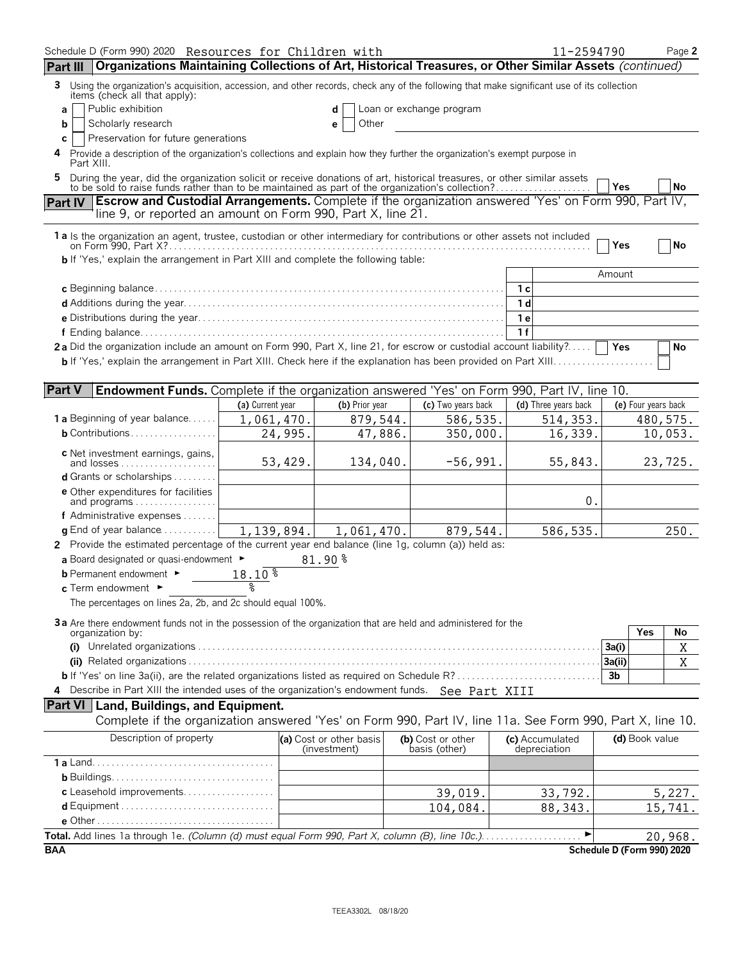| Schedule D (Form 990) 2020 Resources for Children with                                                                                                                                                                            |                  |                                         |                                    | 11-2594790                      |                            | Page 2   |
|-----------------------------------------------------------------------------------------------------------------------------------------------------------------------------------------------------------------------------------|------------------|-----------------------------------------|------------------------------------|---------------------------------|----------------------------|----------|
| Organizations Maintaining Collections of Art, Historical Treasures, or Other Similar Assets (continued)<br><b>Part III</b>                                                                                                        |                  |                                         |                                    |                                 |                            |          |
| Using the organization's acquisition, accession, and other records, check any of the following that make significant use of its collection<br>3<br>items (check all that apply):                                                  |                  |                                         |                                    |                                 |                            |          |
| Public exhibition<br>a                                                                                                                                                                                                            |                  | d                                       | Loan or exchange program           |                                 |                            |          |
| Scholarly research<br>b                                                                                                                                                                                                           |                  | Other<br>е                              |                                    |                                 |                            |          |
| Preservation for future generations<br>C                                                                                                                                                                                          |                  |                                         |                                    |                                 |                            |          |
| Provide a description of the organization's collections and explain how they further the organization's exempt purpose in<br>4<br>Part XIII.                                                                                      |                  |                                         |                                    |                                 |                            |          |
| During the year, did the organization solicit or receive donations of art, historical treasures, or other similar assets<br>5<br>to be sold to raise funds rather than to be maintained as part of the organization's collection? |                  |                                         |                                    |                                 | Yes                        | No       |
| <b>Escrow and Custodial Arrangements.</b> Complete if the organization answered 'Yes' on Form 990, Part IV,<br><b>Part IV</b><br>line 9, or reported an amount on Form 990, Part X, line 21.                                      |                  |                                         |                                    |                                 |                            |          |
| 1a Is the organization an agent, trustee, custodian or other intermediary for contributions or other assets not included                                                                                                          |                  |                                         |                                    |                                 |                            |          |
|                                                                                                                                                                                                                                   |                  |                                         |                                    |                                 | Yes                        | No       |
| <b>b</b> If 'Yes,' explain the arrangement in Part XIII and complete the following table:                                                                                                                                         |                  |                                         |                                    |                                 |                            |          |
|                                                                                                                                                                                                                                   |                  |                                         |                                    |                                 | Amount                     |          |
|                                                                                                                                                                                                                                   |                  |                                         |                                    | 1 с                             |                            |          |
|                                                                                                                                                                                                                                   |                  |                                         |                                    | 1 d                             |                            |          |
|                                                                                                                                                                                                                                   |                  |                                         |                                    | 1е                              |                            |          |
|                                                                                                                                                                                                                                   |                  |                                         |                                    | 1f                              |                            |          |
| 2a Did the organization include an amount on Form 990, Part X, line 21, for escrow or custodial account liability?                                                                                                                |                  |                                         |                                    |                                 | Yes                        | No       |
|                                                                                                                                                                                                                                   |                  |                                         |                                    |                                 |                            |          |
|                                                                                                                                                                                                                                   |                  |                                         |                                    |                                 |                            |          |
| <b>Part V</b><br><b>Endowment Funds.</b> Complete if the organization answered 'Yes' on Form 990, Part IV, line 10.                                                                                                               |                  |                                         |                                    |                                 |                            |          |
|                                                                                                                                                                                                                                   | (a) Current year | (b) Prior year                          | (c) Two years back                 | (d) Three years back            | (e) Four years back        |          |
| <b>1 a</b> Beginning of year balance                                                                                                                                                                                              | 1,061,470.       | 879,544.                                | 586,535.                           | 514, 353.                       |                            | 480,575. |
| $b$ Contributions                                                                                                                                                                                                                 | 24,995.          | 47,886.                                 | 350,000.                           | 16,339.                         |                            | 10,053.  |
| c Net investment earnings, gains,                                                                                                                                                                                                 | 53,429.          | 134,040.                                | $-56,991.$                         | 55,843.                         |                            | 23,725.  |
| d Grants or scholarships                                                                                                                                                                                                          |                  |                                         |                                    |                                 |                            |          |
| <b>e</b> Other expenditures for facilities<br>and programs                                                                                                                                                                        |                  |                                         |                                    | 0.                              |                            |          |
| f Administrative expenses                                                                                                                                                                                                         |                  |                                         |                                    |                                 |                            |          |
| $\alpha$ End of year balance $\ldots \ldots \ldots$                                                                                                                                                                               | 1,139,894.       | 1,061,470.                              | 879,544.                           | 586,535.                        |                            | 250.     |
| 2 Provide the estimated percentage of the current year end balance (line 1g, column (a)) held as:                                                                                                                                 |                  |                                         |                                    |                                 |                            |          |
| a Board designated or quasi-endowment $\blacktriangleright$                                                                                                                                                                       |                  | $81.90*$                                |                                    |                                 |                            |          |
| <b>b</b> Permanent endowment ►                                                                                                                                                                                                    | 18.10 %          |                                         |                                    |                                 |                            |          |
| c Term endowment $\blacktriangleright$                                                                                                                                                                                            | $\overline{2}$   |                                         |                                    |                                 |                            |          |
| The percentages on lines 2a, 2b, and 2c should equal 100%.                                                                                                                                                                        |                  |                                         |                                    |                                 |                            |          |
| 3a Are there endowment funds not in the possession of the organization that are held and administered for the                                                                                                                     |                  |                                         |                                    |                                 |                            |          |
| organization by:                                                                                                                                                                                                                  |                  |                                         |                                    |                                 | Yes                        | No       |
|                                                                                                                                                                                                                                   |                  |                                         |                                    |                                 | 3a(i)                      | Χ        |
|                                                                                                                                                                                                                                   |                  |                                         |                                    |                                 | 3a(ii)                     | X        |
|                                                                                                                                                                                                                                   |                  |                                         |                                    |                                 | 3 <sub>b</sub>             |          |
| 4 Describe in Part XIII the intended uses of the organization's endowment funds. See Part XIII                                                                                                                                    |                  |                                         |                                    |                                 |                            |          |
| Part VI   Land, Buildings, and Equipment.                                                                                                                                                                                         |                  |                                         |                                    |                                 |                            |          |
| Complete if the organization answered 'Yes' on Form 990, Part IV, line 11a. See Form 990, Part X, line 10.                                                                                                                        |                  |                                         |                                    |                                 |                            |          |
| Description of property                                                                                                                                                                                                           |                  | (a) Cost or other basis<br>(investment) | (b) Cost or other<br>basis (other) | (c) Accumulated<br>depreciation | (d) Book value             |          |
|                                                                                                                                                                                                                                   |                  |                                         |                                    |                                 |                            |          |
|                                                                                                                                                                                                                                   |                  |                                         |                                    |                                 |                            |          |
| c Leasehold improvements                                                                                                                                                                                                          |                  |                                         |                                    | 33,792.                         |                            |          |
|                                                                                                                                                                                                                                   |                  |                                         | 39,019.                            |                                 |                            | 5,227.   |
|                                                                                                                                                                                                                                   |                  |                                         | 104,084.                           | 88,343.                         |                            | 15,741.  |
|                                                                                                                                                                                                                                   |                  |                                         |                                    |                                 |                            |          |
|                                                                                                                                                                                                                                   |                  |                                         |                                    |                                 |                            | 20,968.  |
| <b>BAA</b>                                                                                                                                                                                                                        |                  |                                         |                                    |                                 | Schedule D (Form 990) 2020 |          |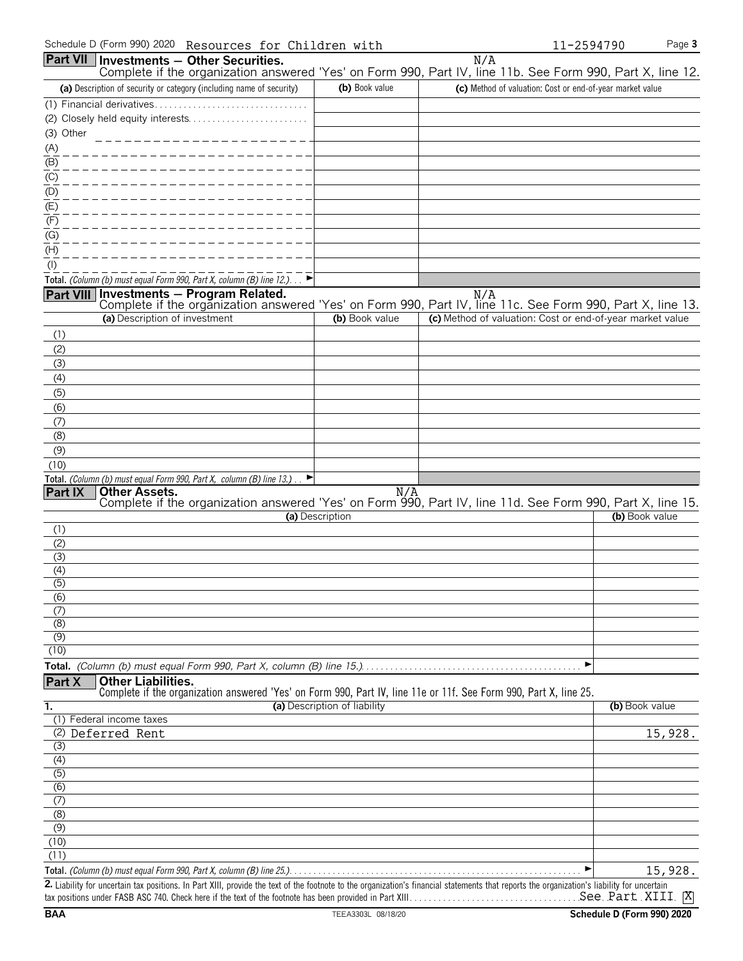|                  | Schedule D (Form 990) 2020 Resources for Children with                                        |   |                              | 11-2594790                                                                                                                                                                                                           | Page 3         |
|------------------|-----------------------------------------------------------------------------------------------|---|------------------------------|----------------------------------------------------------------------------------------------------------------------------------------------------------------------------------------------------------------------|----------------|
|                  | <b>Part VII   Investments - Other Securities.</b>                                             |   |                              | N/A                                                                                                                                                                                                                  |                |
|                  | (a) Description of security or category (including name of security)                          |   | (b) Book value               | Complete if the organization answered 'Yes' on Form 990, Part IV, line 11b. See Form 990, Part X, line 12.<br>(c) Method of valuation: Cost or end-of-year market value                                              |                |
|                  |                                                                                               |   |                              |                                                                                                                                                                                                                      |                |
|                  |                                                                                               |   |                              |                                                                                                                                                                                                                      |                |
| (3) Other        |                                                                                               |   |                              |                                                                                                                                                                                                                      |                |
| (A)              |                                                                                               |   |                              |                                                                                                                                                                                                                      |                |
| (B)              |                                                                                               |   |                              |                                                                                                                                                                                                                      |                |
| (C)              |                                                                                               |   |                              |                                                                                                                                                                                                                      |                |
| (D)              |                                                                                               |   |                              |                                                                                                                                                                                                                      |                |
| (E)              |                                                                                               |   |                              |                                                                                                                                                                                                                      |                |
| (F)              |                                                                                               |   |                              |                                                                                                                                                                                                                      |                |
| (G)              |                                                                                               |   |                              |                                                                                                                                                                                                                      |                |
| (H)              |                                                                                               |   |                              |                                                                                                                                                                                                                      |                |
| $($ l $)$        |                                                                                               |   |                              |                                                                                                                                                                                                                      |                |
|                  | Total. (Column (b) must equal Form 990, Part X, column (B) line 12.). $\Box$                  |   |                              |                                                                                                                                                                                                                      |                |
|                  |                                                                                               |   |                              | N/A Nill <b>Investments – Program Related.</b> N/A N/A Nill <b>Part VIII Investments – Program Related.</b> Notion of the organization answered 'Yes' on Form 990, Part IV, line 11c. See Form 990, Part X, line 13. |                |
|                  | (a) Description of investment                                                                 |   | (b) Book value               | (c) Method of valuation: Cost or end-of-year market value                                                                                                                                                            |                |
| (1)              |                                                                                               |   |                              |                                                                                                                                                                                                                      |                |
| (2)              |                                                                                               |   |                              |                                                                                                                                                                                                                      |                |
| (3)              |                                                                                               |   |                              |                                                                                                                                                                                                                      |                |
| (4)              |                                                                                               |   |                              |                                                                                                                                                                                                                      |                |
| (5)              |                                                                                               |   |                              |                                                                                                                                                                                                                      |                |
| (6)              |                                                                                               |   |                              |                                                                                                                                                                                                                      |                |
| (7)              |                                                                                               |   |                              |                                                                                                                                                                                                                      |                |
| (8)              |                                                                                               |   |                              |                                                                                                                                                                                                                      |                |
| (9)              |                                                                                               |   |                              |                                                                                                                                                                                                                      |                |
| (10)             |                                                                                               |   |                              |                                                                                                                                                                                                                      |                |
| Part IX          | Total. (Column (b) must equal Form 990, Part X, column (B) line 13.).<br><b>Other Assets.</b> | ▶ | N/A                          |                                                                                                                                                                                                                      |                |
|                  |                                                                                               |   |                              | Complete if the organization answered 'Yes' on Form 990, Part IV, line 11d. See Form 990, Part X, line 15.                                                                                                           |                |
|                  |                                                                                               |   | (a) Description              |                                                                                                                                                                                                                      | (b) Book value |
| (1)              |                                                                                               |   |                              |                                                                                                                                                                                                                      |                |
| (2)<br>(3)       |                                                                                               |   |                              |                                                                                                                                                                                                                      |                |
| (4)              |                                                                                               |   |                              |                                                                                                                                                                                                                      |                |
| (5)              |                                                                                               |   |                              |                                                                                                                                                                                                                      |                |
| (6)              |                                                                                               |   |                              |                                                                                                                                                                                                                      |                |
| (7)              |                                                                                               |   |                              |                                                                                                                                                                                                                      |                |
| (8)              |                                                                                               |   |                              |                                                                                                                                                                                                                      |                |
| (9)<br>(10)      |                                                                                               |   |                              |                                                                                                                                                                                                                      |                |
|                  |                                                                                               |   |                              | ▶                                                                                                                                                                                                                    |                |
| <b>Part X</b>    | <b>Other Liabilities.</b>                                                                     |   |                              |                                                                                                                                                                                                                      |                |
|                  |                                                                                               |   |                              | Complete if the organization answered 'Yes' on Form 990, Part IV, line 11e or 11f. See Form 990, Part X, line 25.                                                                                                    |                |
| $\overline{1}$ . |                                                                                               |   | (a) Description of liability |                                                                                                                                                                                                                      | (b) Book value |
|                  | (1) Federal income taxes                                                                      |   |                              |                                                                                                                                                                                                                      |                |
|                  | (2) Deferred Rent                                                                             |   |                              |                                                                                                                                                                                                                      | 15,928.        |
| (3)<br>(4)       |                                                                                               |   |                              |                                                                                                                                                                                                                      |                |
| (5)              |                                                                                               |   |                              |                                                                                                                                                                                                                      |                |
| (6)              |                                                                                               |   |                              |                                                                                                                                                                                                                      |                |
| (7)              |                                                                                               |   |                              |                                                                                                                                                                                                                      |                |
| (8)              |                                                                                               |   |                              |                                                                                                                                                                                                                      |                |
| (9)<br>(10)      |                                                                                               |   |                              |                                                                                                                                                                                                                      |                |
| (11)             |                                                                                               |   |                              |                                                                                                                                                                                                                      |                |

**Total.** *(Column (b) must equal Form 990, Part X, column (B) line 25.)*. . . . . . . . . . . . . . . . . . . . . . . . . . . . . . . . . . . . . . . . . . . . . . . . . . . . . . . . . . . . . G **2.** Liability for uncertain tax positions. In Part XIII, provide the text of the footnote to the organization's financial statements that reports the organization's liability for uncertain tax positions under FASB ASC 740. Check here if the text of the footnote has been provided in Part XIII. . . . . . . . . . . . . . . . . . . . . . . . . . . . . . . . . . . . . . . . . . . . . . . . . . . . . . . . X See Part XIII15,928.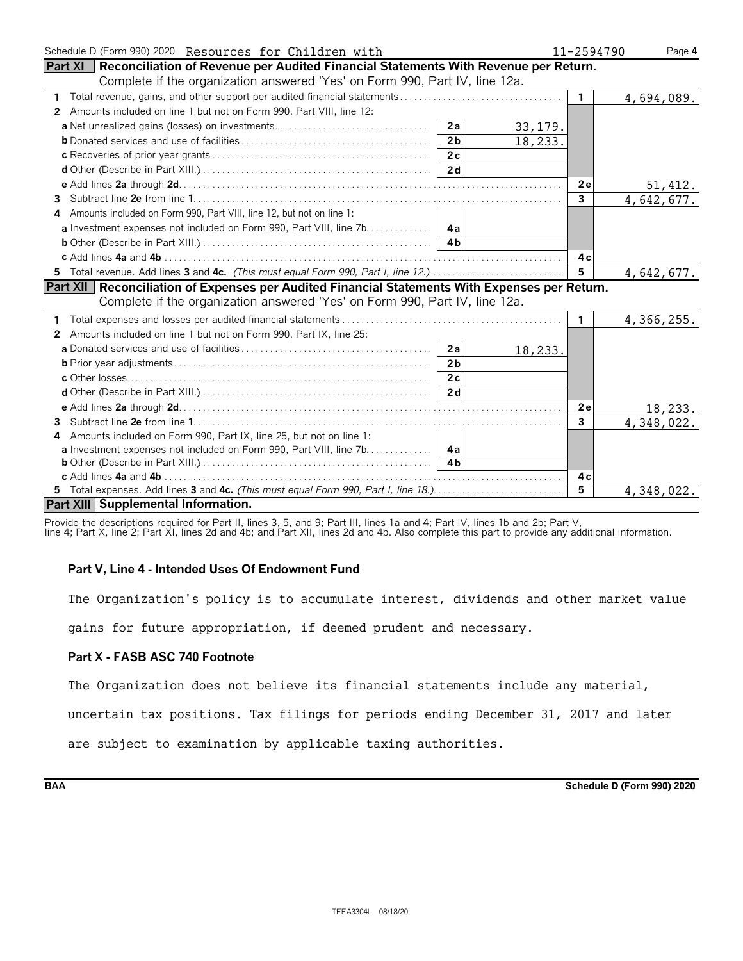| Schedule D (Form 990) 2020 Resources for Children with                                                | 11-2594790   | Page 4     |
|-------------------------------------------------------------------------------------------------------|--------------|------------|
| Part XI   Reconciliation of Revenue per Audited Financial Statements With Revenue per Return.         |              |            |
| Complete if the organization answered 'Yes' on Form 990, Part IV, line 12a.                           |              |            |
|                                                                                                       | $\mathbf{1}$ | 4,694,089. |
| Amounts included on line 1 but not on Form 990, Part VIII, line 12:<br>2                              |              |            |
| 33,179.                                                                                               |              |            |
| 2 <sub>b</sub><br>18,233.                                                                             |              |            |
|                                                                                                       |              |            |
|                                                                                                       |              |            |
|                                                                                                       | 2e           | 51,412.    |
| 3                                                                                                     | $\mathbf{3}$ | 4,642,677. |
| Amounts included on Form 990, Part VIII, line 12, but not on line 1:<br>4                             |              |            |
| <b>a</b> Investment expenses not included on Form 990, Part VIII, line 7b. 4a                         |              |            |
|                                                                                                       |              |            |
|                                                                                                       | 4 c          |            |
| 5 Total revenue. Add lines 3 and 4c. (This must equal Form 990, Part I, line 12.)                     | 5            | 4,642,677. |
| <b>Part XII Reconciliation of Expenses per Audited Financial Statements With Expenses per Return.</b> |              |            |
| Complete if the organization answered 'Yes' on Form 990, Part IV, line 12a.                           |              |            |
|                                                                                                       | 1.           | 4,366,255. |
| Amounts included on line 1 but not on Form 990, Part IX, line 25:<br>2                                |              |            |
| 2a<br>18,233.                                                                                         |              |            |
| 2 <sub>b</sub>                                                                                        |              |            |
| 2c                                                                                                    |              |            |
| 2d                                                                                                    |              |            |
|                                                                                                       | 2e           | 18,233.    |
| З.                                                                                                    | 3            | 4,348,022. |
| Amounts included on Form 990, Part IX, line 25, but not on line 1:<br>4                               |              |            |
| <b>a</b> Investment expenses not included on Form 990, Part VIII, line 7b. 4a                         |              |            |
| 4 <sub>h</sub>                                                                                        |              |            |
|                                                                                                       | 4 c          |            |
|                                                                                                       | 5            | 4,348,022. |
| Part XIII Supplemental Information.                                                                   |              |            |

Provide the descriptions required for Part II, lines 3, 5, and 9; Part III, lines 1a and 4; Part IV, lines 1b and 2b; Part V,

line 4; Part X, line 2; Part XI, lines 2d and 4b; and Part XII, lines 2d and 4b. Also complete this part to provide any additional information.

#### **Part V, Line 4 - Intended Uses Of Endowment Fund**

The Organization's policy is to accumulate interest, dividends and other market value

gains for future appropriation, if deemed prudent and necessary.

#### **Part X - FASB ASC 740 Footnote**

The Organization does not believe its financial statements include any material,

uncertain tax positions. Tax filings for periods ending December 31, 2017 and later

are subject to examination by applicable taxing authorities.

**BAA Schedule D (Form 990) 2020**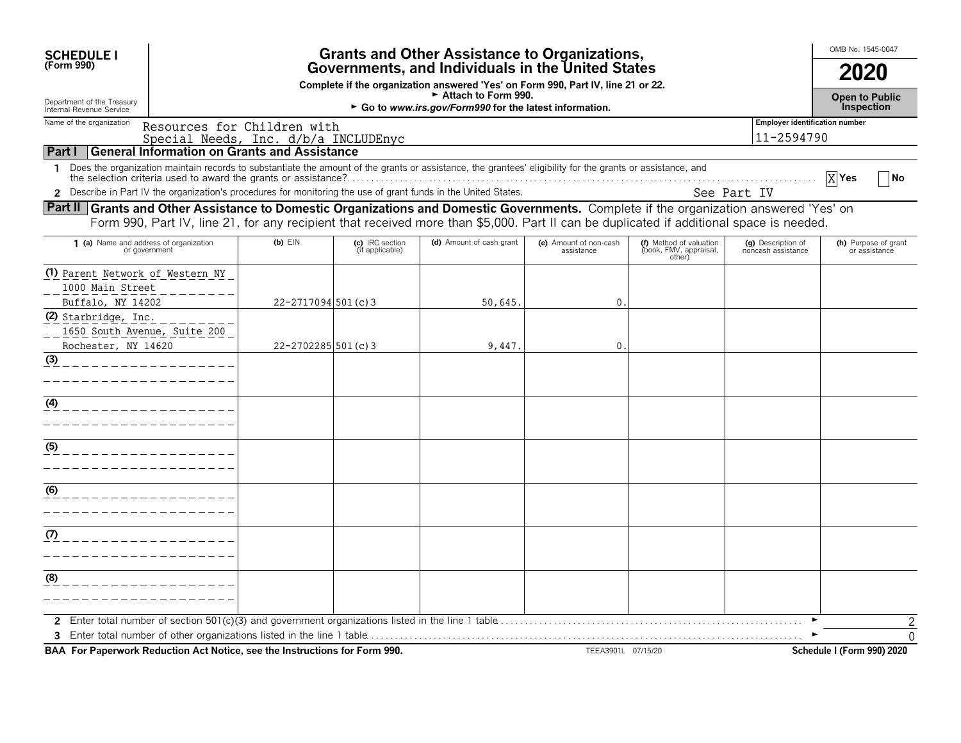| <b>SCHEDULE I</b><br>(Form 990)                                                                                                                                  |                                                                                                                                       |                                                                     |                                    | <b>Grants and Other Assistance to Organizations,</b>                                                                                    |                                      |                                                             |                                              | OMB No. 1545-0047                           |
|------------------------------------------------------------------------------------------------------------------------------------------------------------------|---------------------------------------------------------------------------------------------------------------------------------------|---------------------------------------------------------------------|------------------------------------|-----------------------------------------------------------------------------------------------------------------------------------------|--------------------------------------|-------------------------------------------------------------|----------------------------------------------|---------------------------------------------|
|                                                                                                                                                                  | Governments, and Individuals in the United States<br>Complete if the organization answered 'Yes' on Form 990, Part IV, line 21 or 22. |                                                                     |                                    |                                                                                                                                         |                                      |                                                             |                                              | 2020                                        |
| Department of the Treasury<br>Internal Revenue Service                                                                                                           | Attach to Form 990.<br>► Go to www.irs.gov/Form990 for the latest information.                                                        |                                                                     |                                    |                                                                                                                                         |                                      |                                                             | <b>Open to Public</b><br>Inspection          |                                             |
| Name of the organization                                                                                                                                         |                                                                                                                                       | Resources for Children with<br>Special Needs, Inc. d/b/a INCLUDEnyc |                                    |                                                                                                                                         |                                      |                                                             | Employer identification number<br>11-2594790 |                                             |
| <b>Part I</b>                                                                                                                                                    |                                                                                                                                       | <b>General Information on Grants and Assistance</b>                 |                                    |                                                                                                                                         |                                      |                                                             |                                              |                                             |
| Does the organization maintain records to substantiate the amount of the grants or assistance, the grantees' eligibility for the grants or assistance, and<br>1. |                                                                                                                                       |                                                                     |                                    |                                                                                                                                         |                                      |                                                             |                                              | X Yes<br><b>No</b>                          |
| 2 Describe in Part IV the organization's procedures for monitoring the use of grant funds in the United States.                                                  |                                                                                                                                       |                                                                     |                                    |                                                                                                                                         |                                      |                                                             | See Part IV                                  |                                             |
| <b>Part II Grants and Other Assistance to Domestic Organizations and Domestic Governments.</b> Complete if the organization answered 'Yes' on                    |                                                                                                                                       |                                                                     |                                    | Form 990, Part IV, line 21, for any recipient that received more than \$5,000. Part II can be duplicated if additional space is needed. |                                      |                                                             |                                              |                                             |
| 1 (a) Name and address of organization<br>or government                                                                                                          |                                                                                                                                       | $(b)$ $E$ IN                                                        | (c) IRC section<br>(if applicable) | (d) Amount of cash grant                                                                                                                | (e) Amount of non-cash<br>assistance | (f) Method of valuation<br>(book, FMV, appraisal,<br>other) | (g) Description of<br>noncash assistance     | (h) Purpose of grant<br>or assistance       |
| (1) Parent Network of Western NY<br>1000 Main Street                                                                                                             |                                                                                                                                       |                                                                     |                                    |                                                                                                                                         |                                      |                                                             |                                              |                                             |
| Buffalo, NY 14202                                                                                                                                                |                                                                                                                                       | 22-2717094 501 (c) 3                                                |                                    | 50,645.                                                                                                                                 | $\mathbf{0}$ .                       |                                                             |                                              |                                             |
| (2) Starbridge, Inc.<br>1650 South Avenue, Suite 200<br>Rochester, NY 14620                                                                                      |                                                                                                                                       | 22-2702285 501 (c) 3                                                |                                    | 9,447.                                                                                                                                  | 0                                    |                                                             |                                              |                                             |
| (3)                                                                                                                                                              |                                                                                                                                       |                                                                     |                                    |                                                                                                                                         |                                      |                                                             |                                              |                                             |
| (4)                                                                                                                                                              |                                                                                                                                       |                                                                     |                                    |                                                                                                                                         |                                      |                                                             |                                              |                                             |
| (5)                                                                                                                                                              |                                                                                                                                       |                                                                     |                                    |                                                                                                                                         |                                      |                                                             |                                              |                                             |
| (6)                                                                                                                                                              |                                                                                                                                       |                                                                     |                                    |                                                                                                                                         |                                      |                                                             |                                              |                                             |
| (7)                                                                                                                                                              |                                                                                                                                       |                                                                     |                                    |                                                                                                                                         |                                      |                                                             |                                              |                                             |
| (8)                                                                                                                                                              |                                                                                                                                       |                                                                     |                                    |                                                                                                                                         |                                      |                                                             |                                              |                                             |
| BAA For Paperwork Reduction Act Notice, see the Instructions for Form 990.                                                                                       |                                                                                                                                       |                                                                     |                                    |                                                                                                                                         | TEEA3901L 07/15/20                   |                                                             |                                              | 2<br>$\Omega$<br>Schedule I (Form 990) 2020 |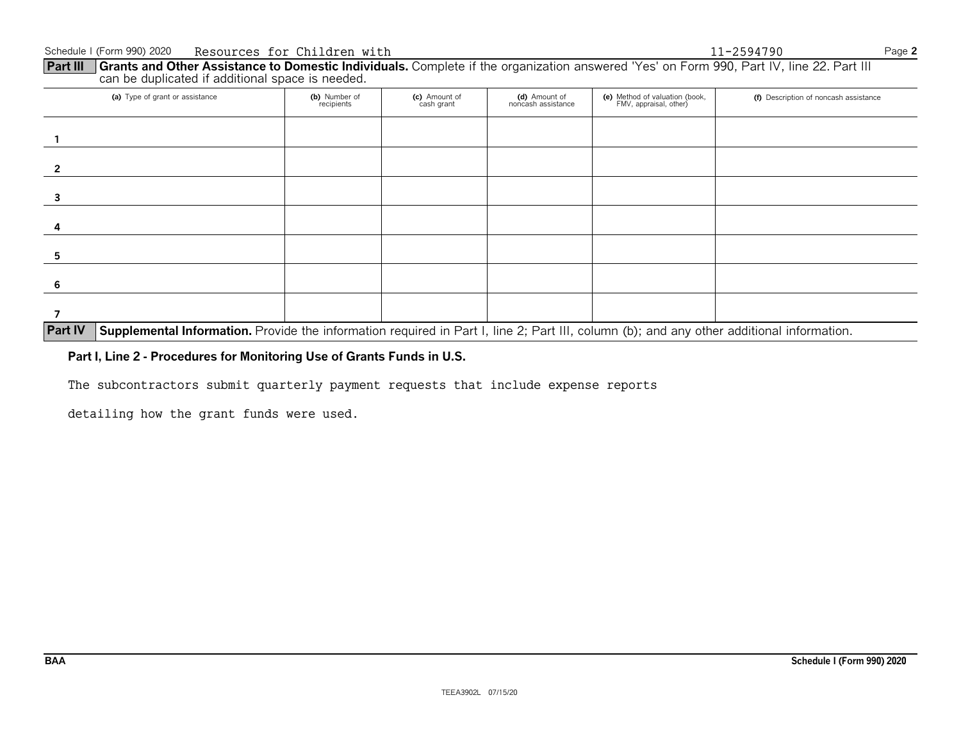**Part III** Grants and Other Assistance to Domestic Individuals. Complete if the organization answered 'Yes' on Form 990, Part IV, line 22. Part III can be duplicated if additional space is needed.

| (a) Type of grant or assistance                                                                                                                      | (b) Number of<br>recipients | (c) Amount of<br>cash grant | (d) Amount of<br>noncash assistance | (e) Method of valuation (book,<br>FMV, appraisal, other) | (f) Description of noncash assistance |
|------------------------------------------------------------------------------------------------------------------------------------------------------|-----------------------------|-----------------------------|-------------------------------------|----------------------------------------------------------|---------------------------------------|
|                                                                                                                                                      |                             |                             |                                     |                                                          |                                       |
|                                                                                                                                                      |                             |                             |                                     |                                                          |                                       |
|                                                                                                                                                      |                             |                             |                                     |                                                          |                                       |
|                                                                                                                                                      |                             |                             |                                     |                                                          |                                       |
|                                                                                                                                                      |                             |                             |                                     |                                                          |                                       |
| 6                                                                                                                                                    |                             |                             |                                     |                                                          |                                       |
|                                                                                                                                                      |                             |                             |                                     |                                                          |                                       |
| Part IV<br>Supplemental Information. Provide the information required in Part I, line 2; Part III, column (b); and any other additional information. |                             |                             |                                     |                                                          |                                       |

**Part I, Line 2 - Procedures for Monitoring Use of Grants Funds in U.S.**

The subcontractors submit quarterly payment requests that include expense reports

detailing how the grant funds were used.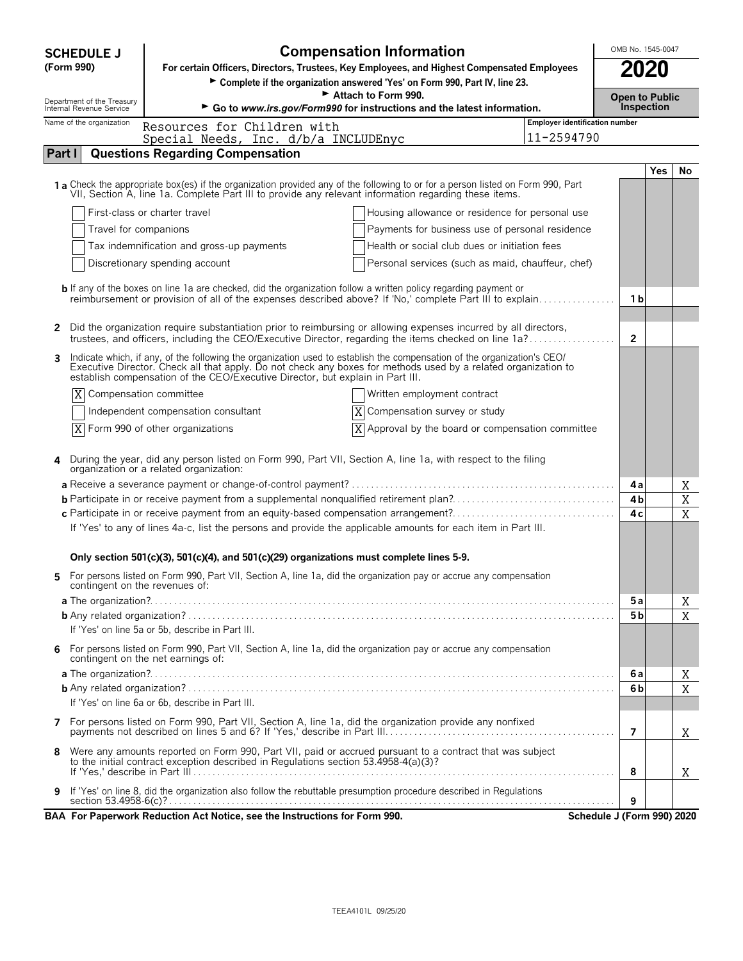| <b>SCHEDULE J</b>                                                                                                                                                                                   | <b>Compensation Information</b>                                                                                                                                                                                                                                                                                             |                                |                                     |            | OMB No. 1545-0047 |  |  |
|-----------------------------------------------------------------------------------------------------------------------------------------------------------------------------------------------------|-----------------------------------------------------------------------------------------------------------------------------------------------------------------------------------------------------------------------------------------------------------------------------------------------------------------------------|--------------------------------|-------------------------------------|------------|-------------------|--|--|
| (Form 990)                                                                                                                                                                                          | For certain Officers, Directors, Trustees, Key Employees, and Highest Compensated Employees<br>> Complete if the organization answered 'Yes' on Form 990, Part IV, line 23.                                                                                                                                                 |                                |                                     |            |                   |  |  |
| Department of the Treasury<br>Internal Revenue Service                                                                                                                                              | Attach to Form 990.<br>Go to www.irs.gov/Form990 for instructions and the latest information.                                                                                                                                                                                                                               |                                | <b>Open to Public</b><br>Inspection |            |                   |  |  |
| Name of the organization                                                                                                                                                                            | Resources for Children with                                                                                                                                                                                                                                                                                                 | Employer identification number |                                     |            |                   |  |  |
|                                                                                                                                                                                                     | Special Needs, Inc. d/b/a INCLUDEnyc                                                                                                                                                                                                                                                                                        | 11-2594790                     |                                     |            |                   |  |  |
| Part I                                                                                                                                                                                              | <b>Questions Regarding Compensation</b>                                                                                                                                                                                                                                                                                     |                                |                                     |            |                   |  |  |
|                                                                                                                                                                                                     |                                                                                                                                                                                                                                                                                                                             |                                |                                     | <b>Yes</b> | No                |  |  |
|                                                                                                                                                                                                     | 1 a Check the appropriate box(es) if the organization provided any of the following to or for a person listed on Form 990, Part VII, Section A, line 1a. Complete Part III to provide any relevant information regarding these                                                                                              |                                |                                     |            |                   |  |  |
|                                                                                                                                                                                                     | First-class or charter travel<br>Housing allowance or residence for personal use                                                                                                                                                                                                                                            |                                |                                     |            |                   |  |  |
| Travel for companions                                                                                                                                                                               | Payments for business use of personal residence                                                                                                                                                                                                                                                                             |                                |                                     |            |                   |  |  |
|                                                                                                                                                                                                     | Tax indemnification and gross-up payments<br>Health or social club dues or initiation fees                                                                                                                                                                                                                                  |                                |                                     |            |                   |  |  |
|                                                                                                                                                                                                     | Discretionary spending account<br>Personal services (such as maid, chauffeur, chef)                                                                                                                                                                                                                                         |                                |                                     |            |                   |  |  |
|                                                                                                                                                                                                     | <b>b</b> If any of the boxes on line 1a are checked, did the organization follow a written policy regarding payment or<br>reimbursement or provision of all of the expenses described above? If 'No,' complete Part III to explain                                                                                          |                                | 1 b                                 |            |                   |  |  |
| 2                                                                                                                                                                                                   | Did the organization require substantiation prior to reimbursing or allowing expenses incurred by all directors,<br>trustees, and officers, including the CEO/Executive Director, regarding the items checked on line 1a?                                                                                                   |                                | $\overline{2}$                      |            |                   |  |  |
| 3                                                                                                                                                                                                   | Indicate which, if any, of the following the organization used to establish the compensation of the organization's CEO/<br>Executive Director. Check all that apply. Do not check any boxes for methods used by a related organization to<br>establish compensation of the CEO/Executive Director, but explain in Part III. |                                |                                     |            |                   |  |  |
|                                                                                                                                                                                                     | Compensation committee<br>Written employment contract                                                                                                                                                                                                                                                                       |                                |                                     |            |                   |  |  |
|                                                                                                                                                                                                     | Independent compensation consultant<br>Compensation survey or study                                                                                                                                                                                                                                                         |                                |                                     |            |                   |  |  |
| X                                                                                                                                                                                                   | Form 990 of other organizations<br>Approval by the board or compensation committee                                                                                                                                                                                                                                          |                                |                                     |            |                   |  |  |
|                                                                                                                                                                                                     | During the year, did any person listed on Form 990, Part VII, Section A, line 1a, with respect to the filing organization or a related organization:                                                                                                                                                                        |                                |                                     |            |                   |  |  |
|                                                                                                                                                                                                     |                                                                                                                                                                                                                                                                                                                             |                                | 4а                                  |            | Χ                 |  |  |
|                                                                                                                                                                                                     | <b>b</b> Participate in or receive payment from a supplemental nonqualified retirement plan?                                                                                                                                                                                                                                |                                | 4b<br>4 c                           |            | $\rm X$           |  |  |
| c Participate in or receive payment from an equity-based compensation arrangement?<br>If 'Yes' to any of lines 4a-c, list the persons and provide the applicable amounts for each item in Part III. |                                                                                                                                                                                                                                                                                                                             |                                |                                     |            | X                 |  |  |
|                                                                                                                                                                                                     | Only section 501(c)(3), 501(c)(4), and 501(c)(29) organizations must complete lines 5-9.                                                                                                                                                                                                                                    |                                |                                     |            |                   |  |  |
| contingent on the revenues of:                                                                                                                                                                      | For persons listed on Form 990, Part VII, Section A, line 1a, did the organization pay or accrue any compensation                                                                                                                                                                                                           |                                |                                     |            |                   |  |  |
|                                                                                                                                                                                                     |                                                                                                                                                                                                                                                                                                                             |                                | 5a                                  |            | Χ                 |  |  |
|                                                                                                                                                                                                     |                                                                                                                                                                                                                                                                                                                             |                                | 5 b                                 |            | X                 |  |  |
| 6                                                                                                                                                                                                   | If 'Yes' on line 5a or 5b, describe in Part III.<br>For persons listed on Form 990, Part VII, Section A, line 1a, did the organization pay or accrue any compensation                                                                                                                                                       |                                |                                     |            |                   |  |  |
|                                                                                                                                                                                                     | contingent on the net earnings of:                                                                                                                                                                                                                                                                                          |                                |                                     |            |                   |  |  |
|                                                                                                                                                                                                     |                                                                                                                                                                                                                                                                                                                             |                                | 6а<br>6b                            |            | Χ<br>X            |  |  |
|                                                                                                                                                                                                     | If 'Yes' on line 6a or 6b, describe in Part III.                                                                                                                                                                                                                                                                            |                                |                                     |            |                   |  |  |
|                                                                                                                                                                                                     | 7 For persons listed on Form 990, Part VII, Section A, line 1a, did the organization provide any nonfixed                                                                                                                                                                                                                   |                                | 7                                   |            | Χ                 |  |  |
| 8                                                                                                                                                                                                   | Were any amounts reported on Form 990, Part VII, paid or accrued pursuant to a contract that was subject<br>to the initial contract exception described in Regulations section 53.4958-4(a)(3)?                                                                                                                             |                                | 8                                   |            | X                 |  |  |
| 9                                                                                                                                                                                                   | If 'Yes' on line 8, did the organization also follow the rebuttable presumption procedure described in Regulations                                                                                                                                                                                                          |                                | 9                                   |            |                   |  |  |
|                                                                                                                                                                                                     | BAA For Paperwork Reduction Act Notice, see the Instructions for Form 990.                                                                                                                                                                                                                                                  |                                | Schedule J (Form 990) 2020          |            |                   |  |  |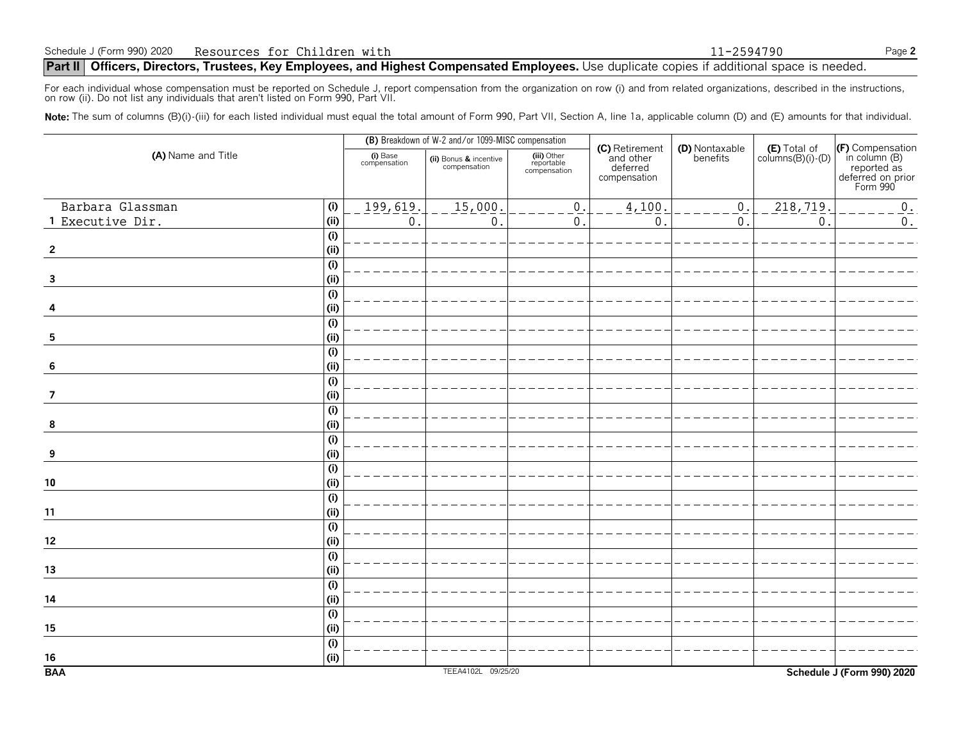For each individual whose compensation must be reported on Schedule J, report compensation from the organization on row (i) and from related organizations, described in the instructions, on row (ii). Do not list any individuals that aren't listed on Form 990, Part VII.

Note: The sum of columns (B)(i)-(iii) for each listed individual must equal the total amount of Form 990, Part VII, Section A, line 1a, applicable column (D) and (E) amounts for that individual.

|                         |                           |                          | (B) Breakdown of W-2 and/or 1099-MISC compensation |                                           |                                                         |                            |                                            |                                                                                     |
|-------------------------|---------------------------|--------------------------|----------------------------------------------------|-------------------------------------------|---------------------------------------------------------|----------------------------|--------------------------------------------|-------------------------------------------------------------------------------------|
| (A) Name and Title      |                           | (i) Base<br>compensation | (ii) Bonus & incentive<br>compensation             | (iii) Other<br>reportable<br>compensation | (C) Retirement<br>and other<br>deferred<br>compensation | (D) Nontaxable<br>benefits | $(E)$ Total of<br>columns $(B)(i)$ - $(D)$ | $(F)$ Compensation<br>in column (B)<br>reported as<br>deferred on prior<br>Form 990 |
| Barbara Glassman        | (i)                       | 199,619.                 | 15,000                                             | $0$ .                                     | 4,100.                                                  | $\mathbf 0$ .              | 218, 719.                                  | 0.                                                                                  |
| 1 Executive Dir.        | (i)                       | $0$ .                    | $\mathbf{0}$                                       | $\mathbf{0}$ .                            | $\boldsymbol{0}$                                        | $\mathbb O$ .              | $\mathbf 0$                                | $0$ .                                                                               |
|                         | (i)                       |                          |                                                    |                                           |                                                         |                            |                                            |                                                                                     |
| $\overline{2}$          | (i)                       |                          |                                                    |                                           |                                                         |                            |                                            |                                                                                     |
|                         | (i)                       |                          |                                                    |                                           |                                                         |                            |                                            |                                                                                     |
| $\overline{\mathbf{3}}$ | (i)                       |                          |                                                    |                                           |                                                         |                            |                                            |                                                                                     |
|                         | (i)                       |                          |                                                    |                                           |                                                         |                            |                                            |                                                                                     |
|                         | (i)                       |                          |                                                    |                                           |                                                         |                            |                                            |                                                                                     |
|                         | (i)                       |                          |                                                    |                                           |                                                         |                            |                                            |                                                                                     |
| 5                       | (i)                       |                          |                                                    |                                           |                                                         |                            |                                            |                                                                                     |
|                         | (i)                       |                          |                                                    |                                           |                                                         |                            |                                            |                                                                                     |
| 6                       | (i)                       |                          |                                                    |                                           |                                                         |                            |                                            |                                                                                     |
|                         | (i)                       |                          |                                                    |                                           |                                                         |                            |                                            |                                                                                     |
| $\overline{\mathbf{z}}$ | (i)                       |                          |                                                    |                                           |                                                         |                            |                                            |                                                                                     |
|                         | (i)                       |                          |                                                    |                                           |                                                         |                            |                                            |                                                                                     |
| 8                       | (i)                       |                          |                                                    |                                           |                                                         |                            |                                            |                                                                                     |
|                         | (i)                       |                          |                                                    |                                           |                                                         |                            |                                            |                                                                                     |
| 9                       | (ii)                      |                          |                                                    |                                           |                                                         |                            |                                            |                                                                                     |
|                         | $\overline{(\mathsf{i})}$ |                          |                                                    |                                           |                                                         |                            |                                            |                                                                                     |
| ${\bf 10}$              | (ii)                      |                          |                                                    |                                           |                                                         |                            |                                            |                                                                                     |
|                         | $\overline{(\mathsf{i})}$ |                          |                                                    |                                           |                                                         |                            |                                            |                                                                                     |
| 11                      | (i)                       |                          |                                                    |                                           |                                                         |                            |                                            |                                                                                     |
|                         | (i)                       |                          |                                                    |                                           |                                                         |                            |                                            |                                                                                     |
| $12\,$                  | (i)                       |                          |                                                    |                                           |                                                         |                            |                                            |                                                                                     |
|                         | (i)                       |                          |                                                    |                                           |                                                         |                            |                                            |                                                                                     |
| 13                      | (i)                       |                          |                                                    |                                           |                                                         |                            |                                            |                                                                                     |
|                         | $\overline{(\mathsf{i})}$ |                          |                                                    |                                           |                                                         |                            |                                            |                                                                                     |
| 14                      | (i)                       |                          |                                                    |                                           |                                                         |                            |                                            |                                                                                     |
|                         | (i)                       |                          |                                                    |                                           |                                                         |                            |                                            |                                                                                     |
| 15                      | (i)                       |                          |                                                    |                                           |                                                         |                            |                                            |                                                                                     |
|                         | (i)                       |                          |                                                    |                                           |                                                         |                            |                                            |                                                                                     |
| 16                      | (i)                       |                          |                                                    |                                           |                                                         |                            |                                            |                                                                                     |
| <b>BAA</b>              |                           |                          | TEEA4102L 09/25/20                                 |                                           |                                                         |                            |                                            | Schedule J (Form 990) 2020                                                          |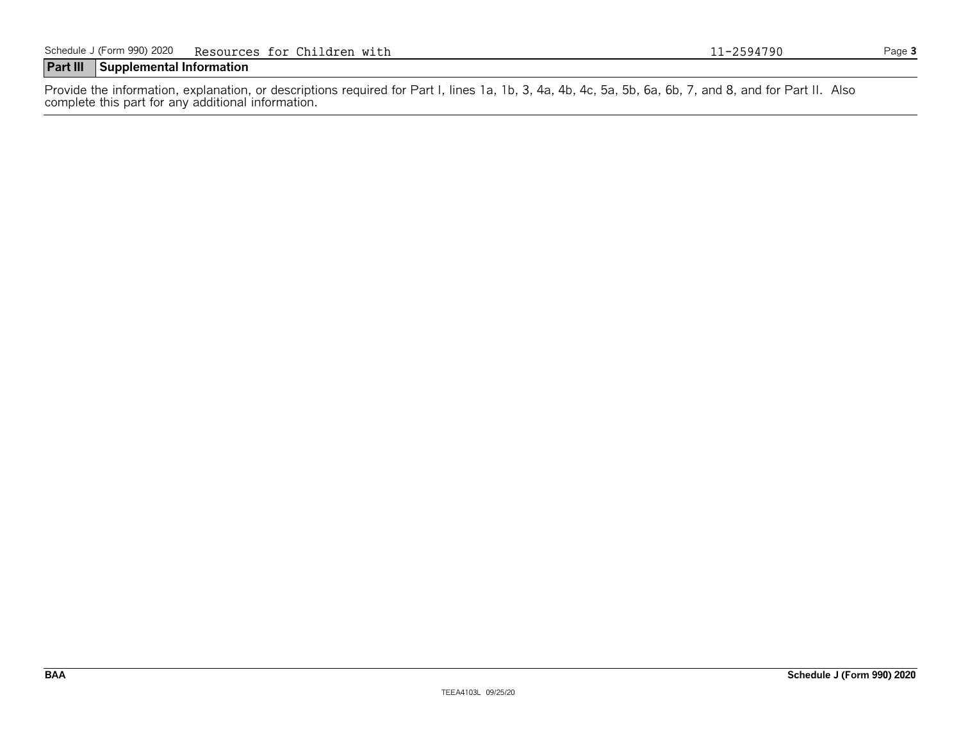#### **Part III Supplemental Information**

Provide the information, explanation, or descriptions required for Part I, lines 1a, 1b, 3, 4a, 4b, 4c, 5a, 5b, 6a, 6b, 7, and 8, and for Part II. Also complete this part for any additional information.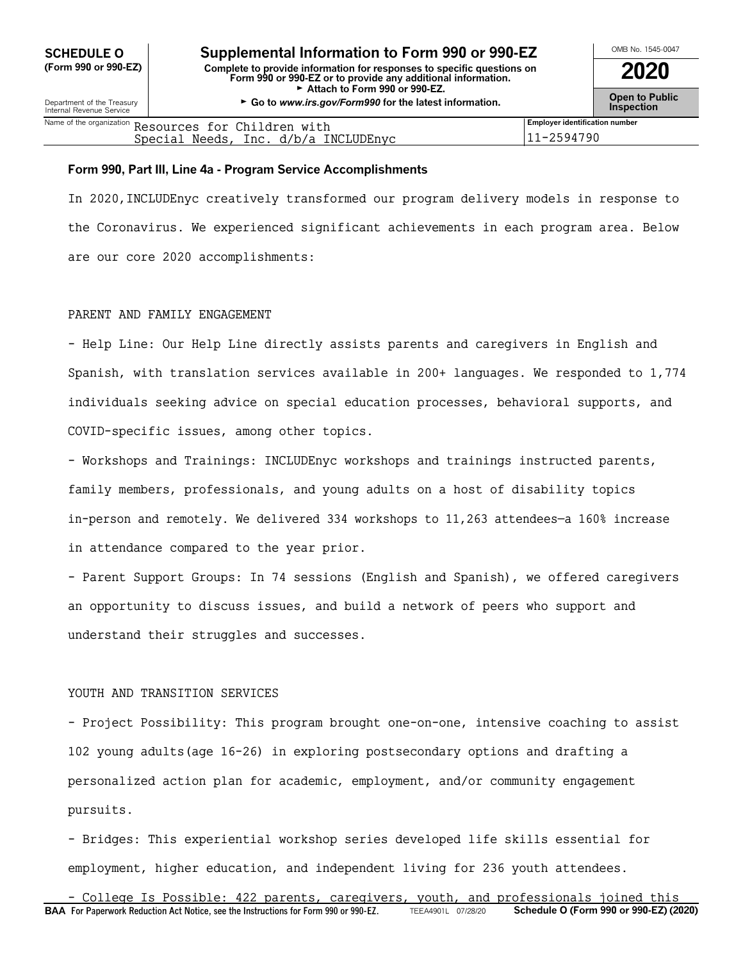## **CHEDULE O** Supplemental Information to Form 990 or 990-EZ<br>
Form 990 or 990-EZ) Complete to provide information for responses to specific questions on **(Form 990 or 990-EZ) Complete to provide information for responses to specific questions on Form 990 or 990-EZ or to provide any additional information. 2020** Attach to Form 990 or 990-EZ.

Department of the Treasury **Constant Comment of the Collaboration Constant Constant Comment Constant Constant Constant Constant Constant Constant Constant Constant Constant Constant Constant Constant Constant Constant C** 

| manne of the organization Resources for the<br>Children<br>with              | <b>Employer identification number</b> |
|------------------------------------------------------------------------------|---------------------------------------|
| INCI<br>.JIDEnvc<br>Specia<br>d/b/a<br>Needs<br>lnc.<br>$\sim$<br>$-1$ u $-$ | 4790<br>フトリム                          |

#### **Form 990, Part III, Line 4a - Program Service Accomplishments**

In 2020,INCLUDEnyc creatively transformed our program delivery models in response to the Coronavirus. We experienced significant achievements in each program area. Below are our core 2020 accomplishments:

#### PARENT AND FAMILY ENGAGEMENT

- Help Line: Our Help Line directly assists parents and caregivers in English and Spanish, with translation services available in 200+ languages. We responded to 1,774 individuals seeking advice on special education processes, behavioral supports, and COVID-specific issues, among other topics.

- Workshops and Trainings: INCLUDEnyc workshops and trainings instructed parents, family members, professionals, and young adults on a host of disability topics in-person and remotely. We delivered 334 workshops to 11,263 attendees—a 160% increase in attendance compared to the year prior.

- Parent Support Groups: In 74 sessions (English and Spanish), we offered caregivers an opportunity to discuss issues, and build a network of peers who support and understand their struggles and successes.

#### YOUTH AND TRANSITION SERVICES

- Project Possibility: This program brought one-on-one, intensive coaching to assist 102 young adults(age 16-26) in exploring postsecondary options and drafting a personalized action plan for academic, employment, and/or community engagement pursuits.

- Bridges: This experiential workshop series developed life skills essential for employment, higher education, and independent living for 236 youth attendees.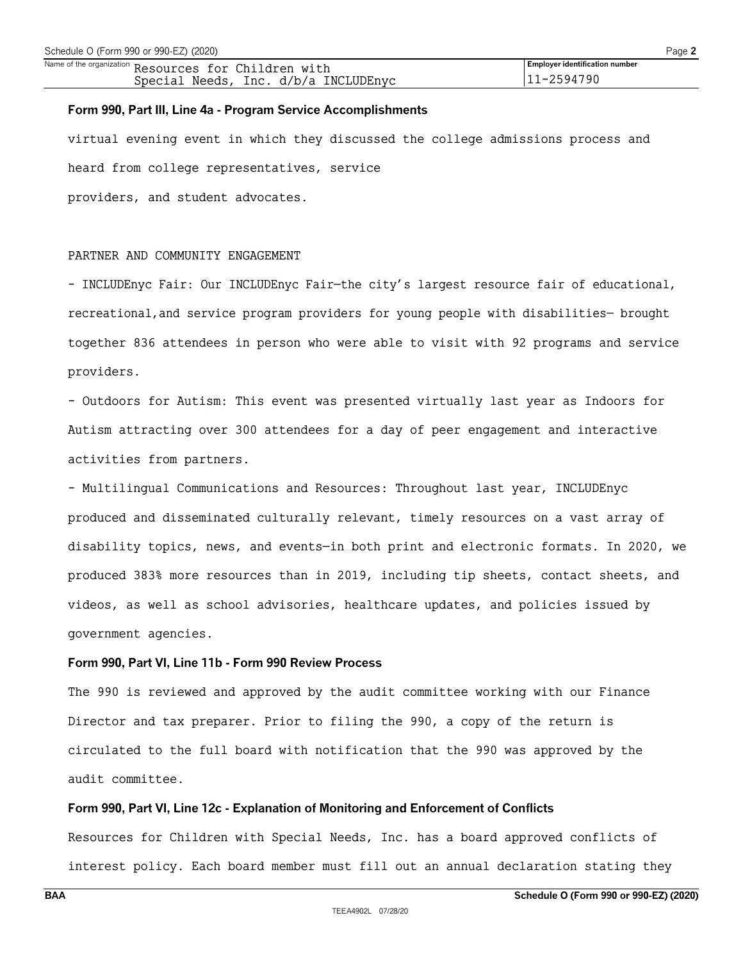#### **Form 990, Part III, Line 4a - Program Service Accomplishments**

virtual evening event in which they discussed the college admissions process and heard from college representatives, service providers, and student advocates.

#### PARTNER AND COMMUNITY ENGAGEMENT

- INCLUDEnyc Fair: Our INCLUDEnyc Fair—the city's largest resource fair of educational, recreational,and service program providers for young people with disabilities— brought together 836 attendees in person who were able to visit with 92 programs and service providers.

- Outdoors for Autism: This event was presented virtually last year as Indoors for Autism attracting over 300 attendees for a day of peer engagement and interactive activities from partners.

- Multilingual Communications and Resources: Throughout last year, INCLUDEnyc produced and disseminated culturally relevant, timely resources on a vast array of disability topics, news, and events—in both print and electronic formats. In 2020, we produced 383% more resources than in 2019, including tip sheets, contact sheets, and videos, as well as school advisories, healthcare updates, and policies issued by government agencies.

#### **Form 990, Part VI, Line 11b - Form 990 Review Process**

The 990 is reviewed and approved by the audit committee working with our Finance Director and tax preparer. Prior to filing the 990, a copy of the return is circulated to the full board with notification that the 990 was approved by the audit committee.

#### **Form 990, Part VI, Line 12c - Explanation of Monitoring and Enforcement of Conflicts**

Resources for Children with Special Needs, Inc. has a board approved conflicts of interest policy. Each board member must fill out an annual declaration stating they